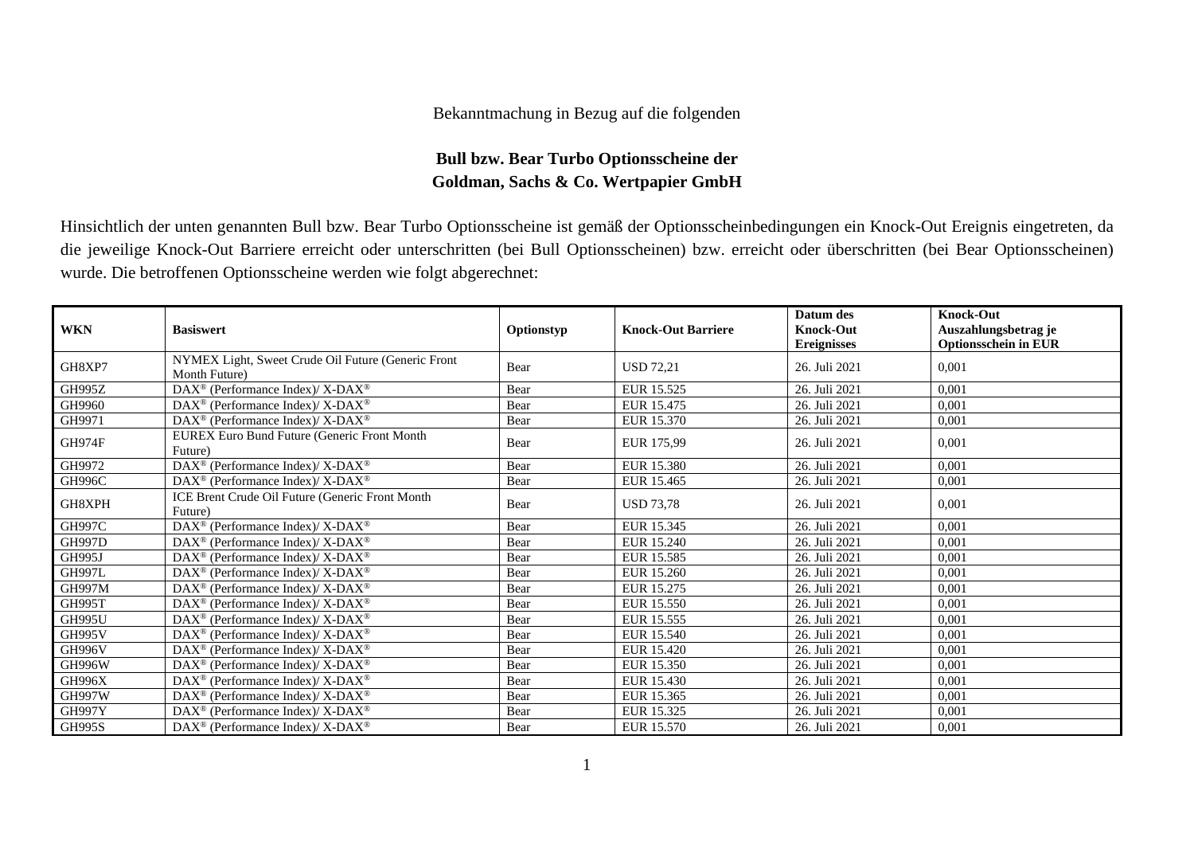## Bekanntmachung in Bezug auf die folgenden

## **Bull bzw. Bear Turbo Optionsscheine der Goldman, Sachs & Co. Wertpapier GmbH**

Hinsichtlich der unten genannten Bull bzw. Bear Turbo Optionsscheine ist gemäß der Optionsscheinbedingungen ein Knock-Out Ereignis eingetreten, da die jeweilige Knock-Out Barriere erreicht oder unterschritten (bei Bull Optionsscheinen) bzw. erreicht oder überschritten (bei Bear Optionsscheinen) wurde. Die betroffenen Optionsscheine werden wie folgt abgerechnet:

| <b>WKN</b>    | <b>Basiswert</b>                                                    | Optionstyp | <b>Knock-Out Barriere</b> | Datum des<br><b>Knock-Out</b><br><b>Ereignisses</b> | <b>Knock-Out</b><br>Auszahlungsbetrag je<br><b>Optionsschein in EUR</b> |
|---------------|---------------------------------------------------------------------|------------|---------------------------|-----------------------------------------------------|-------------------------------------------------------------------------|
| GH8XP7        | NYMEX Light, Sweet Crude Oil Future (Generic Front<br>Month Future) | Bear       | <b>USD 72,21</b>          | 26. Juli 2021                                       | 0,001                                                                   |
| <b>GH995Z</b> | $DAX^{\circledast}$ (Performance Index)/ X-DAX <sup>®</sup>         | Bear       | EUR 15.525                | 26. Juli 2021                                       | 0,001                                                                   |
| GH9960        | DAX <sup>®</sup> (Performance Index)/X-DAX <sup>®</sup>             | Bear       | EUR 15.475                | 26. Juli 2021                                       | 0,001                                                                   |
| GH9971        | DAX <sup>®</sup> (Performance Index)/ X-DAX <sup>®</sup>            | Bear       | EUR 15.370                | 26. Juli 2021                                       | 0,001                                                                   |
| GH974F        | EUREX Euro Bund Future (Generic Front Month<br>Future)              | Bear       | EUR 175,99                | 26. Juli 2021                                       | 0,001                                                                   |
| GH9972        | DAX <sup>®</sup> (Performance Index)/X-DAX <sup>®</sup>             | Bear       | <b>EUR 15.380</b>         | 26. Juli 2021                                       | 0,001                                                                   |
| <b>GH996C</b> | $DAX^{\circledast}$ (Performance Index)/ X-DAX <sup>®</sup>         | Bear       | EUR 15.465                | 26. Juli 2021                                       | 0.001                                                                   |
| GH8XPH        | ICE Brent Crude Oil Future (Generic Front Month<br>Future)          | Bear       | <b>USD 73.78</b>          | 26. Juli 2021                                       | 0,001                                                                   |
| <b>GH997C</b> | DAX <sup>®</sup> (Performance Index)/ X-DAX <sup>®</sup>            | Bear       | EUR 15.345                | 26. Juli 2021                                       | 0.001                                                                   |
| <b>GH997D</b> | DAX <sup>®</sup> (Performance Index)/X-DAX <sup>®</sup>             | Bear       | EUR 15.240                | 26. Juli 2021                                       | 0,001                                                                   |
| GH995J        | $DAX^{\circledcirc}$ (Performance Index)/X-DAX <sup>®</sup>         | Bear       | EUR 15.585                | 26. Juli 2021                                       | 0,001                                                                   |
| <b>GH997L</b> | $\text{DAX}^{\circledast}$ (Performance Index)/ X-DAX <sup>®</sup>  | Bear       | EUR 15.260                | 26. Juli 2021                                       | 0,001                                                                   |
| <b>GH997M</b> | $\text{DAX}^{\circledast}$ (Performance Index)/ X-DAX <sup>®</sup>  | Bear       | EUR 15.275                | 26. Juli 2021                                       | 0,001                                                                   |
| <b>GH995T</b> | DAX <sup>®</sup> (Performance Index)/X-DAX <sup>®</sup>             | Bear       | <b>EUR 15.550</b>         | 26. Juli 2021                                       | 0,001                                                                   |
| <b>GH995U</b> | DAX <sup>®</sup> (Performance Index)/ X-DAX <sup>®</sup>            | Bear       | EUR 15.555                | 26. Juli 2021                                       | 0,001                                                                   |
| <b>GH995V</b> | DAX <sup>®</sup> (Performance Index)/X-DAX <sup>®</sup>             | Bear       | EUR 15.540                | 26. Juli 2021                                       | 0,001                                                                   |
| <b>GH996V</b> | DAX <sup>®</sup> (Performance Index)/X-DAX <sup>®</sup>             | Bear       | <b>EUR 15.420</b>         | 26. Juli 2021                                       | 0,001                                                                   |
| <b>GH996W</b> | $DAX^{\circledcirc}$ (Performance Index)/X-DAX <sup>®</sup>         | Bear       | EUR 15.350                | 26. Juli 2021                                       | 0,001                                                                   |
| <b>GH996X</b> | $\text{DAX}^{\circledast}$ (Performance Index)/ X-DAX <sup>®</sup>  | Bear       | EUR 15.430                | 26. Juli 2021                                       | 0,001                                                                   |
| GH997W        | $\text{DAX}^{\circledast}$ (Performance Index)/ X-DAX <sup>®</sup>  | Bear       | EUR 15.365                | 26. Juli 2021                                       | 0,001                                                                   |
| <b>GH997Y</b> | $\text{DAX}^{\circledcirc}$ (Performance Index)/X-DAX <sup>®</sup>  | Bear       | EUR 15.325                | 26. Juli 2021                                       | 0,001                                                                   |
| <b>GH995S</b> | $DAX^{\circledcirc}$ (Performance Index)/X-DAX <sup>®</sup>         | Bear       | EUR 15.570                | 26. Juli 2021                                       | 0,001                                                                   |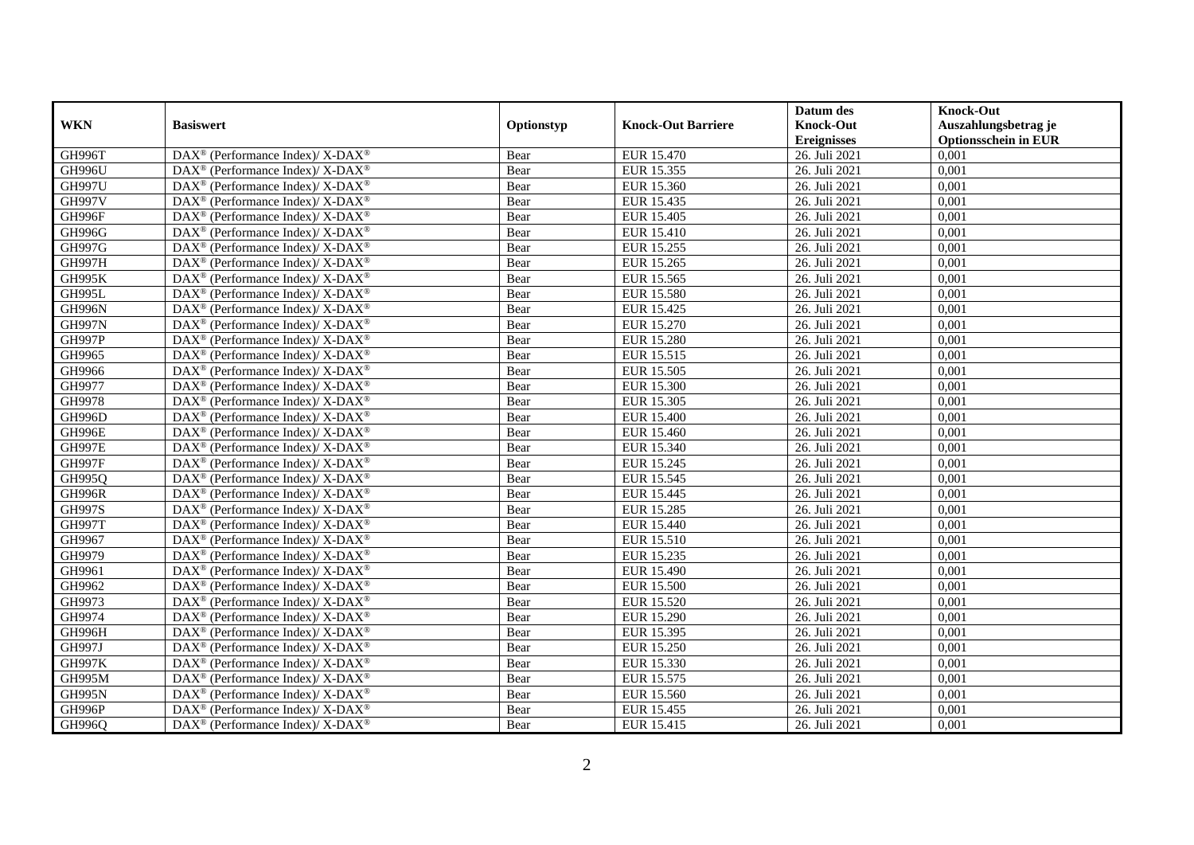|               |                                                                    |            |                           | Datum des          | <b>Knock-Out</b>            |
|---------------|--------------------------------------------------------------------|------------|---------------------------|--------------------|-----------------------------|
| <b>WKN</b>    | <b>Basiswert</b>                                                   | Optionstyp | <b>Knock-Out Barriere</b> | <b>Knock-Out</b>   | Auszahlungsbetrag je        |
|               |                                                                    |            |                           | <b>Ereignisses</b> | <b>Optionsschein in EUR</b> |
| GH996T        | DAX <sup>®</sup> (Performance Index)/X-DAX <sup>®</sup>            | Bear       | EUR 15.470                | 26. Juli 2021      | 0,001                       |
| <b>GH996U</b> | $DAX^{\circledast}$ (Performance Index)/ X-DAX <sup>®</sup>        | Bear       | EUR 15.355                | 26. Juli 2021      | 0,001                       |
| <b>GH997U</b> | $DAX^{\circledast}$ (Performance Index)/ X-DAX <sup>®</sup>        | Bear       | EUR 15.360                | 26. Juli 2021      | 0,001                       |
| <b>GH997V</b> | $DAX^{\circledast}$ (Performance Index)/ X-DAX <sup>®</sup>        | Bear       | EUR 15.435                | 26. Juli 2021      | 0,001                       |
| GH996F        | DAX <sup>®</sup> (Performance Index)/X-DAX <sup>®</sup>            | Bear       | <b>EUR 15.405</b>         | 26. Juli 2021      | 0,001                       |
| <b>GH996G</b> | DAX <sup>®</sup> (Performance Index)/ X-DAX <sup>®</sup>           | Bear       | <b>EUR 15.410</b>         | 26. Juli 2021      | 0,001                       |
| <b>GH997G</b> | $DAX^{\circledast}$ (Performance Index)/ X-DAX <sup>®</sup>        | Bear       | EUR 15.255                | 26. Juli 2021      | 0,001                       |
| GH997H        | DAX <sup>®</sup> (Performance Index)/ X-DAX <sup>®</sup>           | Bear       | EUR 15.265                | 26. Juli 2021      | 0,001                       |
| <b>GH995K</b> | DAX <sup>®</sup> (Performance Index)/ X-DAX <sup>®</sup>           | Bear       | EUR 15.565                | 26. Juli 2021      | 0,001                       |
| GH995L        | DAX <sup>®</sup> (Performance Index)/X-DAX <sup>®</sup>            | Bear       | <b>EUR 15.580</b>         | 26. Juli 2021      | 0,001                       |
| GH996N        | $DAX^{\circledast}$ (Performance Index)/ X-DAX <sup>®</sup>        | Bear       | EUR 15.425                | 26. Juli 2021      | 0,001                       |
| <b>GH997N</b> | DAX <sup>®</sup> (Performance Index)/X-DAX <sup>®</sup>            | Bear       | <b>EUR 15.270</b>         | 26. Juli 2021      | 0,001                       |
| <b>GH997P</b> | $DAX^{\circledast}$ (Performance Index)/ X-DAX <sup>®</sup>        | Bear       | <b>EUR 15.280</b>         | 26. Juli 2021      | 0,001                       |
| GH9965        | DAX <sup>®</sup> (Performance Index)/ X-DAX <sup>®</sup>           | Bear       | EUR 15.515                | 26. Juli 2021      | 0,001                       |
| GH9966        | $DAX^{\circledast}$ (Performance Index)/ X-DAX <sup>®</sup>        | Bear       | EUR 15.505                | 26. Juli 2021      | 0,001                       |
| GH9977        | DAX <sup>®</sup> (Performance Index)/ X-DAX <sup>®</sup>           | Bear       | <b>EUR 15.300</b>         | 26. Juli 2021      | 0,001                       |
| GH9978        | DAX <sup>®</sup> (Performance Index)/ X-DAX <sup>®</sup>           | Bear       | EUR 15.305                | 26. Juli 2021      | 0,001                       |
| <b>GH996D</b> | $DAX^{\circledast}$ (Performance Index)/ X-DAX <sup>®</sup>        | Bear       | EUR 15.400                | 26. Juli 2021      | 0,001                       |
| GH996E        | $\text{DAX}^{\circledast}$ (Performance Index)/ X-DAX <sup>®</sup> | Bear       | EUR 15.460                | 26. Juli 2021      | 0,001                       |
| <b>GH997E</b> | DAX <sup>®</sup> (Performance Index)/ X-DAX <sup>®</sup>           | Bear       | EUR 15.340                | 26. Juli 2021      | 0,001                       |
| <b>GH997F</b> | $DAX^{\circledast}$ (Performance Index)/ X-DAX <sup>®</sup>        | Bear       | EUR 15.245                | 26. Juli 2021      | 0,001                       |
| GH995Q        | $DAX^{\circledast}$ (Performance Index)/ X-DAX <sup>®</sup>        | Bear       | EUR 15.545                | 26. Juli 2021      | 0,001                       |
| <b>GH996R</b> | DAX <sup>®</sup> (Performance Index)/ X-DAX <sup>®</sup>           | Bear       | EUR 15.445                | 26. Juli 2021      | 0,001                       |
| <b>GH997S</b> | DAX <sup>®</sup> (Performance Index)/X-DAX <sup>®</sup>            | Bear       | <b>EUR 15.285</b>         | 26. Juli 2021      | 0,001                       |
| <b>GH997T</b> | $DAX^{\circledast}$ (Performance Index)/ X-DAX <sup>®</sup>        | Bear       | EUR 15.440                | 26. Juli 2021      | 0,001                       |
| GH9967        | $DAX^{\circledast}$ (Performance Index)/ X-DAX <sup>®</sup>        | Bear       | EUR 15.510                | 26. Juli 2021      | 0,001                       |
| GH9979        | DAX <sup>®</sup> (Performance Index)/ X-DAX <sup>®</sup>           | Bear       | EUR 15.235                | 26. Juli 2021      | 0,001                       |
| GH9961        | DAX <sup>®</sup> (Performance Index)/ X-DAX <sup>®</sup>           | Bear       | <b>EUR 15.490</b>         | 26. Juli 2021      | 0,001                       |
| GH9962        | DAX <sup>®</sup> (Performance Index)/X-DAX <sup>®</sup>            | Bear       | EUR 15.500                | 26. Juli 2021      | 0,001                       |
| GH9973        | $DAX^{\circledast}$ (Performance Index)/ X-DAX <sup>®</sup>        | Bear       | <b>EUR 15.520</b>         | 26. Juli 2021      | 0,001                       |
| GH9974        | $DAX^{\circledast}$ (Performance Index)/ X-DAX <sup>®</sup>        | Bear       | <b>EUR 15.290</b>         | 26. Juli 2021      | 0,001                       |
| GH996H        | $DAX^{\circledast}$ (Performance Index)/ X-DAX <sup>®</sup>        | Bear       | EUR 15.395                | 26. Juli 2021      | 0,001                       |
| GH997J        | $DAX^{\circledast}$ (Performance Index)/ X-DAX <sup>®</sup>        | Bear       | <b>EUR 15.250</b>         | 26. Juli 2021      | 0,001                       |
| <b>GH997K</b> | DAX <sup>®</sup> (Performance Index)/ X-DAX <sup>®</sup>           | Bear       | EUR 15.330                | 26. Juli 2021      | 0,001                       |
| <b>GH995M</b> | DAX <sup>®</sup> (Performance Index)/X-DAX <sup>®</sup>            | Bear       | EUR 15.575                | 26. Juli 2021      | 0,001                       |
| <b>GH995N</b> | DAX <sup>®</sup> (Performance Index)/X-DAX <sup>®</sup>            | Bear       | EUR 15.560                | 26. Juli 2021      | 0,001                       |
| GH996P        | DAX <sup>®</sup> (Performance Index)/ X-DAX <sup>®</sup>           | Bear       | EUR 15.455                | 26. Juli 2021      | 0,001                       |
| <b>GH996Q</b> | $DAX^{\circledast}$ (Performance Index)/ X-DAX <sup>®</sup>        | Bear       | EUR 15.415                | 26. Juli 2021      | 0,001                       |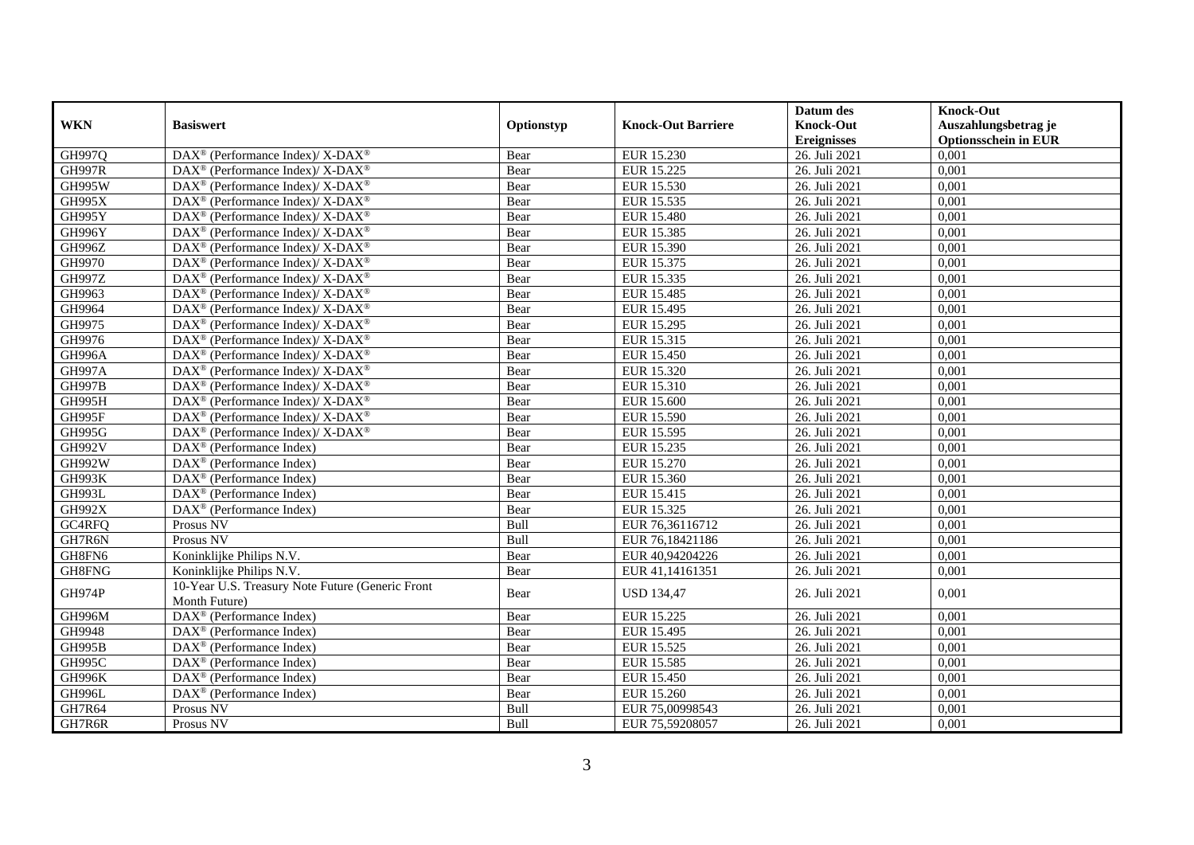|               |                                                                   |            |                           | Datum des          | <b>Knock-Out</b>            |
|---------------|-------------------------------------------------------------------|------------|---------------------------|--------------------|-----------------------------|
| <b>WKN</b>    | <b>Basiswert</b>                                                  | Optionstyp | <b>Knock-Out Barriere</b> | <b>Knock-Out</b>   | Auszahlungsbetrag je        |
|               |                                                                   |            |                           | <b>Ereignisses</b> | <b>Optionsschein in EUR</b> |
| GH997Q        | DAX <sup>®</sup> (Performance Index)/ X-DAX <sup>®</sup>          | Bear       | EUR 15.230                | 26. Juli 2021      | 0,001                       |
| <b>GH997R</b> | $DAX^{\circledast}$ (Performance Index)/ X-DAX <sup>®</sup>       | Bear       | EUR 15.225                | 26. Juli 2021      | 0,001                       |
| <b>GH995W</b> | DAX <sup>®</sup> (Performance Index)/ X-DAX <sup>®</sup>          | Bear       | <b>EUR 15.530</b>         | 26. Juli 2021      | 0,001                       |
| <b>GH995X</b> | DAX <sup>®</sup> (Performance Index)/X-DAX <sup>®</sup>           | Bear       | EUR 15.535                | 26. Juli 2021      | 0,001                       |
| GH995Y        | DAX <sup>®</sup> (Performance Index)/ X-DAX <sup>®</sup>          | Bear       | <b>EUR 15.480</b>         | 26. Juli 2021      | 0,001                       |
| GH996Y        | DAX <sup>®</sup> (Performance Index)/ X-DAX <sup>®</sup>          | Bear       | EUR 15.385                | 26. Juli 2021      | 0,001                       |
| GH996Z        | $DAX^{\circledast}$ (Performance Index)/ X-DAX <sup>®</sup>       | Bear       | EUR 15.390                | 26. Juli 2021      | 0,001                       |
| GH9970        | DAX <sup>®</sup> (Performance Index)/ X-DAX <sup>®</sup>          | Bear       | EUR 15.375                | 26. Juli 2021      | 0,001                       |
| <b>GH997Z</b> | $DAX^{\circledast}$ (Performance Index)/ X-DAX <sup>®</sup>       | Bear       | EUR 15.335                | 26. Juli 2021      | 0,001                       |
| GH9963        | DAX <sup>®</sup> (Performance Index)/X-DAX <sup>®</sup>           | Bear       | <b>EUR 15.485</b>         | 26. Juli 2021      | 0,001                       |
| GH9964        | $DAX^{\circledast}$ (Performance Index)/ X-DAX <sup>®</sup>       | Bear       | EUR 15.495                | 26. Juli 2021      | 0,001                       |
| GH9975        | $\text{DAX}^{\circledR}$ (Performance Index)/ X-DAX <sup>®</sup>  | Bear       | EUR 15.295                | 26. Juli 2021      | 0,001                       |
| GH9976        | $DAX^{\circledast}$ (Performance Index)/ X-DAX <sup>®</sup>       | Bear       | EUR 15.315                | 26. Juli 2021      | 0,001                       |
| <b>GH996A</b> | DAX <sup>®</sup> (Performance Index)/ X-DAX <sup>®</sup>          | Bear       | <b>EUR 15.450</b>         | 26. Juli 2021      | 0,001                       |
| <b>GH997A</b> | $DAX^{\circledast}$ (Performance Index)/ X-DAX <sup>®</sup>       | Bear       | EUR 15.320                | 26. Juli 2021      | 0,001                       |
| <b>GH997B</b> | DAX <sup>®</sup> (Performance Index)/ X-DAX <sup>®</sup>          | Bear       | EUR 15.310                | 26. Juli 2021      | 0,001                       |
| GH995H        | $DAX^{\circledast}$ (Performance Index)/ X-DAX <sup>®</sup>       | Bear       | <b>EUR 15.600</b>         | 26. Juli 2021      | 0,001                       |
| <b>GH995F</b> | $\text{DAX}^{\circledR}$ (Performance Index)/ X-DAX <sup>®</sup>  | Bear       | EUR 15.590                | 26. Juli 2021      | 0,001                       |
| <b>GH995G</b> | DAX <sup>®</sup> (Performance Index)/ X-DAX <sup>®</sup>          | Bear       | EUR 15.595                | 26. Juli 2021      | 0,001                       |
| <b>GH992V</b> | $DAX^{\circledR}$ (Performance Index)                             | Bear       | EUR 15.235                | 26. Juli 2021      | 0,001                       |
| <b>GH992W</b> | DAX <sup>®</sup> (Performance Index)                              | Bear       | EUR 15.270                | 26. Juli 2021      | 0,001                       |
| <b>GH993K</b> | $DAX^{\circledast}$ (Performance Index)                           | Bear       | EUR 15.360                | 26. Juli 2021      | 0,001                       |
| <b>GH993L</b> | $\text{DAX}^{\circledast}$ (Performance Index)                    | Bear       | EUR 15.415                | 26. Juli 2021      | 0,001                       |
| <b>GH992X</b> | DAX <sup>®</sup> (Performance Index)                              | Bear       | EUR 15.325                | 26. Juli 2021      | 0,001                       |
| GC4RFQ        | Prosus NV                                                         | Bull       | EUR 76,36116712           | 26. Juli 2021      | 0,001                       |
| GH7R6N        | Prosus NV                                                         | Bull       | EUR 76,18421186           | 26. Juli 2021      | 0,001                       |
| GH8FN6        | Koninklijke Philips N.V.                                          | Bear       | EUR 40,94204226           | 26. Juli 2021      | 0,001                       |
| GH8FNG        | Koninklijke Philips N.V.                                          | Bear       | EUR 41,14161351           | 26. Juli 2021      | 0,001                       |
| <b>GH974P</b> | 10-Year U.S. Treasury Note Future (Generic Front<br>Month Future) | Bear       | <b>USD 134,47</b>         | 26. Juli 2021      | 0,001                       |
| <b>GH996M</b> | DAX <sup>®</sup> (Performance Index)                              | Bear       | EUR 15.225                | 26. Juli 2021      | 0,001                       |
| GH9948        | DAX <sup>®</sup> (Performance Index)                              | Bear       | EUR 15.495                | 26. Juli 2021      | 0,001                       |
| <b>GH995B</b> | $DAX^{\circledast}$ (Performance Index)                           | Bear       | EUR 15.525                | 26. Juli 2021      | 0,001                       |
| <b>GH995C</b> | $\overline{\text{DAX}}^{\textcirc}$ (Performance Index)           | Bear       | EUR 15.585                | 26. Juli 2021      | 0,001                       |
| <b>GH996K</b> | $\overline{\text{DAX}}^{\textcirc}$ (Performance Index)           | Bear       | <b>EUR 15.450</b>         | 26. Juli 2021      | 0,001                       |
| GH996L        | DAX <sup>®</sup> (Performance Index)                              | Bear       | EUR 15.260                | 26. Juli 2021      | 0,001                       |
| GH7R64        | Prosus NV                                                         | Bull       | EUR 75,00998543           | 26. Juli 2021      | 0,001                       |
| GH7R6R        | Prosus NV                                                         | Bull       | EUR 75,59208057           | 26. Juli 2021      | 0,001                       |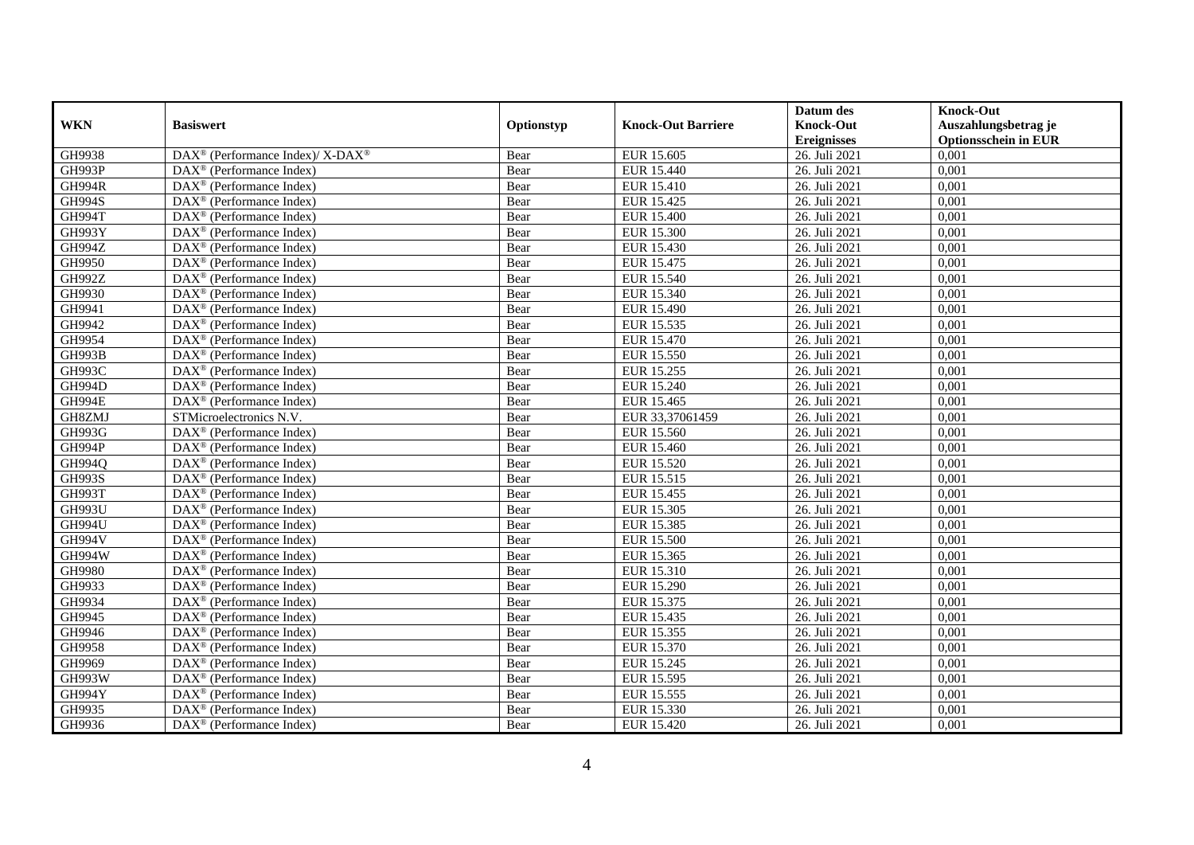|               |                                                          |            |                           | Datum des          | <b>Knock-Out</b>            |
|---------------|----------------------------------------------------------|------------|---------------------------|--------------------|-----------------------------|
| <b>WKN</b>    | <b>Basiswert</b>                                         | Optionstyp | <b>Knock-Out Barriere</b> | <b>Knock-Out</b>   | Auszahlungsbetrag je        |
|               |                                                          |            |                           | <b>Ereignisses</b> | <b>Optionsschein in EUR</b> |
| GH9938        | DAX <sup>®</sup> (Performance Index)/ X-DAX <sup>®</sup> | Bear       | EUR 15.605                | 26. Juli 2021      | 0,001                       |
| GH993P        | $\text{DAX}^{\textcircled{}}$ (Performance Index)        | Bear       | <b>EUR 15.440</b>         | 26. Juli 2021      | 0,001                       |
| <b>GH994R</b> | DAX <sup>®</sup> (Performance Index)                     | Bear       | EUR 15.410                | 26. Juli 2021      | 0,001                       |
| <b>GH994S</b> | $DAX^{\circledast}$ (Performance Index)                  | Bear       | EUR 15.425                | 26. Juli 2021      | 0,001                       |
| <b>GH994T</b> | $DAX^{\circledast}$ (Performance Index)                  | Bear       | <b>EUR 15.400</b>         | 26. Juli 2021      | 0,001                       |
| <b>GH993Y</b> | $\text{DAX}^{\textcircled{}}$ (Performance Index)        | Bear       | <b>EUR 15.300</b>         | 26. Juli 2021      | 0,001                       |
| <b>GH994Z</b> | $\text{DAX}^{\textcircled{}}$ (Performance Index)        | Bear       | EUR 15.430                | 26. Juli 2021      | 0,001                       |
| GH9950        | $DAX^{\circledast}$ (Performance Index)                  | Bear       | EUR 15.475                | 26. Juli 2021      | 0,001                       |
| GH992Z        | $DAX^{\circledR}$ (Performance Index)                    | Bear       | <b>EUR 15.540</b>         | 26. Juli 2021      | 0,001                       |
| GH9930        | $DAX^{\circledast}$ (Performance Index)                  | Bear       | EUR 15.340                | 26. Juli 2021      | 0,001                       |
| GH9941        | DAX <sup>®</sup> (Performance Index)                     | Bear       | EUR 15.490                | 26. Juli 2021      | 0,001                       |
| GH9942        | $\overline{\text{DAX}^{\otimes}}$ (Performance Index)    | Bear       | EUR 15.535                | 26. Juli 2021      | 0,001                       |
| GH9954        | $DAX^{\circledast}$ (Performance Index)                  | Bear       | EUR 15.470                | 26. Juli 2021      | 0,001                       |
| <b>GH993B</b> | DAX <sup>®</sup> (Performance Index)                     | Bear       | EUR 15.550                | 26. Juli 2021      | 0,001                       |
| GH993C        | DAX <sup>®</sup> (Performance Index)                     | Bear       | EUR 15.255                | 26. Juli 2021      | 0,001                       |
| GH994D        | DAX <sup>®</sup> (Performance Index)                     | Bear       | EUR 15.240                | 26. Juli 2021      | 0,001                       |
| <b>GH994E</b> | $\text{DAX}^{\textcircled{}}$ (Performance Index)        | Bear       | EUR 15.465                | 26. Juli 2021      | 0,001                       |
| GH8ZMJ        | STMicroelectronics N.V.                                  | Bear       | EUR 33,37061459           | 26. Juli 2021      | 0,001                       |
| GH993G        | DAX <sup>®</sup> (Performance Index)                     | Bear       | EUR 15.560                | 26. Juli 2021      | 0,001                       |
| <b>GH994P</b> | $\overline{\text{DAX}}^{\textcirc}$ (Performance Index)  | Bear       | <b>EUR 15.460</b>         | 26. Juli 2021      | 0,001                       |
| GH994Q        | DAX <sup>®</sup> (Performance Index)                     | Bear       | <b>EUR 15.520</b>         | 26. Juli 2021      | 0,001                       |
| <b>GH993S</b> | $\overline{\text{DAX}^{\otimes}}$ (Performance Index)    | Bear       | EUR 15.515                | 26. Juli 2021      | 0,001                       |
| <b>GH993T</b> | $\text{DAX}^{\textcircled{}}$ (Performance Index)        | Bear       | EUR 15.455                | 26. Juli 2021      | 0,001                       |
| <b>GH993U</b> | DAX <sup>®</sup> (Performance Index)                     | Bear       | EUR 15.305                | 26. Juli 2021      | 0,001                       |
| <b>GH994U</b> | DAX <sup>®</sup> (Performance Index)                     | Bear       | EUR 15.385                | 26. Juli 2021      | 0,001                       |
| <b>GH994V</b> | DAX <sup>®</sup> (Performance Index)                     | Bear       | <b>EUR 15.500</b>         | 26. Juli 2021      | 0,001                       |
| GH994W        | $DAX^{\circledast}$ (Performance Index)                  | Bear       | EUR 15.365                | 26. Juli 2021      | 0,001                       |
| GH9980        | $DAX^{\circledR}$ (Performance Index)                    | Bear       | EUR 15.310                | 26. Juli 2021      | 0,001                       |
| GH9933        | $\text{DAX}^{\circledast}$ (Performance Index)           | Bear       | <b>EUR 15.290</b>         | 26. Juli 2021      | 0,001                       |
| GH9934        | $\text{DAX}^{\circledast}$ (Performance Index)           | Bear       | EUR 15.375                | 26. Juli 2021      | 0,001                       |
| GH9945        | DAX <sup>®</sup> (Performance Index)                     | Bear       | EUR 15.435                | 26. Juli 2021      | 0,001                       |
| GH9946        | $DAX^{\circledast}$ (Performance Index)                  | Bear       | EUR 15.355                | 26. Juli 2021      | 0,001                       |
| GH9958        | DAX <sup>®</sup> (Performance Index)                     | Bear       | EUR 15.370                | 26. Juli 2021      | 0,001                       |
| GH9969        | $\text{DAX}^{\textcircled{}}$ (Performance Index)        | Bear       | EUR 15.245                | 26. Juli 2021      | 0,001                       |
| GH993W        | $\text{DAX}^{\circledast}$ (Performance Index)           | Bear       | EUR 15.595                | 26. Juli 2021      | 0,001                       |
| GH994Y        | $\text{DAX}^{\textcircled{}}$ (Performance Index)        | Bear       | EUR 15.555                | 26. Juli 2021      | 0,001                       |
| GH9935        | $DAX^{\circledast}$ (Performance Index)                  | Bear       | EUR 15.330                | 26. Juli 2021      | 0,001                       |
| GH9936        | $\text{DAX}^{\circledast}$ (Performance Index)           | Bear       | EUR 15.420                | 26. Juli 2021      | 0,001                       |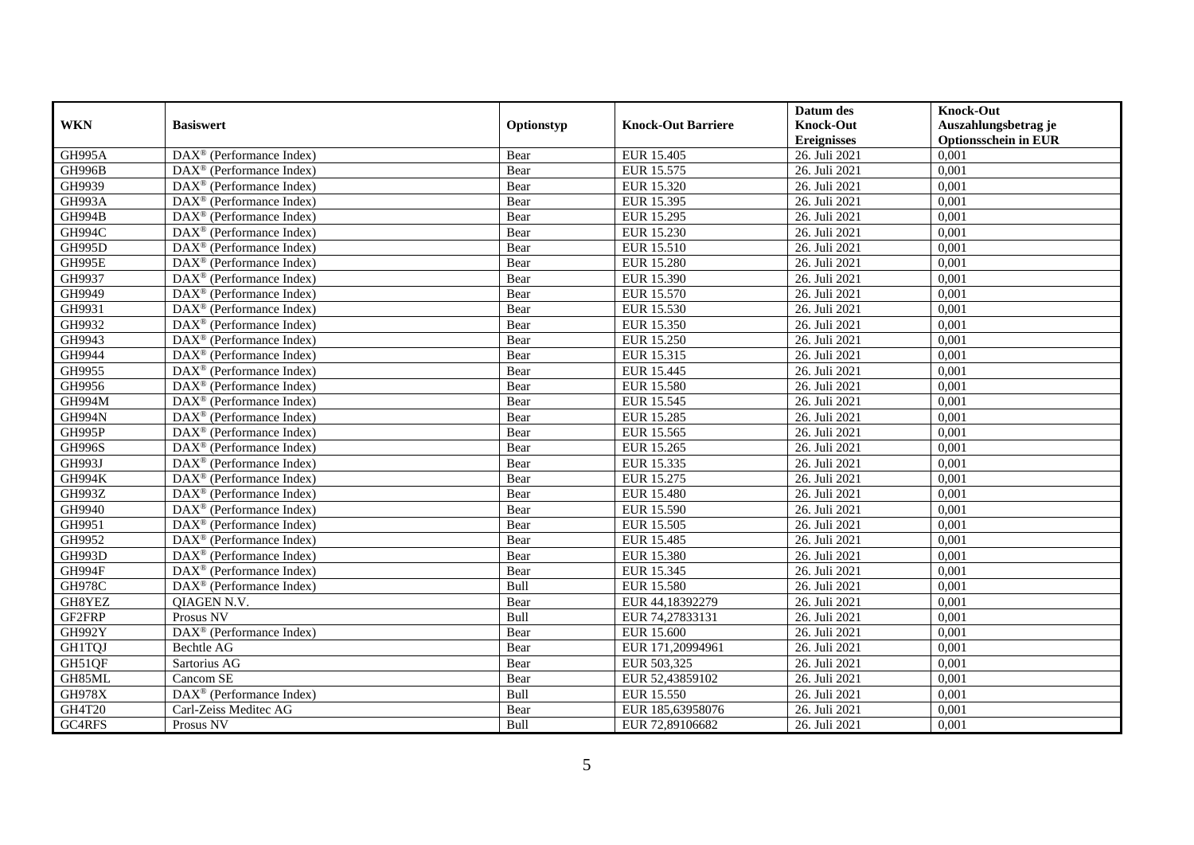|               |                                                         |            |                           | Datum des          | <b>Knock-Out</b>            |
|---------------|---------------------------------------------------------|------------|---------------------------|--------------------|-----------------------------|
| <b>WKN</b>    | <b>Basiswert</b>                                        | Optionstyp | <b>Knock-Out Barriere</b> | <b>Knock-Out</b>   | Auszahlungsbetrag je        |
|               |                                                         |            |                           | <b>Ereignisses</b> | <b>Optionsschein in EUR</b> |
| <b>GH995A</b> | DAX <sup>®</sup> (Performance Index)                    | Bear       | EUR 15.405                | 26. Juli 2021      | 0,001                       |
| <b>GH996B</b> | $\text{DAX}^{\circledast}$ (Performance Index)          | Bear       | EUR 15.575                | 26. Juli 2021      | 0,001                       |
| GH9939        | DAX <sup>®</sup> (Performance Index)                    | Bear       | EUR 15.320                | 26. Juli 2021      | 0,001                       |
| <b>GH993A</b> | $\text{DAX}^{\circledR}$ (Performance Index)            | Bear       | EUR 15.395                | 26. Juli 2021      | 0,001                       |
| <b>GH994B</b> | DAX <sup>®</sup> (Performance Index)                    | Bear       | EUR 15.295                | 26. Juli 2021      | 0,001                       |
| <b>GH994C</b> | $\text{DAX}^{\textcircled{p}}$ (Performance Index)      | Bear       | <b>EUR 15.230</b>         | 26. Juli 2021      | 0,001                       |
| <b>GH995D</b> | $\text{DAX}^{\textcircled{}}$ (Performance Index)       | Bear       | EUR 15.510                | 26. Juli 2021      | 0,001                       |
| GH995E        | $\text{DAX}^{\textcircled{n}}$ (Performance Index)      | Bear       | <b>EUR 15.280</b>         | 26. Juli 2021      | 0,001                       |
| GH9937        | $\text{DAX}^{\textcircled{n}}$ (Performance Index)      | Bear       | EUR 15.390                | 26. Juli 2021      | 0,001                       |
| GH9949        | $\text{DAX}^{\circledast}$ (Performance Index)          | Bear       | EUR 15.570                | 26. Juli 2021      | 0,001                       |
| GH9931        | $\overline{\text{DAX}}^{\textcirc}$ (Performance Index) | Bear       | EUR 15.530                | 26. Juli 2021      | 0,001                       |
| GH9932        | $\overline{\text{DAX}}^{\textcirc}$ (Performance Index) | Bear       | EUR 15.350                | 26. Juli 2021      | 0,001                       |
| GH9943        | $\text{DAX}^{\textcircled{n}}$ (Performance Index)      | Bear       | <b>EUR 15.250</b>         | 26. Juli 2021      | 0,001                       |
| GH9944        | $DAX^{\circledR}$ (Performance Index)                   | Bear       | EUR 15.315                | 26. Juli 2021      | 0,001                       |
| GH9955        | $\text{DAX}^{\otimes}$ (Performance Index)              | Bear       | EUR 15.445                | 26. Juli 2021      | 0,001                       |
| GH9956        | $\text{DAX}^{\circledast}$ (Performance Index)          | Bear       | <b>EUR 15.580</b>         | 26. Juli 2021      | 0,001                       |
| <b>GH994M</b> | DAX <sup>®</sup> (Performance Index)                    | Bear       | EUR 15.545                | 26. Juli 2021      | 0,001                       |
| <b>GH994N</b> | $DAX^{\circledR}$ (Performance Index)                   | Bear       | EUR 15.285                | 26. Juli 2021      | 0,001                       |
| GH995P        | DAX <sup>®</sup> (Performance Index)                    | Bear       | EUR 15.565                | 26. Juli 2021      | 0,001                       |
| <b>GH996S</b> | DAX <sup>®</sup> (Performance Index)                    | Bear       | EUR 15.265                | 26. Juli 2021      | 0,001                       |
| <b>GH993J</b> | DAX <sup>®</sup> (Performance Index)                    | Bear       | EUR 15.335                | 26. Juli 2021      | 0,001                       |
| <b>GH994K</b> | $\overline{\text{DAX}^{\otimes}}$ (Performance Index)   | Bear       | EUR 15.275                | 26. Juli 2021      | 0,001                       |
| GH993Z        | DAX <sup>®</sup> (Performance Index)                    | Bear       | <b>EUR 15.480</b>         | 26. Juli 2021      | 0,001                       |
| GH9940        | $\text{DAX}^{\circledast}$ (Performance Index)          | Bear       | EUR 15.590                | 26. Juli 2021      | 0,001                       |
| GH9951        | DAX <sup>®</sup> (Performance Index)                    | Bear       | <b>EUR 15.505</b>         | 26. Juli 2021      | 0.001                       |
| GH9952        | DAX <sup>®</sup> (Performance Index)                    | Bear       | EUR 15.485                | 26. Juli 2021      | 0,001                       |
| <b>GH993D</b> | $\overline{\text{DAX}^{\otimes}}$ (Performance Index)   | Bear       | <b>EUR 15.380</b>         | 26. Juli 2021      | 0,001                       |
| <b>GH994F</b> | $\text{DAX}^{\textcircled{p}}$ (Performance Index)      | Bear       | EUR 15.345                | 26. Juli 2021      | 0,001                       |
| <b>GH978C</b> | DAX <sup>®</sup> (Performance Index)                    | Bull       | <b>EUR 15.580</b>         | 26. Juli 2021      | 0,001                       |
| GH8YEZ        | QIAGEN N.V.                                             | Bear       | EUR 44,18392279           | 26. Juli 2021      | 0,001                       |
| GF2FRP        | Prosus NV                                               | Bull       | EUR 74,27833131           | 26. Juli 2021      | 0,001                       |
| <b>GH992Y</b> | $\text{DAX}^{\circledast}$ (Performance Index)          | Bear       | EUR 15.600                | 26. Juli 2021      | 0,001                       |
| <b>GH1TQJ</b> | Bechtle AG                                              | Bear       | EUR 171,20994961          | 26. Juli 2021      | 0,001                       |
| GH51QF        | Sartorius AG                                            | Bear       | EUR 503,325               | 26. Juli 2021      | 0,001                       |
| GH85ML        | Cancom SE                                               | Bear       | EUR 52,43859102           | 26. Juli 2021      | 0,001                       |
| <b>GH978X</b> | DAX <sup>®</sup> (Performance Index)                    | Bull       | <b>EUR 15.550</b>         | 26. Juli 2021      | 0,001                       |
| GH4T20        | Carl-Zeiss Meditec AG                                   | Bear       | EUR 185,63958076          | 26. Juli 2021      | 0,001                       |
| GC4RFS        | Prosus NV                                               | Bull       | EUR 72,89106682           | 26. Juli 2021      | 0,001                       |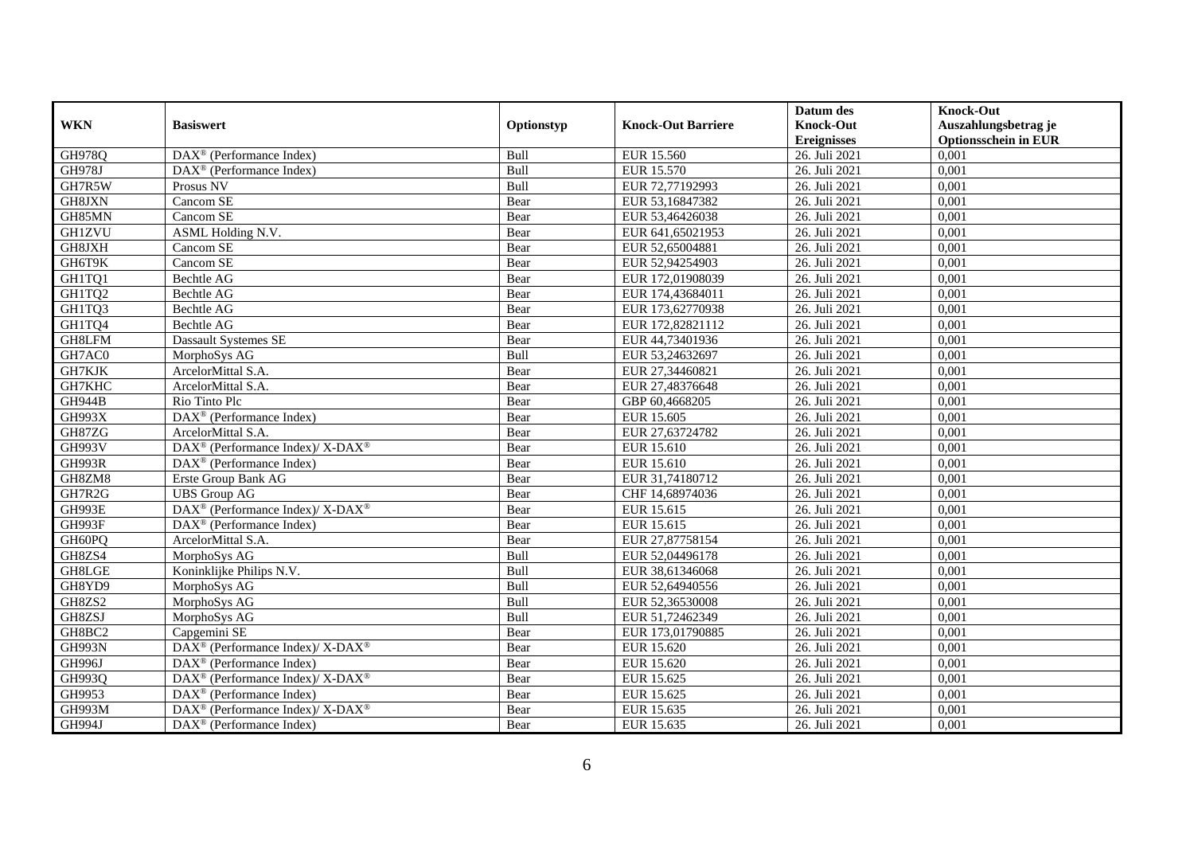|               |                                                                    |             |                           | Datum des          | <b>Knock-Out</b>            |
|---------------|--------------------------------------------------------------------|-------------|---------------------------|--------------------|-----------------------------|
| <b>WKN</b>    | <b>Basiswert</b>                                                   | Optionstyp  | <b>Knock-Out Barriere</b> | <b>Knock-Out</b>   | Auszahlungsbetrag je        |
|               |                                                                    |             |                           | <b>Ereignisses</b> | <b>Optionsschein in EUR</b> |
| <b>GH978Q</b> | DAX <sup>®</sup> (Performance Index)                               | Bull        | EUR 15.560                | 26. Juli 2021      | 0,001                       |
| <b>GH978J</b> | $\overline{\text{DAX}^{\otimes}}$ (Performance Index)              | Bull        | EUR 15.570                | 26. Juli 2021      | 0,001                       |
| GH7R5W        | Prosus NV                                                          | Bull        | EUR 72,77192993           | 26. Juli 2021      | 0,001                       |
| GH8JXN        | Cancom SE                                                          | Bear        | EUR 53,16847382           | 26. Juli 2021      | 0,001                       |
| GH85MN        | Cancom SE                                                          | Bear        | EUR 53,46426038           | 26. Juli 2021      | 0,001                       |
| <b>GH1ZVU</b> | <b>ASML Holding N.V.</b>                                           | Bear        | EUR 641,65021953          | 26. Juli 2021      | 0,001                       |
| GH8JXH        | Cancom SE                                                          | Bear        | EUR 52,65004881           | 26. Juli 2021      | 0,001                       |
| GH6T9K        | Cancom SE                                                          | Bear        | EUR 52,94254903           | 26. Juli 2021      | 0,001                       |
| GH1TQ1        | Bechtle AG                                                         | Bear        | EUR 172,01908039          | 26. Juli 2021      | 0,001                       |
| GH1TQ2        | Bechtle AG                                                         | Bear        | EUR 174,43684011          | 26. Juli 2021      | 0,001                       |
| GH1TQ3        | Bechtle AG                                                         | Bear        | EUR 173,62770938          | 26. Juli 2021      | 0,001                       |
| GH1TQ4        | Bechtle AG                                                         | Bear        | EUR 172,82821112          | 26. Juli 2021      | 0,001                       |
| GH8LFM        | <b>Dassault Systemes SE</b>                                        | Bear        | EUR 44,73401936           | 26. Juli 2021      | 0,001                       |
| GH7AC0        | MorphoSys AG                                                       | <b>Bull</b> | EUR 53,24632697           | 26. Juli 2021      | 0.001                       |
| GH7KJK        | ArcelorMittal S.A.                                                 | Bear        | EUR 27,34460821           | 26. Juli 2021      | 0,001                       |
| GH7KHC        | ArcelorMittal S.A.                                                 | Bear        | EUR 27,48376648           | 26. Juli 2021      | 0,001                       |
| <b>GH944B</b> | Rio Tinto Plc                                                      | Bear        | GBP 60,4668205            | 26. Juli 2021      | 0,001                       |
| <b>GH993X</b> | DAX <sup>®</sup> (Performance Index)                               | Bear        | EUR 15.605                | 26. Juli 2021      | 0,001                       |
| GH87ZG        | ArcelorMittal S.A.                                                 | Bear        | EUR 27,63724782           | 26. Juli 2021      | 0,001                       |
| <b>GH993V</b> | $\text{DAX}^{\circledR}$ (Performance Index)/ X-DAX <sup>®</sup>   | Bear        | EUR 15.610                | 26. Juli 2021      | 0,001                       |
| <b>GH993R</b> | $\text{DAX}^{\textcircled{n}}$ (Performance Index)                 | Bear        | EUR 15.610                | 26. Juli 2021      | 0,001                       |
| GH8ZM8        | Erste Group Bank AG                                                | Bear        | EUR 31,74180712           | 26. Juli 2021      | 0,001                       |
| GH7R2G        | <b>UBS</b> Group AG                                                | Bear        | CHF 14,68974036           | 26. Juli 2021      | 0,001                       |
| <b>GH993E</b> | DAX <sup>®</sup> (Performance Index)/ X-DAX <sup>®</sup>           | Bear        | EUR 15.615                | 26. Juli 2021      | 0,001                       |
| GH993F        | $\text{DAX}^{\textcircled{p}}$ (Performance Index)                 | Bear        | EUR 15.615                | 26. Juli 2021      | 0,001                       |
| GH60PQ        | ArcelorMittal S.A.                                                 | Bear        | EUR 27,87758154           | 26. Juli 2021      | 0,001                       |
| GH8ZS4        | MorphoSys AG                                                       | Bull        | EUR 52,04496178           | 26. Juli 2021      | 0,001                       |
| GH8LGE        | Koninklijke Philips N.V.                                           | Bull        | EUR 38,61346068           | 26. Juli 2021      | 0,001                       |
| GH8YD9        | MorphoSys AG                                                       | Bull        | EUR 52,64940556           | 26. Juli 2021      | 0,001                       |
| GH8ZS2        | MorphoSys AG                                                       | Bull        | EUR 52,36530008           | 26. Juli 2021      | 0,001                       |
| GH8ZSJ        | MorphoSys AG                                                       | Bull        | EUR 51,72462349           | 26. Juli 2021      | 0,001                       |
| GH8BC2        | Capgemini SE                                                       | Bear        | EUR 173,01790885          | 26. Juli 2021      | 0,001                       |
| <b>GH993N</b> | $DAX^{\circledast}$ (Performance Index)/X-DAX <sup>®</sup>         | Bear        | EUR 15.620                | 26. Juli 2021      | 0,001                       |
| <b>GH996J</b> | $\text{DAX}^{\textcircled{p}}$ (Performance Index)                 | Bear        | EUR 15.620                | 26. Juli 2021      | 0,001                       |
| GH993Q        | $\text{DAX}^{\circledast}$ (Performance Index)/ X-DAX <sup>®</sup> | Bear        | EUR 15.625                | 26. Juli 2021      | 0,001                       |
| GH9953        | DAX <sup>®</sup> (Performance Index)                               | Bear        | EUR 15.625                | 26. Juli 2021      | 0,001                       |
| <b>GH993M</b> | DAX <sup>®</sup> (Performance Index)/ X-DAX <sup>®</sup>           | Bear        | EUR 15.635                | 26. Juli 2021      | 0,001                       |
| GH994J        | $\text{DAX}^{\textcircled{n}}$ (Performance Index)                 | Bear        | EUR 15.635                | 26. Juli 2021      | 0,001                       |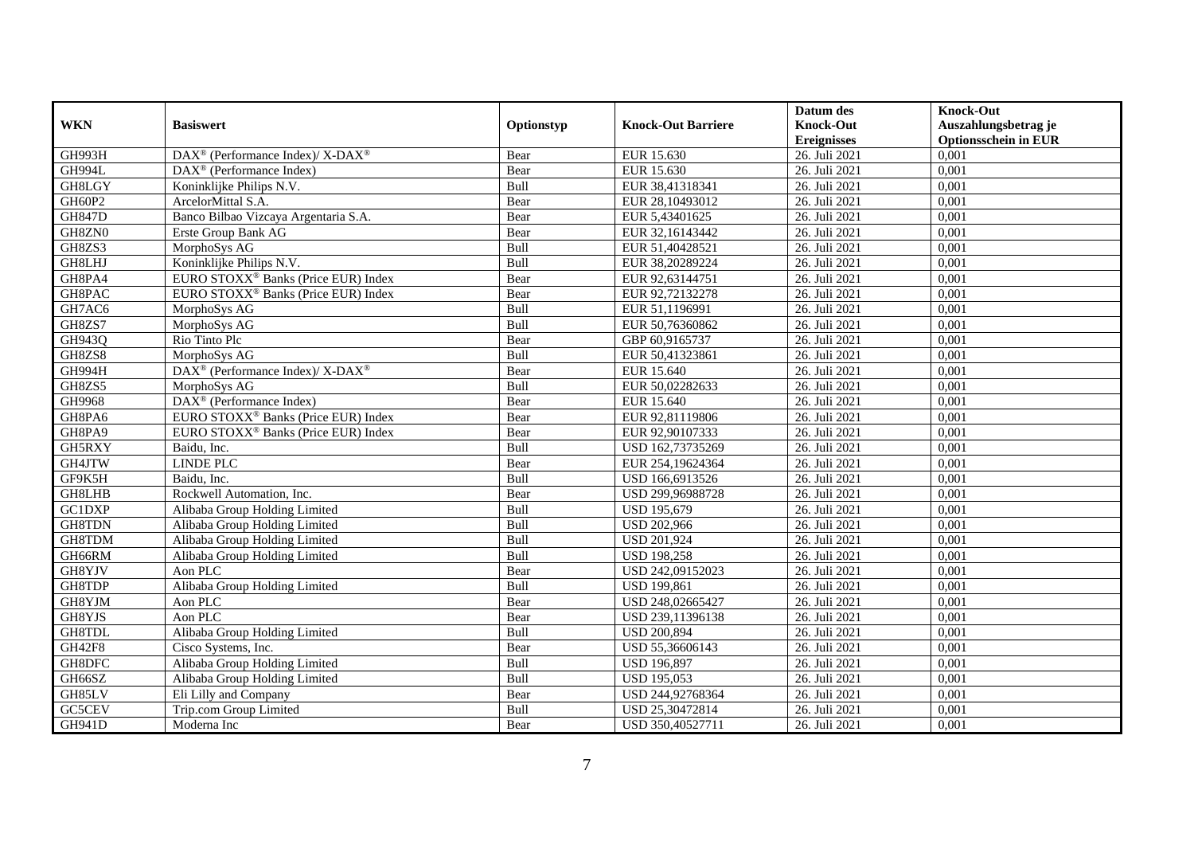|               |                                                          |            |                           | Datum des          | <b>Knock-Out</b>            |
|---------------|----------------------------------------------------------|------------|---------------------------|--------------------|-----------------------------|
| <b>WKN</b>    | <b>Basiswert</b>                                         | Optionstyp | <b>Knock-Out Barriere</b> | <b>Knock-Out</b>   | Auszahlungsbetrag je        |
|               |                                                          |            |                           | <b>Ereignisses</b> | <b>Optionsschein in EUR</b> |
| GH993H        | DAX <sup>®</sup> (Performance Index)/ X-DAX <sup>®</sup> | Bear       | EUR 15.630                | 26. Juli 2021      | 0,001                       |
| GH994L        | $DAX^{\circledR}$ (Performance Index)                    | Bear       | EUR 15.630                | 26. Juli 2021      | 0,001                       |
| GH8LGY        | Koninklijke Philips N.V.                                 | Bull       | EUR 38,41318341           | 26. Juli 2021      | 0,001                       |
| GH60P2        | ArcelorMittal S.A.                                       | Bear       | EUR 28,10493012           | 26. Juli 2021      | 0,001                       |
| <b>GH847D</b> | Banco Bilbao Vizcaya Argentaria S.A.                     | Bear       | EUR 5,43401625            | 26. Juli 2021      | 0,001                       |
| GH8ZN0        | Erste Group Bank AG                                      | Bear       | EUR 32,16143442           | 26. Juli 2021      | 0,001                       |
| GH8ZS3        | MorphoSys AG                                             | Bull       | EUR 51,40428521           | 26. Juli 2021      | 0,001                       |
| GH8LHJ        | Koninklijke Philips N.V.                                 | Bull       | EUR 38,20289224           | 26. Juli 2021      | 0,001                       |
| GH8PA4        | EURO STOXX <sup>®</sup> Banks (Price EUR) Index          | Bear       | EUR 92,63144751           | 26. Juli 2021      | 0,001                       |
| GH8PAC        | EURO STOXX <sup>®</sup> Banks (Price EUR) Index          | Bear       | EUR 92,72132278           | 26. Juli 2021      | 0,001                       |
| GH7AC6        | MorphoSys AG                                             | Bull       | EUR 51,1196991            | 26. Juli 2021      | 0,001                       |
| GH8ZS7        | MorphoSys AG                                             | Bull       | EUR 50,76360862           | 26. Juli 2021      | 0,001                       |
| GH943Q        | Rio Tinto Plc                                            | Bear       | GBP 60,9165737            | 26. Juli 2021      | 0,001                       |
| GH8ZS8        | MorphoSys AG                                             | Bull       | EUR 50,41323861           | 26. Juli 2021      | 0,001                       |
| <b>GH994H</b> | DAX <sup>®</sup> (Performance Index)/ X-DAX <sup>®</sup> | Bear       | EUR 15.640                | 26. Juli 2021      | 0,001                       |
| GH8ZS5        | MorphoSys AG                                             | Bull       | EUR 50,02282633           | 26. Juli 2021      | 0,001                       |
| GH9968        | DAX <sup>®</sup> (Performance Index)                     | Bear       | EUR 15.640                | 26. Juli 2021      | 0,001                       |
| GH8PA6        | EURO STOXX <sup>®</sup> Banks (Price EUR) Index          | Bear       | EUR 92.81119806           | 26. Juli 2021      | 0,001                       |
| GH8PA9        | EURO STOXX <sup>®</sup> Banks (Price EUR) Index          | Bear       | EUR 92,90107333           | 26. Juli 2021      | 0,001                       |
| GH5RXY        | Baidu, Inc.                                              | Bull       | USD 162,73735269          | 26. Juli 2021      | 0,001                       |
| GH4JTW        | <b>LINDE PLC</b>                                         | Bear       | EUR 254,19624364          | 26. Juli 2021      | 0,001                       |
| GF9K5H        | Baidu, Inc.                                              | Bull       | USD 166,6913526           | 26. Juli 2021      | 0,001                       |
| GH8LHB        | Rockwell Automation, Inc.                                | Bear       | USD 299,96988728          | 26. Juli 2021      | 0,001                       |
| <b>GC1DXP</b> | Alibaba Group Holding Limited                            | Bull       | <b>USD 195,679</b>        | 26. Juli 2021      | 0,001                       |
| GH8TDN        | Alibaba Group Holding Limited                            | Bull       | <b>USD 202,966</b>        | 26. Juli 2021      | 0,001                       |
| GH8TDM        | Alibaba Group Holding Limited                            | Bull       | <b>USD 201,924</b>        | 26. Juli 2021      | 0,001                       |
| GH66RM        | Alibaba Group Holding Limited                            | Bull       | <b>USD 198,258</b>        | 26. Juli 2021      | 0,001                       |
| GH8YJV        | Aon PLC                                                  | Bear       | USD 242,09152023          | 26. Juli 2021      | 0.001                       |
| GH8TDP        | Alibaba Group Holding Limited                            | Bull       | <b>USD 199,861</b>        | 26. Juli 2021      | 0,001                       |
| GH8YJM        | Aon PLC                                                  | Bear       | USD 248,02665427          | 26. Juli 2021      | 0,001                       |
| GH8YJS        | Aon PLC                                                  | Bear       | USD 239,11396138          | 26. Juli 2021      | 0,001                       |
| GH8TDL        | Alibaba Group Holding Limited                            | Bull       | <b>USD 200,894</b>        | 26. Juli 2021      | 0,001                       |
| <b>GH42F8</b> | Cisco Systems, Inc.                                      | Bear       | USD 55,36606143           | 26. Juli 2021      | 0,001                       |
| GH8DFC        | Alibaba Group Holding Limited                            | Bull       | <b>USD 196,897</b>        | 26. Juli 2021      | 0,001                       |
| GH66SZ        | Alibaba Group Holding Limited                            | Bull       | <b>USD 195,053</b>        | 26. Juli 2021      | 0,001                       |
| GH85LV        | Eli Lilly and Company                                    | Bear       | USD 244,92768364          | 26. Juli 2021      | 0,001                       |
| GC5CEV        | Trip.com Group Limited                                   | Bull       | USD 25,30472814           | 26. Juli 2021      | 0,001                       |
| <b>GH941D</b> | Moderna Inc                                              | Bear       | USD 350,40527711          | 26. Juli 2021      | 0,001                       |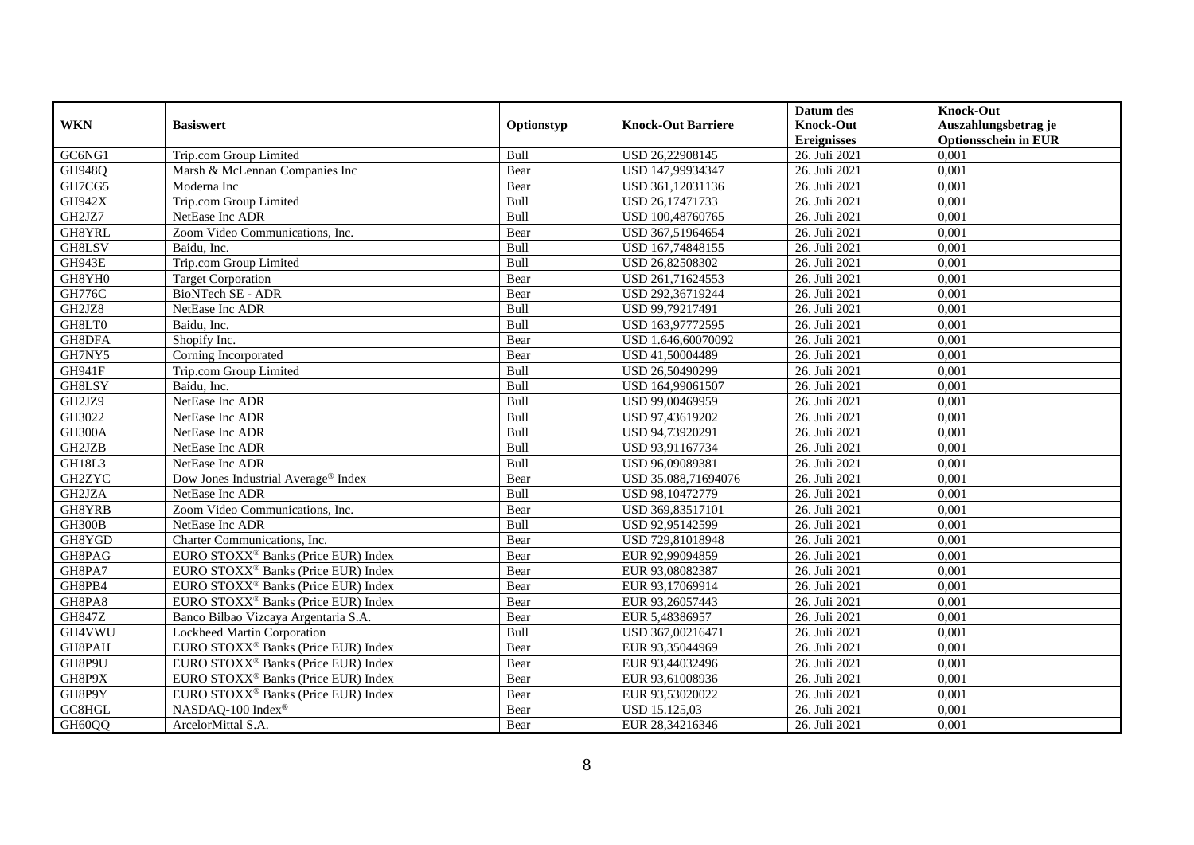|               |                                                 |            |                           | Datum des          | <b>Knock-Out</b>            |
|---------------|-------------------------------------------------|------------|---------------------------|--------------------|-----------------------------|
| <b>WKN</b>    | <b>Basiswert</b>                                | Optionstyp | <b>Knock-Out Barriere</b> | <b>Knock-Out</b>   | Auszahlungsbetrag je        |
|               |                                                 |            |                           | <b>Ereignisses</b> | <b>Optionsschein in EUR</b> |
| GC6NG1        | Trip.com Group Limited                          | Bull       | USD 26,22908145           | 26. Juli 2021      | 0,001                       |
| <b>GH948Q</b> | Marsh & McLennan Companies Inc                  | Bear       | USD 147,99934347          | 26. Juli 2021      | 0,001                       |
| GH7CG5        | Moderna Inc                                     | Bear       | USD 361,12031136          | 26. Juli 2021      | 0,001                       |
| <b>GH942X</b> | Trip.com Group Limited                          | Bull       | USD 26,17471733           | 26. Juli 2021      | 0,001                       |
| GH2JZ7        | NetEase Inc ADR                                 | Bull       | USD 100,48760765          | 26. Juli 2021      | 0,001                       |
| GH8YRL        | Zoom Video Communications, Inc.                 | Bear       | USD 367,51964654          | 26. Juli 2021      | 0,001                       |
| <b>GH8LSV</b> | Baidu. Inc.                                     | Bull       | USD 167,74848155          | 26. Juli 2021      | 0,001                       |
| GH943E        | Trip.com Group Limited                          | Bull       | USD 26,82508302           | 26. Juli 2021      | 0,001                       |
| GH8YH0        | <b>Target Corporation</b>                       | Bear       | USD 261,71624553          | 26. Juli 2021      | 0,001                       |
| <b>GH776C</b> | BioNTech SE - ADR                               | Bear       | USD 292,36719244          | 26. Juli 2021      | 0,001                       |
| GH2JZ8        | NetEase Inc ADR                                 | Bull       | USD 99,79217491           | 26. Juli 2021      | 0,001                       |
| GH8LT0        | Baidu, Inc.                                     | Bull       | USD 163,97772595          | 26. Juli 2021      | 0,001                       |
| GH8DFA        | Shopify Inc.                                    | Bear       | USD 1.646,60070092        | 26. Juli 2021      | 0,001                       |
| GH7NY5        | Corning Incorporated                            | Bear       | USD 41,50004489           | 26. Juli 2021      | 0,001                       |
| <b>GH941F</b> | Trip.com Group Limited                          | Bull       | USD 26,50490299           | 26. Juli 2021      | 0,001                       |
| GH8LSY        | Baidu, Inc.                                     | Bull       | USD 164,99061507          | 26. Juli 2021      | 0,001                       |
| GH2JZ9        | NetEase Inc ADR                                 | Bull       | USD 99,00469959           | 26. Juli 2021      | 0,001                       |
| GH3022        | NetEase Inc ADR                                 | Bull       | USD 97,43619202           | 26. Juli 2021      | 0,001                       |
| GH300A        | NetEase Inc ADR                                 | Bull       | USD 94,73920291           | 26. Juli 2021      | 0,001                       |
| GH2JZB        | NetEase Inc ADR                                 | Bull       | USD 93,91167734           | 26. Juli 2021      | 0,001                       |
| GH18L3        | NetEase Inc ADR                                 | Bull       | USD 96,09089381           | 26. Juli 2021      | 0,001                       |
| <b>GH2ZYC</b> | Dow Jones Industrial Average® Index             | Bear       | USD 35.088,71694076       | 26. Juli 2021      | 0,001                       |
| GH2JZA        | NetEase Inc ADR                                 | Bull       | USD 98,10472779           | 26. Juli 2021      | 0,001                       |
| GH8YRB        | Zoom Video Communications, Inc.                 | Bear       | USD 369,83517101          | 26. Juli 2021      | 0,001                       |
| GH300B        | NetEase Inc ADR                                 | Bull       | USD 92,95142599           | 26. Juli 2021      | 0,001                       |
| GH8YGD        | Charter Communications, Inc.                    | Bear       | USD 729,81018948          | 26. Juli 2021      | 0,001                       |
| GH8PAG        | EURO STOXX <sup>®</sup> Banks (Price EUR) Index | Bear       | EUR 92,99094859           | 26. Juli 2021      | 0,001                       |
| GH8PA7        | EURO STOXX <sup>®</sup> Banks (Price EUR) Index | Bear       | EUR 93,08082387           | 26. Juli 2021      | 0,001                       |
| GH8PB4        | EURO STOXX <sup>®</sup> Banks (Price EUR) Index | Bear       | EUR 93,17069914           | 26. Juli 2021      | 0,001                       |
| GH8PA8        | EURO STOXX <sup>®</sup> Banks (Price EUR) Index | Bear       | EUR 93,26057443           | 26. Juli 2021      | 0.001                       |
| <b>GH847Z</b> | Banco Bilbao Vizcava Argentaria S.A.            | Bear       | EUR 5,48386957            | 26. Juli 2021      | 0,001                       |
| GH4VWU        | Lockheed Martin Corporation                     | Bull       | USD 367,00216471          | 26. Juli 2021      | 0,001                       |
| GH8PAH        | EURO STOXX <sup>®</sup> Banks (Price EUR) Index | Bear       | EUR 93,35044969           | 26. Juli 2021      | 0,001                       |
| GH8P9U        | EURO STOXX <sup>®</sup> Banks (Price EUR) Index | Bear       | EUR 93,44032496           | 26. Juli 2021      | 0,001                       |
| GH8P9X        | EURO STOXX <sup>®</sup> Banks (Price EUR) Index | Bear       | EUR 93,61008936           | 26. Juli 2021      | 0,001                       |
| GH8P9Y        | EURO STOXX <sup>®</sup> Banks (Price EUR) Index | Bear       | EUR 93,53020022           | 26. Juli 2021      | 0,001                       |
| GC8HGL        | NASDAQ-100 Index®                               | Bear       | USD 15.125,03             | 26. Juli 2021      | 0,001                       |
| GH60QQ        | ArcelorMittal S.A.                              | Bear       | EUR 28,34216346           | 26. Juli 2021      | 0,001                       |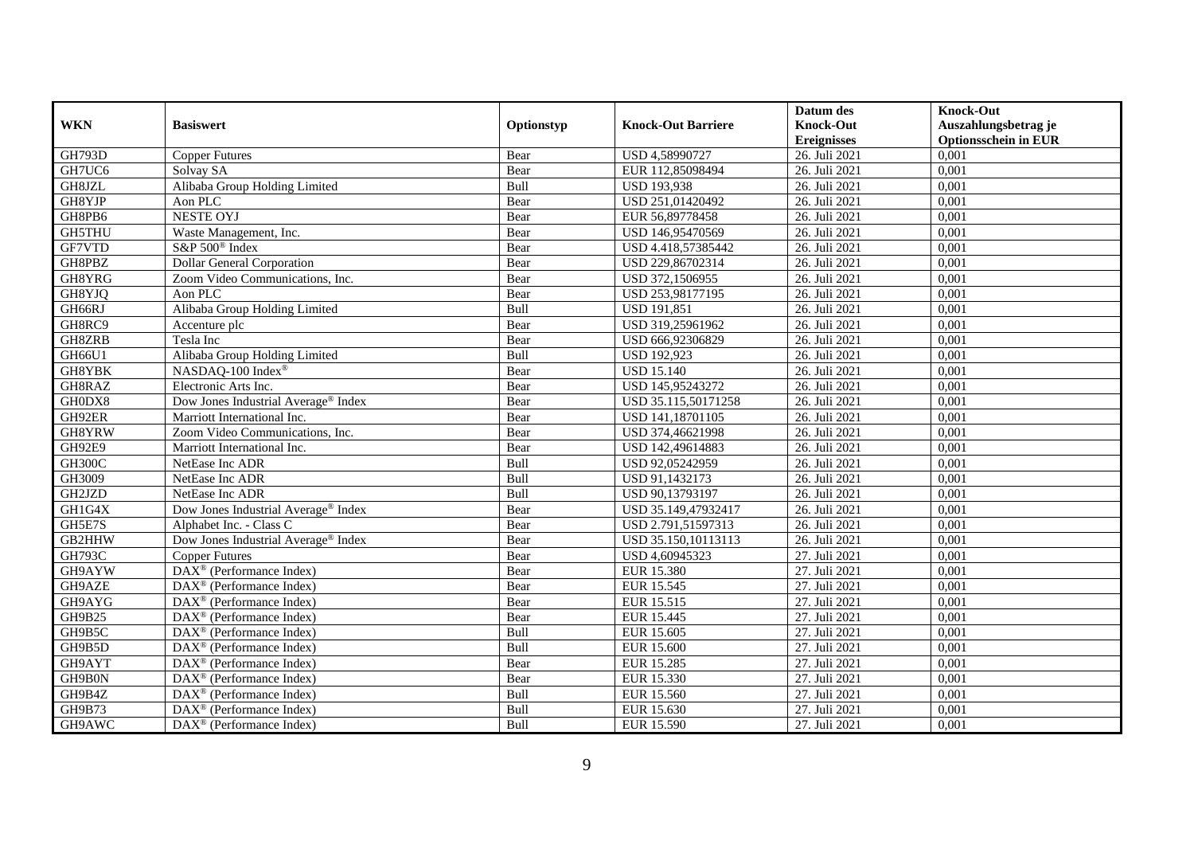|               |                                                         |            |                           | Datum des                   | <b>Knock-Out</b>            |
|---------------|---------------------------------------------------------|------------|---------------------------|-----------------------------|-----------------------------|
| <b>WKN</b>    | <b>Basiswert</b>                                        | Optionstyp | <b>Knock-Out Barriere</b> | <b>Knock-Out</b>            | Auszahlungsbetrag je        |
|               |                                                         |            |                           | <b>Ereignisses</b>          | <b>Optionsschein in EUR</b> |
| <b>GH793D</b> | <b>Copper Futures</b>                                   | Bear       | USD 4,58990727            | 26. Juli 2021               | 0,001                       |
| GH7UC6        | Solvay SA                                               | Bear       | EUR 112,85098494          | 26. Juli 2021               | 0,001                       |
| GH8JZL        | Alibaba Group Holding Limited                           | Bull       | <b>USD 193,938</b>        | 26. Juli 2021               | 0,001                       |
| GH8YJP        | Aon PLC                                                 | Bear       | USD 251,01420492          | 26. Juli 2021               | 0,001                       |
| GH8PB6        | <b>NESTE OYJ</b>                                        | Bear       | EUR 56,89778458           | 26. Juli 2021               | 0,001                       |
| <b>GH5THU</b> | Waste Management, Inc.                                  | Bear       | USD 146,95470569          | 26. Juli 2021               | 0,001                       |
| GF7VTD        | S&P 500 <sup>®</sup> Index                              | Bear       | USD 4.418,57385442        | 26. Juli 2021               | 0,001                       |
| GH8PBZ        | <b>Dollar General Corporation</b>                       | Bear       | USD 229,86702314          | 26. Juli 2021               | 0,001                       |
| GH8YRG        | Zoom Video Communications, Inc.                         | Bear       | USD 372,1506955           | 26. Juli 2021               | 0,001                       |
| GH8YJQ        | Aon PLC                                                 | Bear       | USD 253,98177195          | 26. Juli 2021               | 0,001                       |
| GH66RJ        | Alibaba Group Holding Limited                           | Bull       | <b>USD 191,851</b>        | 26. Juli 2021               | 0,001                       |
| GH8RC9        | Accenture plc                                           | Bear       | USD 319,25961962          | 26. Juli 2021               | 0,001                       |
| GH8ZRB        | Tesla Inc                                               | Bear       | USD 666,92306829          | 26. Juli 2021               | 0,001                       |
| GH66U1        | Alibaba Group Holding Limited                           | Bull       | <b>USD 192,923</b>        | 26. Juli 2021               | 0,001                       |
| GH8YBK        | NASDAQ-100 Index®                                       | Bear       | <b>USD 15.140</b>         | 26. Juli 2021               | 0,001                       |
| GH8RAZ        | Electronic Arts Inc.                                    | Bear       | USD 145,95243272          | 26. Juli 2021               | 0,001                       |
| GH0DX8        | Dow Jones Industrial Average® Index                     | Bear       | USD 35.115,50171258       | 26. Juli 2021               | 0,001                       |
| GH92ER        | Marriott International Inc.                             | Bear       | USD 141,18701105          | 26. Juli 2021               | 0,001                       |
| GH8YRW        | Zoom Video Communications, Inc.                         | Bear       | USD 374,46621998          | 26. Juli 2021               | 0,001                       |
| GH92E9        | Marriott International Inc.                             | Bear       | USD 142,49614883          | 26. Juli 2021               | 0,001                       |
| GH300C        | NetEase Inc ADR                                         | Bull       | USD 92,05242959           | 26. Juli 2021               | 0,001                       |
| GH3009        | NetEase Inc ADR                                         | Bull       | USD 91,1432173            | 26. Juli 2021               | 0,001                       |
| GH2JZD        | NetEase Inc ADR                                         | Bull       | USD 90,13793197           | 26. Juli 2021               | 0,001                       |
| GH1G4X        | Dow Jones Industrial Average® Index                     | Bear       | USD 35.149,47932417       | 26. Juli 2021               | 0,001                       |
| GH5E7S        | Alphabet Inc. - Class C                                 | Bear       | USD 2.791,51597313        | 26. Juli 2021               | 0,001                       |
| GB2HHW        | Dow Jones Industrial Average <sup>®</sup> Index         | Bear       | USD 35.150,10113113       | 26. Juli 2021               | 0,001                       |
| <b>GH793C</b> | <b>Copper Futures</b>                                   | Bear       | USD 4,60945323            | 27. Juli 2021               | 0,001                       |
| GH9AYW        | $\text{DAX}^{\textcircled{p}}$ (Performance Index)      | Bear       | <b>EUR 15.380</b>         | 27. Juli 2021               | 0,001                       |
| GH9AZE        | $\text{DAX}^{\textcircled{p}}$ (Performance Index)      | Bear       | EUR 15.545                | 27. Juli 2021               | 0,001                       |
| GH9AYG        | $DAX^{\otimes}$ (Performance Index)                     | Bear       | EUR 15.515                | 27. Juli 2021               | 0,001                       |
| GH9B25        | DAX <sup>®</sup> (Performance Index)                    | Bear       | EUR 15.445                | 27. Juli 2021               | 0,001                       |
| GH9B5C        | DAX <sup>®</sup> (Performance Index)                    | Bull       | EUR 15.605                | 27. Juli 2021               | 0,001                       |
| GH9B5D        | $\overline{\text{DAX}^{\otimes}}$ (Performance Index)   | Bull       | <b>EUR 15.600</b>         | 27. Juli 2021               | 0,001                       |
| GH9AYT        | DAX <sup>®</sup> (Performance Index)                    | Bear       | <b>EUR 15.285</b>         | $\overline{27}$ . Juli 2021 | 0,001                       |
| GH9B0N        | $\text{DAX}^{\textcircled{n}}$ (Performance Index)      | Bear       | EUR 15.330                | 27. Juli 2021               | 0,001                       |
| GH9B4Z        | DAX <sup>®</sup> (Performance Index)                    | Bull       | EUR 15.560                | 27. Juli 2021               | 0,001                       |
| GH9B73        | $\text{DAX}^{\otimes}$ (Performance Index)              | Bull       | EUR 15.630                | 27. Juli 2021               | 0,001                       |
| GH9AWC        | $\overline{\text{DAX}}^{\textcirc}$ (Performance Index) | Bull       | EUR 15.590                | 27. Juli 2021               | 0,001                       |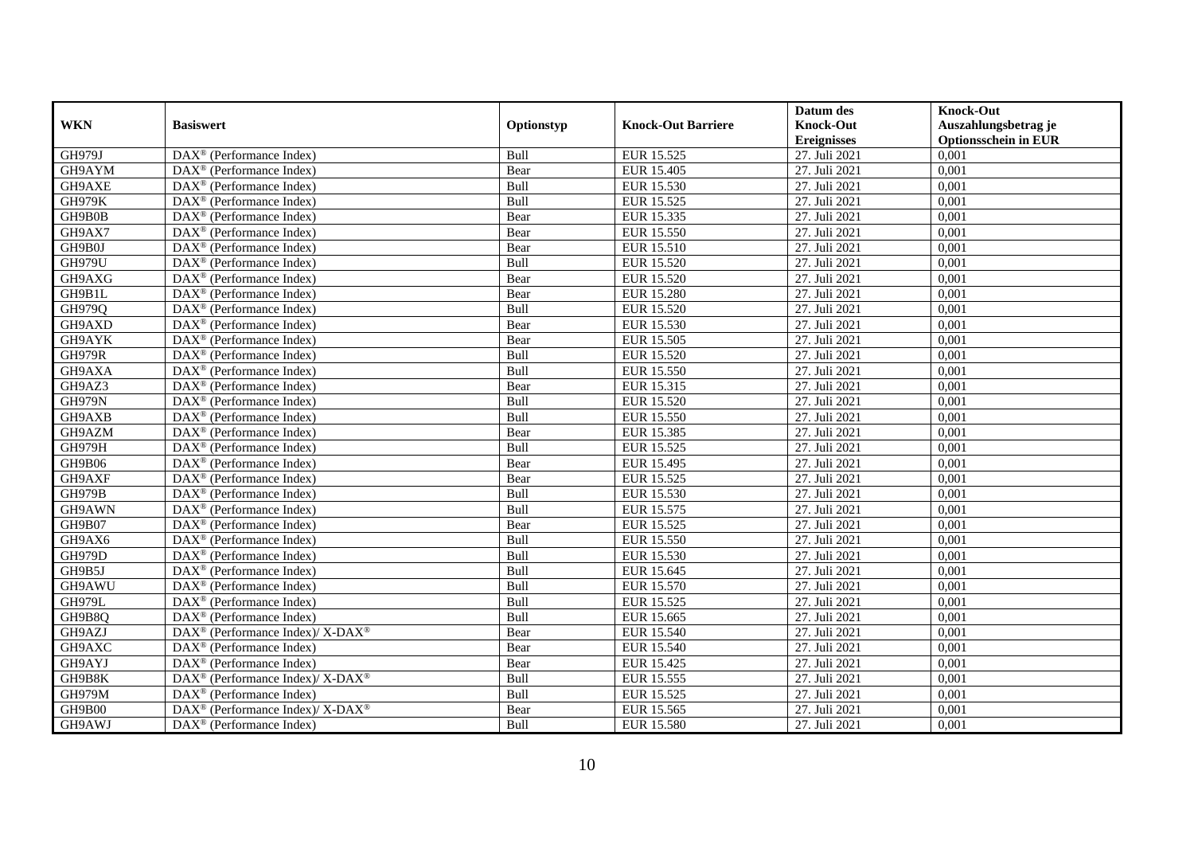|               |                                                                    |             |                           | Datum des          | <b>Knock-Out</b>            |
|---------------|--------------------------------------------------------------------|-------------|---------------------------|--------------------|-----------------------------|
| <b>WKN</b>    | <b>Basiswert</b>                                                   | Optionstyp  | <b>Knock-Out Barriere</b> | <b>Knock-Out</b>   | Auszahlungsbetrag je        |
|               |                                                                    |             |                           | <b>Ereignisses</b> | <b>Optionsschein in EUR</b> |
| <b>GH979J</b> | DAX <sup>®</sup> (Performance Index)                               | Bull        | EUR 15.525                | 27. Juli 2021      | 0,001                       |
| GH9AYM        | $DAX^{\circledR}$ (Performance Index)                              | Bear        | EUR 15.405                | 27. Juli 2021      | 0,001                       |
| GH9AXE        | DAX <sup>®</sup> (Performance Index)                               | Bull        | EUR 15.530                | 27. Juli 2021      | 0,001                       |
| <b>GH979K</b> | $\text{DAX}^{\circledast}$ (Performance Index)                     | Bull        | EUR 15.525                | 27. Juli 2021      | 0,001                       |
| GH9B0B        | DAX <sup>®</sup> (Performance Index)                               | Bear        | EUR 15.335                | 27. Juli 2021      | 0,001                       |
| GH9AX7        | $\text{DAX}^{\circledast}$ (Performance Index)                     | Bear        | EUR 15.550                | 27. Juli 2021      | 0,001                       |
| GH9B0J        | $\text{DAX}^{\textcircled{n}}$ (Performance Index)                 | Bear        | EUR 15.510                | 27. Juli 2021      | 0,001                       |
| <b>GH979U</b> | $\text{DAX}^{\textcircled{}}$ (Performance Index)                  | Bull        | EUR 15.520                | 27. Juli 2021      | 0,001                       |
| GH9AXG        | $\text{DAX}^{\textcircled{p}}$ (Performance Index)                 | Bear        | EUR 15.520                | 27. Juli 2021      | 0,001                       |
| GH9B1L        | $DAX^{\otimes}$ (Performance Index)                                | Bear        | <b>EUR 15.280</b>         | 27. Juli 2021      | 0,001                       |
| GH979Q        | $\overline{\text{DAX}}^{\textcircled{}}$ (Performance Index)       | Bull        | <b>EUR 15.520</b>         | 27. Juli 2021      | 0,001                       |
| GH9AXD        | $\overline{\text{DAX}^{\otimes}}$ (Performance Index)              | Bear        | <b>EUR 15.530</b>         | 27. Juli 2021      | 0,001                       |
| GH9AYK        | $\text{DAX}^{\textcircled{n}}$ (Performance Index)                 | Bear        | EUR 15.505                | 27. Juli 2021      | 0,001                       |
| <b>GH979R</b> | DAX <sup>®</sup> (Performance Index)                               | Bull        | EUR 15.520                | 27. Juli 2021      | 0,001                       |
| GH9AXA        | DAX <sup>®</sup> (Performance Index)                               | Bull        | EUR 15.550                | 27. Juli 2021      | 0,001                       |
| GH9AZ3        | DAX <sup>®</sup> (Performance Index)                               | Bear        | EUR 15.315                | 27. Juli 2021      | 0,001                       |
| <b>GH979N</b> | DAX <sup>®</sup> (Performance Index)                               | Bull        | EUR 15.520                | 27. Juli 2021      | 0,001                       |
| GH9AXB        | $DAX^{\circledR}$ (Performance Index)                              | <b>Bull</b> | EUR 15.550                | 27. Juli 2021      | 0,001                       |
| GH9AZM        | DAX <sup>®</sup> (Performance Index)                               | Bear        | EUR 15.385                | 27. Juli 2021      | 0,001                       |
| <b>GH979H</b> | DAX <sup>®</sup> (Performance Index)                               | Bull        | EUR 15.525                | 27. Juli 2021      | 0,001                       |
| GH9B06        | DAX <sup>®</sup> (Performance Index)                               | Bear        | EUR 15.495                | 27. Juli 2021      | 0,001                       |
| GH9AXF        | $\overline{\text{DAX}^{\otimes}}$ (Performance Index)              | Bear        | EUR 15.525                | 27. Juli 2021      | 0,001                       |
| <b>GH979B</b> | $\text{DAX}^{\circledast}$ (Performance Index)                     | Bull        | EUR 15.530                | 27. Juli 2021      | 0,001                       |
| GH9AWN        | DAX <sup>®</sup> (Performance Index)                               | Bull        | EUR 15.575                | 27. Juli 2021      | 0,001                       |
| GH9B07        | DAX <sup>®</sup> (Performance Index)                               | Bear        | EUR 15.525                | 27. Juli 2021      | 0,001                       |
| GH9AX6        | $\text{DAX}^{\otimes}$ (Performance Index)                         | Bull        | EUR 15.550                | 27. Juli 2021      | 0,001                       |
| GH979D        | $\text{DAX}^{\circledast}$ (Performance Index)                     | Bull        | EUR 15.530                | 27. Juli 2021      | 0,001                       |
| GH9B5J        | $\text{DAX}^{\textcircled{p}}$ (Performance Index)                 | Bull        | EUR 15.645                | 27. Juli 2021      | 0,001                       |
| GH9AWU        | $\text{DAX}^{\textcircled{D}}$ (Performance Index)                 | Bull        | EUR 15.570                | 27. Juli 2021      | 0,001                       |
| <b>GH979L</b> | $\text{DAX}^{\textcircled{D}}$ (Performance Index)                 | Bull        | EUR 15.525                | 27. Juli 2021      | 0,001                       |
| GH9B8Q        | DAX <sup>®</sup> (Performance Index)                               | Bull        | EUR 15.665                | 27. Juli 2021      | 0,001                       |
| GH9AZJ        | DAX <sup>®</sup> (Performance Index)/ X-DAX <sup>®</sup>           | Bear        | EUR 15.540                | 27. Juli 2021      | 0,001                       |
| GH9AXC        | $\overline{\text{DAX}^{\otimes}}$ (Performance Index)              | Bear        | EUR 15.540                | 27. Juli 2021      | 0,001                       |
| GH9AYJ        | DAX <sup>®</sup> (Performance Index)                               | Bear        | EUR 15.425                | 27. Juli 2021      | 0,001                       |
| GH9B8K        | $\text{DAX}^{\circledast}$ (Performance Index)/ X-DAX <sup>®</sup> | Bull        | EUR 15.555                | 27. Juli 2021      | 0,001                       |
| GH979M        | $\text{DAX}^{\circledast}$ (Performance Index)                     | Bull        | EUR 15.525                | 27. Juli 2021      | 0,001                       |
| GH9B00        | $DAX^{\circledast}$ (Performance Index)/ X-DAX <sup>®</sup>        | Bear        | EUR 15.565                | 27. Juli 2021      | 0,001                       |
| GH9AWJ        | $\text{DAX}^{\textcircled{n}}$ (Performance Index)                 | Bull        | <b>EUR 15.580</b>         | 27. Juli 2021      | 0,001                       |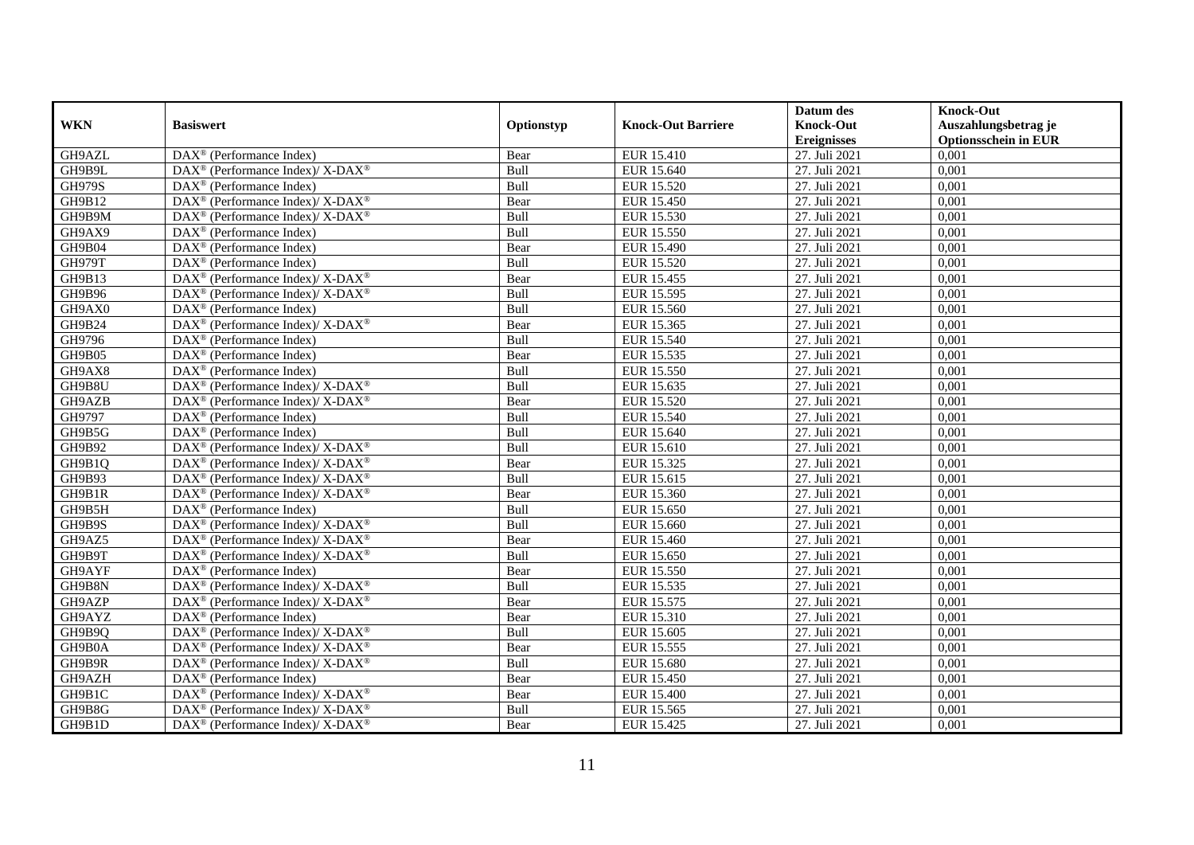| <b>WKN</b>    | <b>Basiswert</b>                                                  | Optionstyp | <b>Knock-Out Barriere</b> | Datum des<br><b>Knock-Out</b> | <b>Knock-Out</b><br>Auszahlungsbetrag je |
|---------------|-------------------------------------------------------------------|------------|---------------------------|-------------------------------|------------------------------------------|
|               |                                                                   |            |                           | <b>Ereignisses</b>            | <b>Optionsschein in EUR</b>              |
| GH9AZL        | DAX <sup>®</sup> (Performance Index)                              | Bear       | EUR 15.410                | 27. Juli 2021                 | 0,001                                    |
| GH9B9L        | DAX <sup>®</sup> (Performance Index)/ X-DAX <sup>®</sup>          | Bull       | EUR 15.640                | 27. Juli 2021                 | 0,001                                    |
| <b>GH979S</b> | DAX <sup>®</sup> (Performance Index)                              | Bull       | EUR 15.520                | 27. Juli 2021                 | 0,001                                    |
| GH9B12        | DAX <sup>®</sup> (Performance Index)/ X-DAX <sup>®</sup>          | Bear       | EUR 15.450                | 27. Juli 2021                 | 0,001                                    |
| GH9B9M        | DAX <sup>®</sup> (Performance Index)/ X-DAX <sup>®</sup>          | Bull       | EUR 15.530                | 27. Juli 2021                 | 0,001                                    |
| GH9AX9        | $DAX^{\circledR}$ (Performance Index)                             | Bull       | <b>EUR 15.550</b>         | 27. Juli 2021                 | 0,001                                    |
| GH9B04        | $\text{DAX}^{\textcircled{}}$ (Performance Index)                 | Bear       | <b>EUR 15.490</b>         | 27. Juli 2021                 | 0,001                                    |
| <b>GH979T</b> | $DAX^{\circledR}$ (Performance Index)                             | Bull       | <b>EUR 15.520</b>         | 27. Juli 2021                 | 0,001                                    |
| GH9B13        | DAX <sup>®</sup> (Performance Index)/ X-DAX <sup>®</sup>          | Bear       | EUR 15.455                | 27. Juli 2021                 | 0,001                                    |
| GH9B96        | DAX <sup>®</sup> (Performance Index)/X-DAX <sup>®</sup>           | Bull       | EUR 15.595                | 27. Juli 2021                 | 0,001                                    |
| GH9AX0        | $DAX^{\circledast}$ (Performance Index)                           | Bull       | EUR 15.560                | 27. Juli 2021                 | 0,001                                    |
| GH9B24        | DAX <sup>®</sup> (Performance Index)/ X-DAX <sup>®</sup>          | Bear       | EUR 15.365                | 27. Juli 2021                 | 0,001                                    |
| GH9796        | $DAX^{\circledast}$ (Performance Index)                           | Bull       | EUR 15.540                | 27. Juli 2021                 | 0,001                                    |
| GH9B05        | $DAX^{\circledcirc}$ (Performance Index)                          | Bear       | EUR 15.535                | 27. Juli 2021                 | 0,001                                    |
| GH9AX8        | DAX <sup>®</sup> (Performance Index)                              | Bull       | EUR 15.550                | 27. Juli 2021                 | 0,001                                    |
| GH9B8U        | DAX <sup>®</sup> (Performance Index)/X-DAX <sup>®</sup>           | Bull       | EUR 15.635                | 27. Juli 2021                 | 0,001                                    |
| GH9AZB        | DAX <sup>®</sup> (Performance Index)/X-DAX <sup>®</sup>           | Bear       | <b>EUR 15.520</b>         | 27. Juli 2021                 | 0,001                                    |
| GH9797        | DAX <sup>®</sup> (Performance Index)                              | Bull       | <b>EUR 15.540</b>         | 27. Juli 2021                 | 0,001                                    |
| GH9B5G        | $\text{DAX}^{\textcircled{}}$ (Performance Index)                 | Bull       | EUR 15.640                | 27. Juli 2021                 | 0,001                                    |
| GH9B92        | DAX <sup>®</sup> (Performance Index)/ X-DAX <sup>®</sup>          | Bull       | EUR 15.610                | 27. Juli 2021                 | 0,001                                    |
| GH9B1Q        | DAX <sup>®</sup> (Performance Index)/X-DAX <sup>®</sup>           | Bear       | EUR 15.325                | 27. Juli 2021                 | 0,001                                    |
| GH9B93        | $DAX^{\circledcirc}$ (Performance Index)/X-DAX <sup>®</sup>       | Bull       | EUR 15.615                | 27. Juli 2021                 | 0,001                                    |
| GH9B1R        | DAX <sup>®</sup> (Performance Index)/ X-DAX <sup>®</sup>          | Bear       | EUR 15.360                | 27. Juli 2021                 | 0,001                                    |
| GH9B5H        | $DAX^{\circledR}$ (Performance Index)                             | Bull       | EUR 15.650                | 27. Juli 2021                 | 0,001                                    |
| GH9B9S        | DAX <sup>®</sup> (Performance Index)/ X-DAX <sup>®</sup>          | Bull       | EUR 15.660                | 27. Juli 2021                 | 0,001                                    |
| GH9AZ5        | DAX <sup>®</sup> (Performance Index)/ X-DAX <sup>®</sup>          | Bear       | EUR 15.460                | 27. Juli 2021                 | 0,001                                    |
| GH9B9T        | $DAX^{\circledast}$ (Performance Index)/ X-DAX <sup>®</sup>       | Bull       | EUR 15.650                | 27. Juli 2021                 | 0,001                                    |
| GH9AYF        | $DAX^{\circledast}$ (Performance Index)                           | Bear       | EUR 15.550                | 27. Juli 2021                 | 0,001                                    |
| GH9B8N        | DAX <sup>®</sup> (Performance Index)/ X-DAX <sup>®</sup>          | Bull       | EUR 15.535                | 27. Juli 2021                 | 0,001                                    |
| GH9AZP        | DAX <sup>®</sup> (Performance Index)/ X-DAX <sup>®</sup>          | Bear       | EUR 15.575                | 27. Juli 2021                 | 0.001                                    |
| GH9AYZ        | $DAX^{\circledR}$ (Performance Index)                             | Bear       | EUR 15.310                | 27. Juli 2021                 | 0,001                                    |
| GH9B9Q        | DAX <sup>®</sup> (Performance Index)/ X-DAX <sup>®</sup>          | Bull       | EUR 15.605                | 27. Juli 2021                 | 0,001                                    |
| GH9B0A        | $DAX^{\circledast}$ (Performance Index)/ X-DAX <sup>®</sup>       | Bear       | EUR 15.555                | 27. Juli 2021                 | 0,001                                    |
| GH9B9R        | DAX <sup>®</sup> (Performance Index)/ X-DAX <sup>®</sup>          | Bull       | <b>EUR 15.680</b>         | 27. Juli 2021                 | 0,001                                    |
| GH9AZH        | $\text{DAX}^{\textcircled{n}}$ (Performance Index)                | Bear       | <b>EUR 15.450</b>         | 27. Juli 2021                 | 0,001                                    |
| GH9B1C        | $\text{DAX}^{\circledast}$ (Performance Index)/X-DAX <sup>®</sup> | Bear       | <b>EUR 15.400</b>         | 27. Juli 2021                 | 0,001                                    |
| GH9B8G        | DAX <sup>®</sup> (Performance Index)/ X-DAX <sup>®</sup>          | Bull       | EUR 15.565                | 27. Juli 2021                 | 0,001                                    |
| GH9B1D        | $DAX^{\circledast}$ (Performance Index)/ X-DAX <sup>®</sup>       | Bear       | EUR 15.425                | 27. Juli 2021                 | 0,001                                    |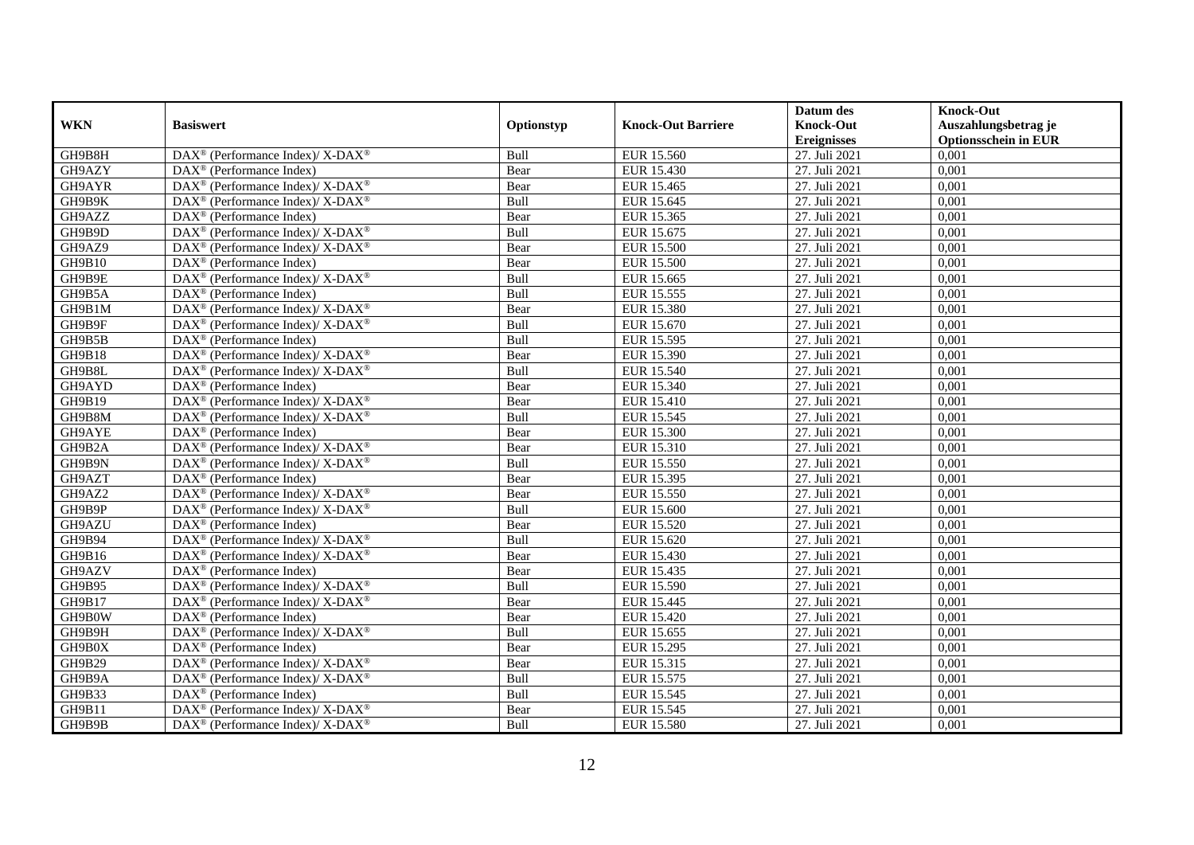|               |                                                                                         |            |                           | Datum des                              | <b>Knock-Out</b>                                    |
|---------------|-----------------------------------------------------------------------------------------|------------|---------------------------|----------------------------------------|-----------------------------------------------------|
| <b>WKN</b>    | <b>Basiswert</b>                                                                        | Optionstyp | <b>Knock-Out Barriere</b> | <b>Knock-Out</b><br><b>Ereignisses</b> | Auszahlungsbetrag je<br><b>Optionsschein in EUR</b> |
| GH9B8H        | DAX <sup>®</sup> (Performance Index)/ X-DAX <sup>®</sup>                                | Bull       | EUR 15.560                | 27. Juli 2021                          | 0,001                                               |
| GH9AZY        | $DAX^{\circledR}$ (Performance Index)                                                   | Bear       | EUR 15.430                | 27. Juli 2021                          | 0,001                                               |
| GH9AYR        | $\text{DAX}^{\circledast}$ (Performance Index)/X-DAX <sup>®</sup>                       | Bear       | EUR 15.465                | 27. Juli 2021                          | 0,001                                               |
| GH9B9K        | DAX <sup>®</sup> (Performance Index)/ X-DAX <sup>®</sup>                                | Bull       | EUR 15.645                | 27. Juli 2021                          | 0,001                                               |
| GH9AZZ        | DAX <sup>®</sup> (Performance Index)                                                    | Bear       | EUR 15.365                | 27. Juli 2021                          | 0,001                                               |
| GH9B9D        | $DAX^{\circledast}$ (Performance Index)/ $\overline{X-DAX^{\circledast}}$               | Bull       | EUR 15.675                | 27. Juli 2021                          | 0,001                                               |
| GH9AZ9        | DAX <sup>®</sup> (Performance Index)/ X-DAX <sup>®</sup>                                | Bear       | <b>EUR 15.500</b>         | 27. Juli 2021                          | 0,001                                               |
| GH9B10        | $DAX^{\circledcirc}$ (Performance Index)                                                | Bear       | <b>EUR 15.500</b>         | 27. Juli 2021                          | 0,001                                               |
| GH9B9E        | DAX <sup>®</sup> (Performance Index)/X-DAX <sup>®</sup>                                 | Bull       | EUR 15.665                | 27. Juli 2021                          | 0,001                                               |
| GH9B5A        | $DAX^{\circledast}$ (Performance Index)                                                 | Bull       | EUR 15.555                | 27. Juli 2021                          | 0,001                                               |
| GH9B1M        | DAX <sup>®</sup> (Performance Index)/ X-DAX <sup>®</sup>                                | Bear       | <b>EUR 15.380</b>         | 27. Juli 2021                          | 0,001                                               |
| GH9B9F        | $\text{DAX}^{\circledR}$ (Performance Index)/ X-DAX <sup>®</sup>                        | Bull       | EUR 15.670                | 27. Juli 2021                          | 0,001                                               |
| GH9B5B        | $DAX^{\circledast}$ (Performance Index)                                                 | Bull       | EUR 15.595                | 27. Juli 2021                          | 0,001                                               |
| <b>GH9B18</b> | $DAX^{\circledast}$ (Performance Index)/X-DAX <sup>®</sup>                              | Bear       | EUR 15.390                | 27. Juli 2021                          | 0,001                                               |
| GH9B8L        | DAX <sup>®</sup> (Performance Index)/ X-DAX <sup>®</sup>                                | Bull       | <b>EUR 15.540</b>         | 27. Juli 2021                          | 0,001                                               |
| GH9AYD        | DAX <sup>®</sup> (Performance Index)                                                    | Bear       | <b>EUR 15.340</b>         | 27. Juli 2021                          | 0,001                                               |
| GH9B19        | DAX <sup>®</sup> (Performance Index)/ X-DAX <sup>®</sup>                                | Bear       | <b>EUR 15.410</b>         | 27. Juli 2021                          | 0,001                                               |
| GH9B8M        | DAX <sup>®</sup> (Performance Index)/ X-DAX <sup>®</sup>                                | Bull       | EUR 15.545                | 27. Juli 2021                          | 0,001                                               |
| GH9AYE        | $\text{DAX}^{\textcircled{}}$ (Performance Index)                                       | Bear       | <b>EUR 15.300</b>         | 27. Juli 2021                          | 0,001                                               |
| GH9B2A        | $\text{DAX}^{\circledR}$ (Performance Index)/ X-DAX <sup>®</sup>                        | Bear       | EUR 15.310                | 27. Juli 2021                          | 0,001                                               |
| GH9B9N        | DAX <sup>®</sup> (Performance Index)/X-DAX <sup>®</sup>                                 | Bull       | EUR 15.550                | 27. Juli 2021                          | 0,001                                               |
| GH9AZT        | $DAX^{\circledcirc}$ (Performance Index)                                                | Bear       | EUR 15.395                | 27. Juli 2021                          | 0,001                                               |
| GH9AZ2        | DAX <sup>®</sup> (Performance Index)/ X-DAX <sup>®</sup>                                | Bear       | <b>EUR 15.550</b>         | 27. Juli 2021                          | 0,001                                               |
| GH9B9P        | DAX <sup>®</sup> (Performance Index)/ X-DAX <sup>®</sup>                                | Bull       | <b>EUR 15.600</b>         | 27. Juli 2021                          | 0,001                                               |
| GH9AZU        | $DAX^{\circledcirc}$ (Performance Index)                                                | Bear       | <b>EUR 15.520</b>         | 27. Juli 2021                          | 0,001                                               |
| GH9B94        | $DAX^{\circledast}$ (Performance Index)/ X-DAX <sup>®</sup>                             | Bull       | EUR 15.620                | 27. Juli 2021                          | 0,001                                               |
| GH9B16        | DAX <sup>®</sup> (Performance Index)/X-DAX <sup>®</sup>                                 | Bear       | <b>EUR 15.430</b>         | 27. Juli 2021                          | 0,001                                               |
| GH9AZV        | $DAX^{\circledast}$ (Performance Index)                                                 | Bear       | EUR 15.435                | 27. Juli 2021                          | 0,001                                               |
| GH9B95        | DAX <sup>®</sup> (Performance Index)/ X-DAX <sup>®</sup>                                | Bull       | EUR 15.590                | 27. Juli 2021                          | 0,001                                               |
| GH9B17        | DAX <sup>®</sup> (Performance Index)/ X-DAX <sup>®</sup>                                | Bear       | EUR 15.445                | 27. Juli 2021                          | 0,001                                               |
| GH9B0W        | $DAX^{\circledR}$ (Performance Index)                                                   | Bear       | <b>EUR 15.420</b>         | 27. Juli 2021                          | 0,001                                               |
| GH9B9H        | $\text{DAX}^{\circledast}$ (Performance Index)/ $\overline{\text{X-DAX}^{\circledast}}$ | Bull       | EUR 15.655                | 27. Juli 2021                          | 0,001                                               |
| GH9B0X        | $DAX^{\circledast}$ (Performance Index)                                                 | Bear       | EUR 15.295                | 27. Juli 2021                          | 0,001                                               |
| <b>GH9B29</b> | $\text{DAX}^{\circledR}$ (Performance Index)/ X-DAX $^{\circledR}$                      | Bear       | EUR 15.315                | 27. Juli 2021                          | 0,001                                               |
| GH9B9A        | DAX <sup>®</sup> (Performance Index)/ X-DAX <sup>®</sup>                                | Bull       | EUR 15.575                | 27. Juli 2021                          | 0,001                                               |
| GH9B33        | $DAX^{\circledast}$ (Performance Index)                                                 | Bull       | EUR 15.545                | 27. Juli 2021                          | 0,001                                               |
| GH9B11        | DAX <sup>®</sup> (Performance Index)/X-DAX <sup>®</sup>                                 | Bear       | EUR 15.545                | 27. Juli 2021                          | 0,001                                               |
| GH9B9B        | $DAX^{\circledast}$ (Performance Index)/ X-DAX <sup>®</sup>                             | Bull       | <b>EUR 15.580</b>         | 27. Juli 2021                          | 0,001                                               |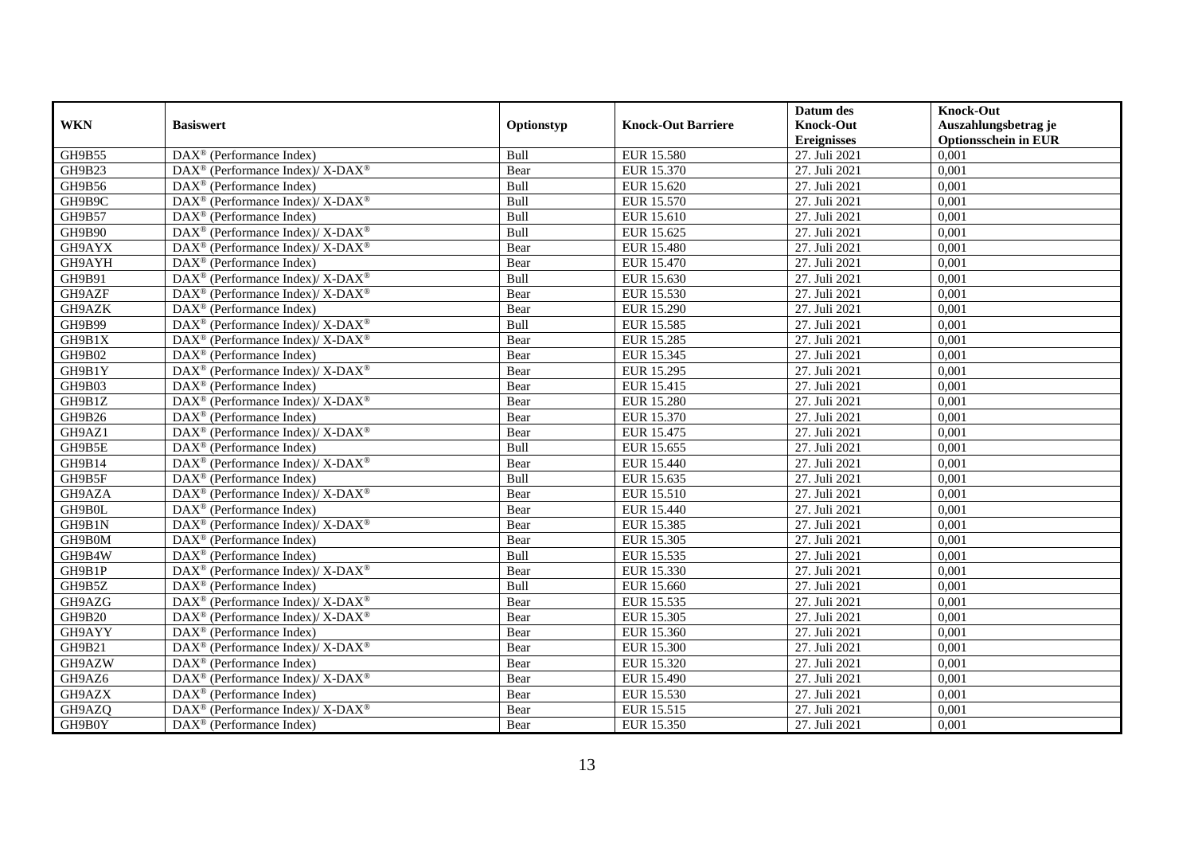|               |                                                             |            |                           | Datum des          | <b>Knock-Out</b>            |
|---------------|-------------------------------------------------------------|------------|---------------------------|--------------------|-----------------------------|
| <b>WKN</b>    | <b>Basiswert</b>                                            | Optionstyp | <b>Knock-Out Barriere</b> | <b>Knock-Out</b>   | Auszahlungsbetrag je        |
|               |                                                             |            |                           | <b>Ereignisses</b> | <b>Optionsschein in EUR</b> |
| GH9B55        | DAX <sup>®</sup> (Performance Index)                        | Bull       | <b>EUR 15.580</b>         | 27. Juli 2021      | 0,001                       |
| GH9B23        | DAX <sup>®</sup> (Performance Index)/X-DAX <sup>®</sup>     | Bear       | EUR 15.370                | 27. Juli 2021      | 0,001                       |
| GH9B56        | $DAX^{\circledR}$ (Performance Index)                       | Bull       | EUR 15.620                | 27. Juli 2021      | 0,001                       |
| GH9B9C        | DAX <sup>®</sup> (Performance Index)/ X-DAX <sup>®</sup>    | Bull       | EUR 15.570                | 27. Juli 2021      | 0,001                       |
| GH9B57        | DAX <sup>®</sup> (Performance Index)                        | Bull       | EUR 15.610                | 27. Juli 2021      | 0,001                       |
| <b>GH9B90</b> | $DAX^{\circledast}$ (Performance Index)/ X-DAX <sup>®</sup> | Bull       | EUR 15.625                | 27. Juli 2021      | 0,001                       |
| GH9AYX        | DAX <sup>®</sup> (Performance Index)/X-DAX <sup>®</sup>     | Bear       | <b>EUR 15.480</b>         | 27. Juli 2021      | 0,001                       |
| GH9AYH        | $DAX^{\circledast}$ (Performance Index)                     | Bear       | EUR 15.470                | 27. Juli 2021      | 0,001                       |
| GH9B91        | DAX <sup>®</sup> (Performance Index)/ X-DAX <sup>®</sup>    | Bull       | EUR 15.630                | 27. Juli 2021      | 0,001                       |
| GH9AZF        | DAX <sup>®</sup> (Performance Index)/X-DAX <sup>®</sup>     | Bear       | EUR 15.530                | 27. Juli 2021      | 0,001                       |
| GH9AZK        | $DAX^{\circledR}$ (Performance Index)                       | Bear       | <b>EUR 15.290</b>         | 27. Juli 2021      | 0,001                       |
| GH9B99        | DAX <sup>®</sup> (Performance Index)/ X-DAX <sup>®</sup>    | Bull       | EUR 15.585                | 27. Juli 2021      | 0,001                       |
| GH9B1X        | DAX <sup>®</sup> (Performance Index)/ X-DAX <sup>®</sup>    | Bear       | <b>EUR 15.285</b>         | 27. Juli 2021      | 0,001                       |
| GH9B02        | DAX <sup>®</sup> (Performance Index)                        | Bear       | EUR 15.345                | 27. Juli 2021      | 0,001                       |
| GH9B1Y        | DAX <sup>®</sup> (Performance Index)/ X-DAX <sup>®</sup>    | Bear       | EUR 15.295                | 27. Juli 2021      | 0,001                       |
| GH9B03        | $\overline{\text{DAX}}^{\textcirc}$ (Performance Index)     | Bear       | EUR 15.415                | 27. Juli 2021      | 0,001                       |
| GH9B1Z        | DAX <sup>®</sup> (Performance Index)/ X-DAX <sup>®</sup>    | Bear       | <b>EUR 15.280</b>         | 27. Juli 2021      | 0,001                       |
| GH9B26        | $DAX^{\circledast}$ (Performance Index)                     | Bear       | EUR 15.370                | 27. Juli 2021      | 0,001                       |
| GH9AZ1        | DAX <sup>®</sup> (Performance Index)/X-DAX <sup>®</sup>     | Bear       | EUR 15.475                | 27. Juli 2021      | 0,001                       |
| GH9B5E        | $DAX^{\circledast}$ (Performance Index)                     | Bull       | EUR 15.655                | 27. Juli 2021      | 0,001                       |
| GH9B14        | DAX <sup>®</sup> (Performance Index)/ X-DAX <sup>®</sup>    | Bear       | <b>EUR 15.440</b>         | 27. Juli 2021      | 0,001                       |
| GH9B5F        | $DAX^{\circledR}$ (Performance Index)                       | Bull       | EUR 15.635                | 27. Juli 2021      | 0,001                       |
| GH9AZA        | $DAX^{\circledast}$ (Performance Index)/ X-DAX <sup>®</sup> | Bear       | EUR 15.510                | 27. Juli 2021      | 0,001                       |
| GH9B0L        | $DAX^{\circledR}$ (Performance Index)                       | Bear       | EUR 15.440                | 27. Juli 2021      | 0,001                       |
| GH9B1N        | DAX <sup>®</sup> (Performance Index)/ X-DAX <sup>®</sup>    | Bear       | EUR 15.385                | 27. Juli 2021      | 0,001                       |
| GH9B0M        | DAX <sup>®</sup> (Performance Index)                        | Bear       | EUR 15.305                | 27. Juli 2021      | 0,001                       |
| GH9B4W        | $\overline{\text{DAX}^{\otimes}}$ (Performance Index)       | Bull       | EUR 15.535                | 27. Juli 2021      | 0,001                       |
| GH9B1P        | DAX <sup>®</sup> (Performance Index)/ X-DAX <sup>®</sup>    | Bear       | EUR 15.330                | 27. Juli 2021      | 0,001                       |
| GH9B5Z        | $DAX^{\circledast}$ (Performance Index)                     | Bull       | EUR 15.660                | 27. Juli 2021      | 0,001                       |
| GH9AZG        | $DAX^{\circledast}$ (Performance Index)/ X-DAX <sup>®</sup> | Bear       | EUR 15.535                | 27. Juli 2021      | 0,001                       |
| <b>GH9B20</b> | DAX <sup>®</sup> (Performance Index)/ X-DAX <sup>®</sup>    | Bear       | EUR 15.305                | 27. Juli 2021      | 0,001                       |
| GH9AYY        | $DAX^{\circledast}$ (Performance Index)                     | Bear       | EUR 15.360                | 27. Juli 2021      | 0,001                       |
| GH9B21        | DAX <sup>®</sup> (Performance Index)/X-DAX <sup>®</sup>     | Bear       | <b>EUR 15.300</b>         | 27. Juli 2021      | 0,001                       |
| GH9AZW        | DAX <sup>®</sup> (Performance Index)                        | Bear       | EUR 15.320                | 27. Juli 2021      | 0,001                       |
| GH9AZ6        | $DAX^{\circledast}$ (Performance Index)/ X-DAX <sup>®</sup> | Bear       | EUR 15.490                | 27. Juli 2021      | 0,001                       |
| GH9AZX        | $DAX^{\circledast}$ (Performance Index)                     | Bear       | EUR 15.530                | 27. Juli 2021      | 0,001                       |
| GH9AZQ        | DAX <sup>®</sup> (Performance Index)/ X-DAX <sup>®</sup>    | Bear       | EUR 15.515                | 27. Juli 2021      | 0,001                       |
| GH9B0Y        | $\text{DAX}^{\textcircled{}}$ (Performance Index)           | Bear       | EUR 15.350                | 27. Juli 2021      | 0,001                       |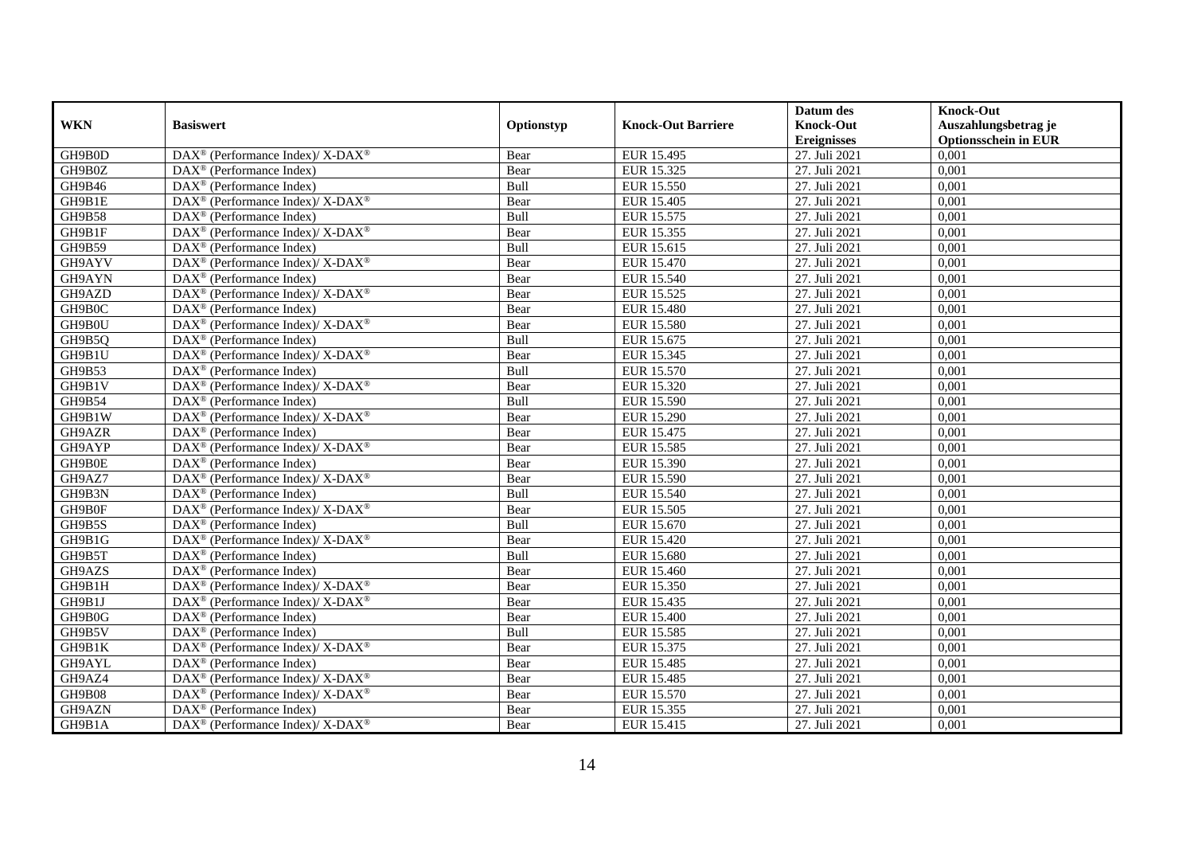|               |                                                                           |            |                           | Datum des          | <b>Knock-Out</b>            |
|---------------|---------------------------------------------------------------------------|------------|---------------------------|--------------------|-----------------------------|
| <b>WKN</b>    | <b>Basiswert</b>                                                          | Optionstyp | <b>Knock-Out Barriere</b> | <b>Knock-Out</b>   | Auszahlungsbetrag je        |
|               |                                                                           |            |                           | <b>Ereignisses</b> | <b>Optionsschein in EUR</b> |
| GH9B0D        | DAX <sup>®</sup> (Performance Index)/ X-DAX <sup>®</sup>                  | Bear       | EUR 15.495                | 27. Juli 2021      | 0,001                       |
| GH9B0Z        | $DAX^{\circledast}$ (Performance Index)                                   | Bear       | EUR 15.325                | 27. Juli 2021      | 0,001                       |
| GH9B46        | $DAX^{\circledR}$ (Performance Index)                                     | Bull       | EUR 15.550                | 27. Juli 2021      | 0,001                       |
| GH9B1E        | DAX <sup>®</sup> (Performance Index)/ X-DAX <sup>®</sup>                  | Bear       | EUR 15.405                | 27. Juli 2021      | 0,001                       |
| <b>GH9B58</b> | DAX <sup>®</sup> (Performance Index)                                      | Bull       | EUR 15.575                | 27. Juli 2021      | 0,001                       |
| GH9B1F        | DAX <sup>®</sup> (Performance Index)/ X-DAX <sup>®</sup>                  | Bear       | EUR 15.355                | 27. Juli 2021      | 0,001                       |
| GH9B59        | $DAX^{\circledR}$ (Performance Index)                                     | Bull       | EUR 15.615                | 27. Juli 2021      | 0,001                       |
| GH9AYV        | $DAX^{\circledast}$ (Performance Index)/ X-DAX <sup>®</sup>               | Bear       | EUR 15.470                | 27. Juli 2021      | 0,001                       |
| GH9AYN        | $\text{DAX}^{\textcircled{n}}$ (Performance Index)                        | Bear       | EUR 15.540                | 27. Juli 2021      | 0,001                       |
| GH9AZD        | DAX <sup>®</sup> (Performance Index)/ X-DAX <sup>®</sup>                  | Bear       | EUR 15.525                | 27. Juli 2021      | 0,001                       |
| GH9B0C        | $DAX^{\circledR}$ (Performance Index)                                     | Bear       | <b>EUR 15.480</b>         | 27. Juli 2021      | 0,001                       |
| GH9B0U        | DAX <sup>®</sup> (Performance Index)/ X-DAX <sup>®</sup>                  | Bear       | <b>EUR 15.580</b>         | 27. Juli 2021      | 0,001                       |
| GH9B5Q        | $DAX^{\circledast}$ (Performance Index)                                   | Bull       | EUR 15.675                | 27. Juli 2021      | 0,001                       |
| GH9B1U        | DAX <sup>®</sup> (Performance Index)/ X-DAX <sup>®</sup>                  | Bear       | EUR 15.345                | 27. Juli 2021      | 0,001                       |
| GH9B53        | $DAX^{\circledast}$ (Performance Index)                                   | Bull       | EUR 15.570                | 27. Juli 2021      | 0,001                       |
| GH9B1V        | DAX <sup>®</sup> (Performance Index)/ X-DAX <sup>®</sup>                  | Bear       | EUR 15.320                | 27. Juli 2021      | 0,001                       |
| GH9B54        | $DAX^{\circledast}$ (Performance Index)                                   | Bull       | EUR 15.590                | 27. Juli 2021      | 0,001                       |
| GH9B1W        | $DAX^{\circledast}$ (Performance Index)/ $\overline{X-DAX^{\circledast}}$ | Bear       | EUR 15.290                | 27. Juli 2021      | 0,001                       |
| GH9AZR        | $DAX^{\circledast}$ (Performance Index)                                   | Bear       | EUR 15.475                | 27. Juli 2021      | 0,001                       |
| GH9AYP        | $\text{DAX}^{\circledast}$ (Performance Index)/X-DAX <sup>®</sup>         | Bear       | EUR 15.585                | 27. Juli 2021      | 0,001                       |
| GH9B0E        | DAX <sup>®</sup> (Performance Index)                                      | Bear       | EUR 15.390                | 27. Juli 2021      | 0,001                       |
| GH9AZ7        | DAX <sup>®</sup> (Performance Index)/X-DAX <sup>®</sup>                   | Bear       | EUR 15.590                | 27. Juli 2021      | 0,001                       |
| GH9B3N        | $\text{DAX}^{\textcircled{}}$ (Performance Index)                         | Bull       | EUR 15.540                | 27. Juli 2021      | 0,001                       |
| GH9B0F        | $DAX^{\circledast}$ (Performance Index)/ X-DAX <sup>®</sup>               | Bear       | <b>EUR 15.505</b>         | 27. Juli 2021      | 0,001                       |
| GH9B5S        | $DAX^{\circledcirc}$ (Performance Index)                                  | Bull       | EUR 15.670                | 27. Juli 2021      | 0.001                       |
| GH9B1G        | DAX <sup>®</sup> (Performance Index)/ X-DAX <sup>®</sup>                  | Bear       | EUR 15.420                | 27. Juli 2021      | 0,001                       |
| GH9B5T        | DAX <sup>®</sup> (Performance Index)                                      | Bull       | <b>EUR 15.680</b>         | 27. Juli 2021      | 0,001                       |
| GH9AZS        | $DAX^{\circledR}$ (Performance Index)                                     | Bear       | EUR 15.460                | 27. Juli 2021      | 0,001                       |
| GH9B1H        | DAX <sup>®</sup> (Performance Index)/ X-DAX <sup>®</sup>                  | Bear       | EUR 15.350                | 27. Juli 2021      | 0,001                       |
| GH9B1J        | $DAX^{\circledast}$ (Performance Index)/ X-DAX <sup>®</sup>               | Bear       | EUR 15.435                | 27. Juli 2021      | 0,001                       |
| GH9B0G        | $DAX^{\circledast}$ (Performance Index)                                   | Bear       | <b>EUR 15.400</b>         | 27. Juli 2021      | 0,001                       |
| GH9B5V        | $DAX^{\circledR}$ (Performance Index)                                     | Bull       | EUR 15.585                | 27. Juli 2021      | 0,001                       |
| GH9B1K        | DAX <sup>®</sup> (Performance Index)/X-DAX <sup>®</sup>                   | Bear       | EUR 15.375                | 27. Juli 2021      | 0,001                       |
| GH9AYL        | $\overline{\text{DAX}^{\otimes}}$ (Performance Index)                     | Bear       | <b>EUR 15.485</b>         | 27. Juli 2021      | 0,001                       |
| GH9AZ4        | DAX <sup>®</sup> (Performance Index)/ X-DAX <sup>®</sup>                  | Bear       | EUR 15.485                | 27. Juli 2021      | 0,001                       |
| GH9B08        | $DAX^{\circledast}$ (Performance Index)/ X-DAX <sup>®</sup>               | Bear       | EUR 15.570                | 27. Juli 2021      | 0,001                       |
| GH9AZN        | DAX <sup>®</sup> (Performance Index)                                      | Bear       | EUR 15.355                | 27. Juli 2021      | 0,001                       |
| GH9B1A        | $DAX^{\circledast}$ (Performance Index)/ X-DAX <sup>®</sup>               | Bear       | EUR 15.415                | 27. Juli 2021      | 0,001                       |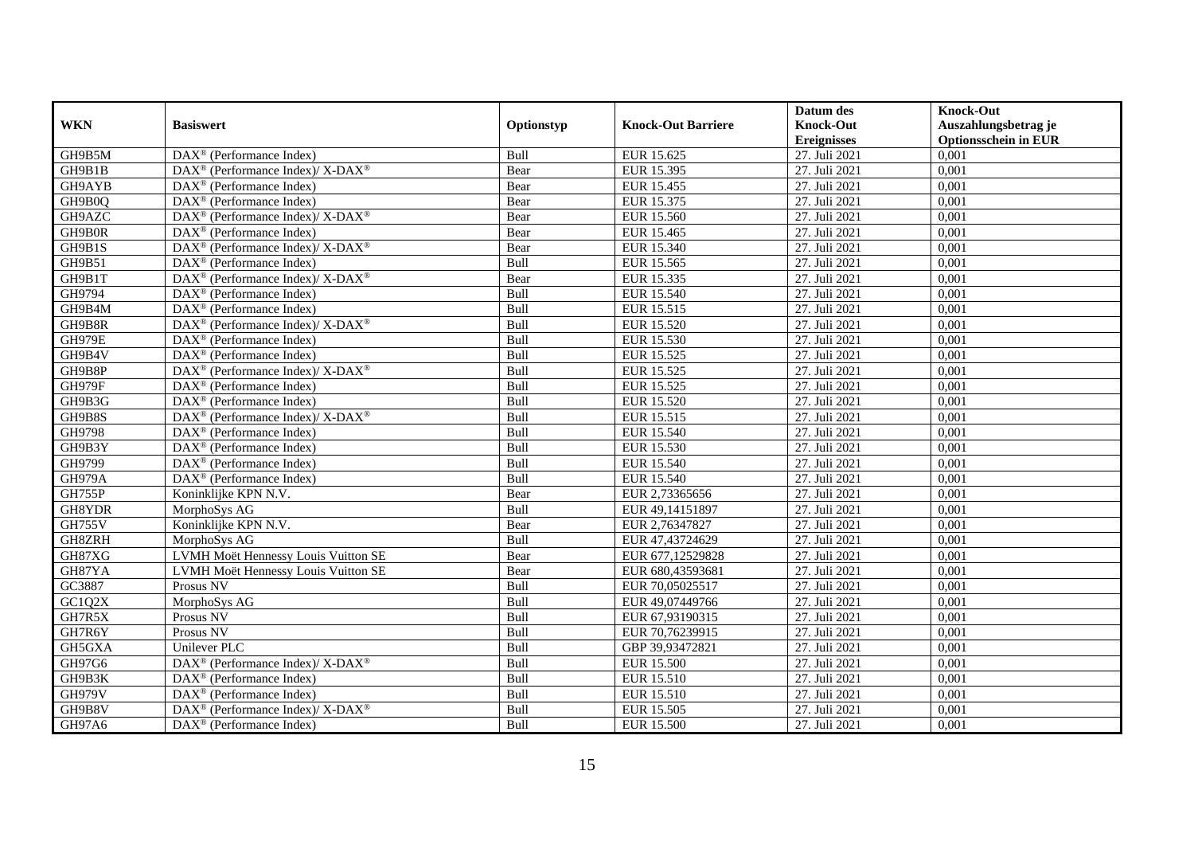|               |                                                                    |            |                           | Datum des          | <b>Knock-Out</b>            |
|---------------|--------------------------------------------------------------------|------------|---------------------------|--------------------|-----------------------------|
| <b>WKN</b>    | <b>Basiswert</b>                                                   | Optionstyp | <b>Knock-Out Barriere</b> | <b>Knock-Out</b>   | Auszahlungsbetrag je        |
|               |                                                                    |            |                           | <b>Ereignisses</b> | <b>Optionsschein in EUR</b> |
| GH9B5M        | $\overline{\text{DAX}^{\otimes}}$ (Performance Index)              | Bull       | EUR 15.625                | 27. Juli 2021      | 0,001                       |
| GH9B1B        | $\text{DAX}^{\circledR}$ (Performance Index)/ X-DAX <sup>®</sup>   | Bear       | EUR 15.395                | 27. Juli 2021      | 0,001                       |
| GH9AYB        | DAX <sup>®</sup> (Performance Index)                               | Bear       | EUR 15.455                | 27. Juli 2021      | 0,001                       |
| GH9B0Q        | $\text{DAX}^{\circledast}$ (Performance Index)                     | Bear       | EUR 15.375                | 27. Juli 2021      | 0,001                       |
| GH9AZC        | DAX <sup>®</sup> (Performance Index)/ X-DAX <sup>®</sup>           | Bear       | EUR 15.560                | 27. Juli 2021      | 0,001                       |
| GH9B0R        | $\text{DAX}^{\textcircled{n}}$ (Performance Index)                 | Bear       | EUR 15.465                | 27. Juli 2021      | 0,001                       |
| GH9B1S        | $\text{DAX}^{\circledast}$ (Performance Index)/ X-DAX <sup>®</sup> | Bear       | EUR 15.340                | 27. Juli 2021      | 0,001                       |
| GH9B51        | $\text{DAX}^{\textcircled{p}}$ (Performance Index)                 | Bull       | EUR 15.565                | 27. Juli 2021      | 0,001                       |
| GH9B1T        | $\text{DAX}^{\circledR}$ (Performance Index)/ X-DAX <sup>®</sup>   | Bear       | EUR 15.335                | 27. Juli 2021      | 0,001                       |
| GH9794        | $DAX^{\otimes}$ (Performance Index)                                | Bull       | EUR 15.540                | 27. Juli 2021      | 0,001                       |
| GH9B4M        | $\overline{\text{DAX}^{\otimes}}$ (Performance Index)              | Bull       | EUR 15.515                | 27. Juli 2021      | 0,001                       |
| GH9B8R        | DAX <sup>®</sup> (Performance Index)/ X-DAX <sup>®</sup>           | Bull       | <b>EUR 15.520</b>         | 27. Juli 2021      | 0,001                       |
| <b>GH979E</b> | $\text{DAX}^{\circledast}$ (Performance Index)                     | Bull       | EUR 15.530                | 27. Juli 2021      | 0,001                       |
| GH9B4V        | $\text{DAX}^{\circledast}$ (Performance Index)                     | Bull       | EUR 15.525                | 27. Juli 2021      | 0,001                       |
| GH9B8P        | DAX <sup>®</sup> (Performance Index)/ X-DAX <sup>®</sup>           | Bull       | EUR 15.525                | 27. Juli 2021      | 0,001                       |
| GH979F        | DAX <sup>®</sup> (Performance Index)                               | Bull       | EUR 15.525                | 27. Juli 2021      | 0,001                       |
| GH9B3G        | DAX <sup>®</sup> (Performance Index)                               | Bull       | EUR 15.520                | 27. Juli 2021      | 0,001                       |
| GH9B8S        | $DAX^{\circledcirc}$ (Performance Index)/X-DAX <sup>®</sup>        | Bull       | EUR 15.515                | 27. Juli 2021      | 0,001                       |
| GH9798        | DAX <sup>®</sup> (Performance Index)                               | Bull       | EUR 15.540                | 27. Juli 2021      | 0,001                       |
| GH9B3Y        | $\overline{\text{DAX}^{\otimes}}$ (Performance Index)              | Bull       | EUR 15.530                | 27. Juli 2021      | 0,001                       |
| GH9799        | $\overline{\text{DAX}^{\otimes}}$ (Performance Index)              | Bull       | EUR 15.540                | 27. Juli 2021      | 0,001                       |
| <b>GH979A</b> | $\overline{\text{DAX}^{\otimes}}$ (Performance Index)              | Bull       | EUR 15.540                | 27. Juli 2021      | 0,001                       |
| GH755P        | Koninklijke KPN N.V.                                               | Bear       | EUR 2,73365656            | 27. Juli 2021      | 0,001                       |
| GH8YDR        | MorphoSys AG                                                       | Bull       | EUR 49,14151897           | 27. Juli 2021      | 0,001                       |
| <b>GH755V</b> | Koninklijke KPN N.V.                                               | Bear       | EUR 2,76347827            | 27. Juli 2021      | 0,001                       |
| GH8ZRH        | MorphoSys AG                                                       | Bull       | EUR 47,43724629           | 27. Juli 2021      | 0,001                       |
| GH87XG        | LVMH Moët Hennessy Louis Vuitton SE                                | Bear       | EUR 677,12529828          | 27. Juli 2021      | 0,001                       |
| GH87YA        | LVMH Moët Hennessy Louis Vuitton SE                                | Bear       | EUR 680,43593681          | 27. Juli 2021      | 0,001                       |
| GC3887        | <b>Prosus NV</b>                                                   | Bull       | EUR 70,05025517           | 27. Juli 2021      | 0,001                       |
| GCIQ2X        | MorphoSys AG                                                       | Bull       | EUR 49,07449766           | 27. Juli 2021      | 0,001                       |
| GH7R5X        | Prosus NV                                                          | Bull       | EUR 67,93190315           | 27. Juli 2021      | 0,001                       |
| GH7R6Y        | Prosus NV                                                          | Bull       | EUR 70,76239915           | 27. Juli 2021      | 0,001                       |
| GH5GXA        | <b>Unilever PLC</b>                                                | Bull       | GBP 39,93472821           | 27. Juli 2021      | 0,001                       |
| GH97G6        | $\text{DAX}^{\circledR}$ (Performance Index)/ X-DAX <sup>®</sup>   | Bull       | <b>EUR 15.500</b>         | 27. Juli 2021      | 0,001                       |
| GH9B3K        | $\text{DAX}^{\textcircled{n}}$ (Performance Index)                 | Bull       | EUR 15.510                | 27. Juli 2021      | 0,001                       |
| <b>GH979V</b> | DAX <sup>®</sup> (Performance Index)                               | Bull       | EUR 15.510                | 27. Juli 2021      | 0,001                       |
| GH9B8V        | DAX <sup>®</sup> (Performance Index)/ X-DAX <sup>®</sup>           | Bull       | EUR 15.505                | 27. Juli 2021      | 0,001                       |
| GH97A6        | $\text{DAX}^{\textcircled{n}}$ (Performance Index)                 | Bull       | <b>EUR 15.500</b>         | 27. Juli 2021      | 0,001                       |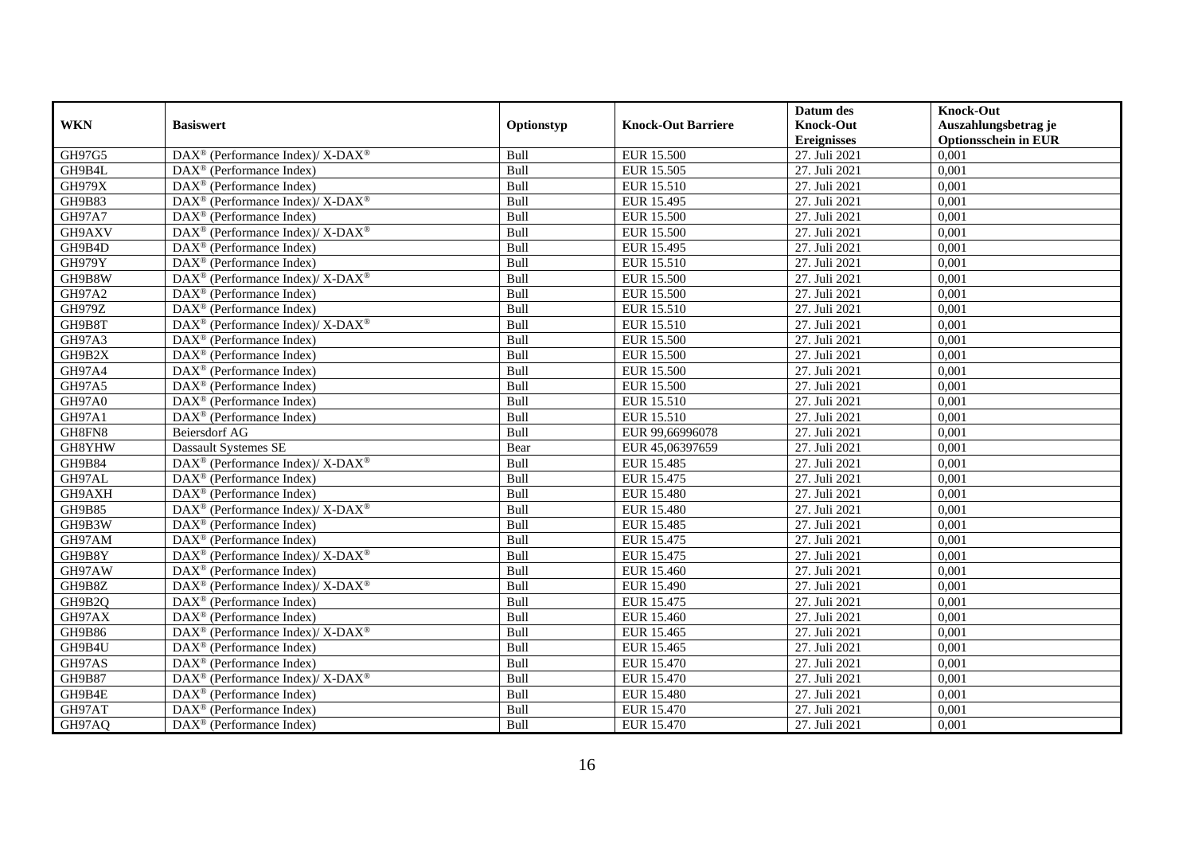|               |                                                                          |             |                           | Datum des          | <b>Knock-Out</b>            |
|---------------|--------------------------------------------------------------------------|-------------|---------------------------|--------------------|-----------------------------|
| <b>WKN</b>    | <b>Basiswert</b>                                                         | Optionstyp  | <b>Knock-Out Barriere</b> | <b>Knock-Out</b>   | Auszahlungsbetrag je        |
|               |                                                                          |             |                           | <b>Ereignisses</b> | <b>Optionsschein in EUR</b> |
| GH97G5        | DAX <sup>®</sup> (Performance Index)/X-DAX <sup>®</sup>                  | Bull        | <b>EUR 15.500</b>         | 27. Juli 2021      | 0,001                       |
| GH9B4L        | $\text{DAX}^{\circledast}$ (Performance Index)                           | Bull        | EUR 15.505                | 27. Juli 2021      | 0,001                       |
| <b>GH979X</b> | $DAX^{\circledR}$ (Performance Index)                                    | Bull        | EUR 15.510                | 27. Juli 2021      | 0,001                       |
| GH9B83        | $\text{DAX}^{\circledR}$ (Performance Index)/ X-DAX <sup>®</sup>         | Bull        | EUR 15.495                | 27. Juli 2021      | 0,001                       |
| GH97A7        | DAX <sup>®</sup> (Performance Index)                                     | Bull        | <b>EUR 15.500</b>         | 27. Juli 2021      | 0,001                       |
| GH9AXV        | $\text{DAX}^{\textcircled{p}}$ (Performance Index)/X-DAX <sup>®</sup>    | Bull        | <b>EUR 15.500</b>         | 27. Juli 2021      | 0,001                       |
| GH9B4D        | $\text{DAX}^{\textcircled{D}}$ (Performance Index)                       | Bull        | EUR 15.495                | 27. Juli 2021      | 0,001                       |
| <b>GH979Y</b> | $\overline{\text{DAX}}^{\textcirc}$ (Performance Index)                  | Bull        | EUR 15.510                | 27. Juli 2021      | 0,001                       |
| GH9B8W        | DAX <sup>®</sup> (Performance Index)/ X-DAX <sup>®</sup>                 | Bull        | <b>EUR 15.500</b>         | 27. Juli 2021      | 0,001                       |
| <b>GH97A2</b> | DAX <sup>®</sup> (Performance Index)                                     | Bull        | <b>EUR 15.500</b>         | 27. Juli 2021      | 0,001                       |
| <b>GH979Z</b> | $\overline{\text{DAX}^{\otimes}}$ (Performance Index)                    | Bull        | EUR 15.510                | 27. Juli 2021      | 0,001                       |
| GH9B8T        | $\overline{\text{DAX}^{\otimes}}$ (Performance Index)/X-DAX <sup>®</sup> | Bull        | EUR 15.510                | 27. Juli 2021      | 0,001                       |
| <b>GH97A3</b> | $\text{DAX}^{\circledast}$ (Performance Index)                           | Bull        | <b>EUR 15.500</b>         | 27. Juli 2021      | 0,001                       |
| GH9B2X        | DAX <sup>®</sup> (Performance Index)                                     | <b>Bull</b> | <b>EUR 15.500</b>         | 27. Juli 2021      | 0.001                       |
| GH97A4        | $\overline{\text{DAX}^{\otimes}}$ (Performance Index)                    | Bull        | <b>EUR 15.500</b>         | 27. Juli 2021      | 0,001                       |
| GH97A5        | DAX <sup>®</sup> (Performance Index)                                     | Bull        | <b>EUR 15.500</b>         | 27. Juli 2021      | 0,001                       |
| GH97A0        | DAX <sup>®</sup> (Performance Index)                                     | Bull        | EUR 15.510                | 27. Juli 2021      | 0,001                       |
| GH97A1        | DAX <sup>®</sup> (Performance Index)                                     | Bull        | EUR 15.510                | 27. Juli 2021      | 0,001                       |
| GH8FN8        | <b>Beiersdorf AG</b>                                                     | Bull        | EUR 99,66996078           | 27. Juli 2021      | 0,001                       |
| GH8YHW        | Dassault Systemes SE                                                     | Bear        | EUR 45,06397659           | 27. Juli 2021      | 0,001                       |
| GH9B84        | DAX <sup>®</sup> (Performance Index)/ X-DAX <sup>®</sup>                 | Bull        | <b>EUR 15.485</b>         | 27. Juli 2021      | 0,001                       |
| GH97AL        | $\text{DAX}^{\textcircled{p}}$ (Performance Index)                       | Bull        | EUR 15.475                | 27. Juli 2021      | 0,001                       |
| GH9AXH        | $\text{DAX}^{\textcircled{D}}$ (Performance Index)                       | Bull        | EUR 15.480                | 27. Juli 2021      | 0,001                       |
| <b>GH9B85</b> | DAX <sup>®</sup> (Performance Index)/ X-DAX <sup>®</sup>                 | Bull        | <b>EUR 15.480</b>         | 27. Juli 2021      | 0,001                       |
| GH9B3W        | $DAX^{\circledR}$ (Performance Index)                                    | Bull        | EUR 15.485                | 27. Juli 2021      | 0,001                       |
| GH97AM        | $\overline{\text{DAX}^{\otimes}}$ (Performance Index)                    | Bull        | EUR 15.475                | 27. Juli 2021      | 0,001                       |
| GH9B8Y        | $\text{DAX}^{\circledR}$ (Performance Index)/ X-DAX <sup>®</sup>         | Bull        | EUR 15.475                | 27. Juli 2021      | 0,001                       |
| GH97AW        | DAX <sup>®</sup> (Performance Index)                                     | Bull        | EUR 15.460                | 27. Juli 2021      | 0,001                       |
| GH9B8Z        | $\text{DAX}^{\circledast}$ (Performance Index)/ X-DAX <sup>®</sup>       | Bull        | EUR 15.490                | 27. Juli 2021      | 0,001                       |
| GH9B2Q        | $\text{DAX}^{\textcircled{n}}$ (Performance Index)                       | Bull        | EUR 15.475                | 27. Juli 2021      | 0,001                       |
| GH97AX        | $\text{DAX}^{\textcircled{D}}$ (Performance Index)                       | Bull        | EUR 15.460                | 27. Juli 2021      | 0,001                       |
| GH9B86        | $\text{DAX}^{\circledR}$ (Performance Index)/ X-DAX <sup>®</sup>         | Bull        | EUR 15.465                | 27. Juli 2021      | 0,001                       |
| GH9B4U        | $\overline{\text{DAX}^{\otimes}}$ (Performance Index)                    | Bull        | EUR 15.465                | 27. Juli 2021      | 0,001                       |
| GH97AS        | DAX <sup>®</sup> (Performance Index)                                     | Bull        | EUR 15.470                | 27. Juli 2021      | 0,001                       |
| <b>GH9B87</b> | $\text{DAX}^{\circledast}$ (Performance Index)/ X-DAX <sup>®</sup>       | Bull        | EUR 15.470                | 27. Juli 2021      | 0,001                       |
| GH9B4E        | $\text{DAX}^{\circledast}$ (Performance Index)                           | Bull        | <b>EUR 15.480</b>         | 27. Juli 2021      | 0,001                       |
| GH97AT        | $\text{DAX}^{\otimes}$ (Performance Index)                               | Bull        | EUR 15.470                | 27. Juli 2021      | 0,001                       |
| GH97AQ        | $\text{DAX}^{\textcircled{n}}$ (Performance Index)                       | Bull        | EUR 15.470                | 27. Juli 2021      | 0,001                       |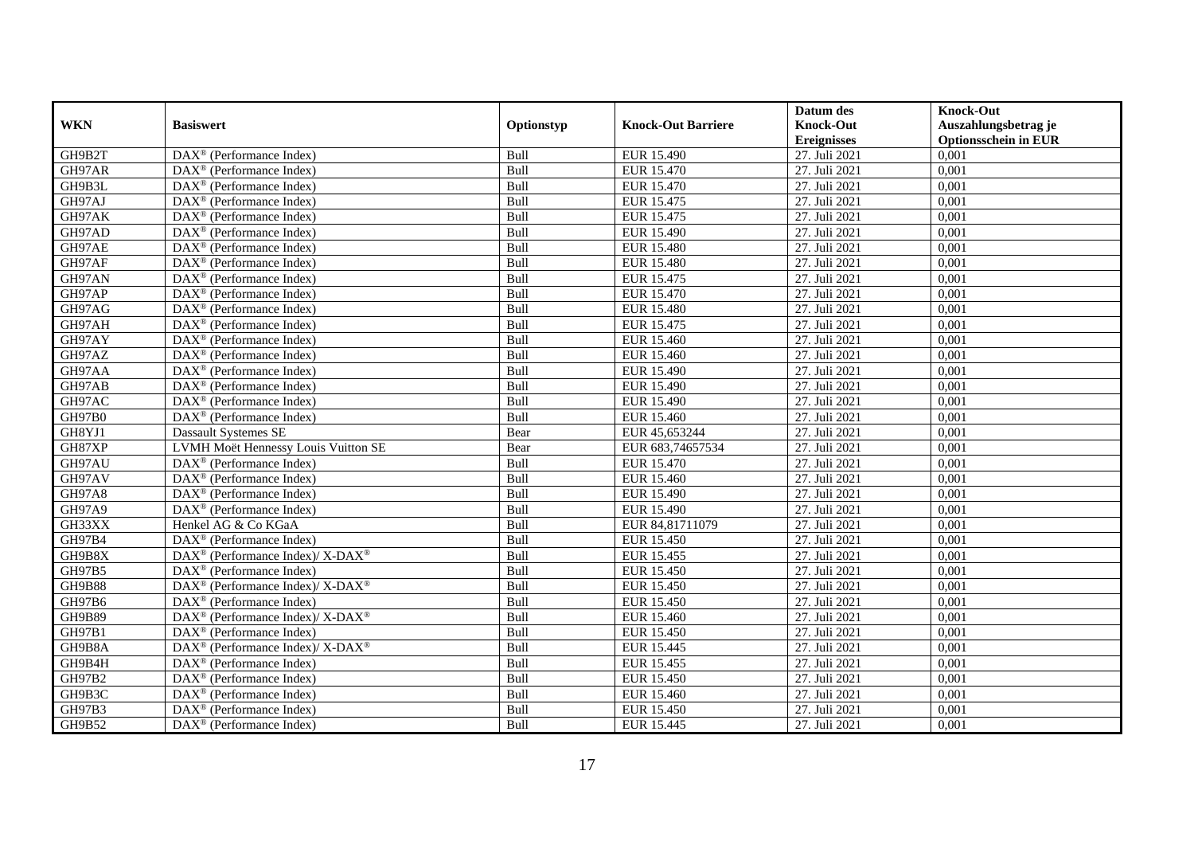|               |                                                                  |             |                           | Datum des          | <b>Knock-Out</b>            |
|---------------|------------------------------------------------------------------|-------------|---------------------------|--------------------|-----------------------------|
| <b>WKN</b>    | <b>Basiswert</b>                                                 | Optionstyp  | <b>Knock-Out Barriere</b> | <b>Knock-Out</b>   | Auszahlungsbetrag je        |
|               |                                                                  |             |                           | <b>Ereignisses</b> | <b>Optionsschein in EUR</b> |
| GH9B2T        | $\overline{\text{DAX}}^{\textcircled{}}$ (Performance Index)     | Bull        | EUR 15.490                | 27. Juli 2021      | 0,001                       |
| GH97AR        | $DAX^{\circledR}$ (Performance Index)                            | Bull        | EUR 15.470                | 27. Juli 2021      | 0,001                       |
| GH9B3L        | DAX <sup>®</sup> (Performance Index)                             | Bull        | EUR 15.470                | 27. Juli 2021      | 0,001                       |
| GH97AJ        | $\text{DAX}^{\textcircled{n}}$ (Performance Index)               | Bull        | EUR 15.475                | 27. Juli 2021      | 0,001                       |
| GH97AK        | DAX <sup>®</sup> (Performance Index)                             | Bull        | EUR 15.475                | 27. Juli 2021      | 0,001                       |
| GH97AD        | $\text{DAX}^{\textcircled{n}}$ (Performance Index)               | Bull        | EUR 15.490                | 27. Juli 2021      | 0,001                       |
| GH97AE        | $\text{DAX}^{\textcircled{n}}$ (Performance Index)               | Bull        | <b>EUR 15.480</b>         | 27. Juli 2021      | 0,001                       |
| GH97AF        | $DAX^{\otimes}$ (Performance Index)                              | Bull        | <b>EUR 15.480</b>         | 27. Juli 2021      | 0,001                       |
| GH97AN        | $\text{DAX}^{\textcircled{p}}$ (Performance Index)               | Bull        | EUR 15.475                | 27. Juli 2021      | 0,001                       |
| GH97AP        | $DAX^{\otimes}$ (Performance Index)                              | Bull        | EUR 15.470                | 27. Juli 2021      | 0,001                       |
| GH97AG        | DAX <sup>®</sup> (Performance Index)                             | Bull        | <b>EUR 15.480</b>         | 27. Juli 2021      | 0,001                       |
| GH97AH        | $\overline{\text{DAX}^{\otimes}}$ (Performance Index)            | Bull        | EUR 15.475                | 27. Juli 2021      | 0,001                       |
| GH97AY        | $\text{DAX}^{\textcircled{n}}$ (Performance Index)               | Bull        | EUR 15.460                | 27. Juli 2021      | 0,001                       |
| GH97AZ        | DAX <sup>®</sup> (Performance Index)                             | Bull        | EUR 15.460                | 27. Juli 2021      | 0,001                       |
| GH97AA        | DAX <sup>®</sup> (Performance Index)                             | Bull        | EUR 15.490                | 27. Juli 2021      | 0,001                       |
| GH97AB        | DAX <sup>®</sup> (Performance Index)                             | Bull        | EUR 15.490                | 27. Juli 2021      | 0,001                       |
| GH97AC        | DAX <sup>®</sup> (Performance Index)                             | Bull        | EUR 15.490                | 27. Juli 2021      | 0,001                       |
| GH97B0        | $\overline{\text{DAX}}^{\textcirc}$ (Performance Index)          | <b>Bull</b> | EUR 15.460                | 27. Juli 2021      | 0,001                       |
| GH8YJ1        | <b>Dassault Systemes SE</b>                                      | Bear        | EUR 45,653244             | 27. Juli 2021      | 0,001                       |
| GH87XP        | LVMH Moët Hennessy Louis Vuitton SE                              | Bear        | EUR 683,74657534          | 27. Juli 2021      | 0,001                       |
| GH97AU        | DAX <sup>®</sup> (Performance Index)                             | Bull        | EUR 15.470                | 27. Juli 2021      | 0,001                       |
| GH97AV        | $\overline{\text{DAX}^{\otimes}}$ (Performance Index)            | Bull        | EUR 15.460                | 27. Juli 2021      | 0,001                       |
| <b>GH97A8</b> | $\text{DAX}^{\textcircled{n}}$ (Performance Index)               | Bull        | EUR 15.490                | 27. Juli 2021      | 0,001                       |
| GH97A9        | DAX <sup>®</sup> (Performance Index)                             | Bull        | EUR 15.490                | 27. Juli 2021      | 0,001                       |
| GH33XX        | Henkel AG & Co KGaA                                              | Bull        | EUR 84,81711079           | 27. Juli 2021      | 0,001                       |
| GH97B4        | $\text{DAX}^{\otimes}$ (Performance Index)                       | Bull        | EUR 15.450                | 27. Juli 2021      | 0,001                       |
| GH9B8X        | DAX <sup>®</sup> (Performance Index)/ X-DAX <sup>®</sup>         | Bull        | EUR 15.455                | 27. Juli 2021      | 0,001                       |
| GH97B5        | $DAX^{\circledR}$ (Performance Index)                            | Bull        | EUR 15.450                | 27. Juli 2021      | 0,001                       |
| <b>GH9B88</b> | $DAX^{\circledcirc}$ (Performance Index)/X-DAX <sup>®</sup>      | Bull        | EUR 15.450                | 27. Juli 2021      | 0,001                       |
| <b>GH97B6</b> | $DAX^{\circledR}$ (Performance Index)                            | Bull        | <b>EUR 15.450</b>         | 27. Juli 2021      | 0,001                       |
| <b>GH9B89</b> | $\text{DAX}^{\circledR}$ (Performance Index)/ X-DAX <sup>®</sup> | Bull        | EUR 15.460                | 27. Juli 2021      | 0,001                       |
| GH97B1        | $\text{DAX}^{\textcircled{n}}$ (Performance Index)               | Bull        | <b>EUR 15.450</b>         | 27. Juli 2021      | 0,001                       |
| GH9B8A        | $\text{DAX}^{\circledR}$ (Performance Index)/ X-DAX <sup>®</sup> | Bull        | EUR 15.445                | 27. Juli 2021      | 0,001                       |
| GH9B4H        | $\text{DAX}^{\circledast}$ (Performance Index)                   | Bull        | EUR 15.455                | 27. Juli 2021      | 0,001                       |
| GH97B2        | $\text{DAX}^{\textcircled{n}}$ (Performance Index)               | Bull        | EUR 15.450                | 27. Juli 2021      | 0,001                       |
| GH9B3C        | $\text{DAX}^{\textcircled{n}}$ (Performance Index)               | Bull        | EUR 15.460                | 27. Juli 2021      | 0,001                       |
| GH97B3        | $\text{DAX}^{\otimes}$ (Performance Index)                       | Bull        | EUR 15.450                | 27. Juli 2021      | 0,001                       |
| GH9B52        | $\overline{\text{DAX}}^{\textcirc}$ (Performance Index)          | Bull        | EUR 15.445                | 27. Juli 2021      | 0,001                       |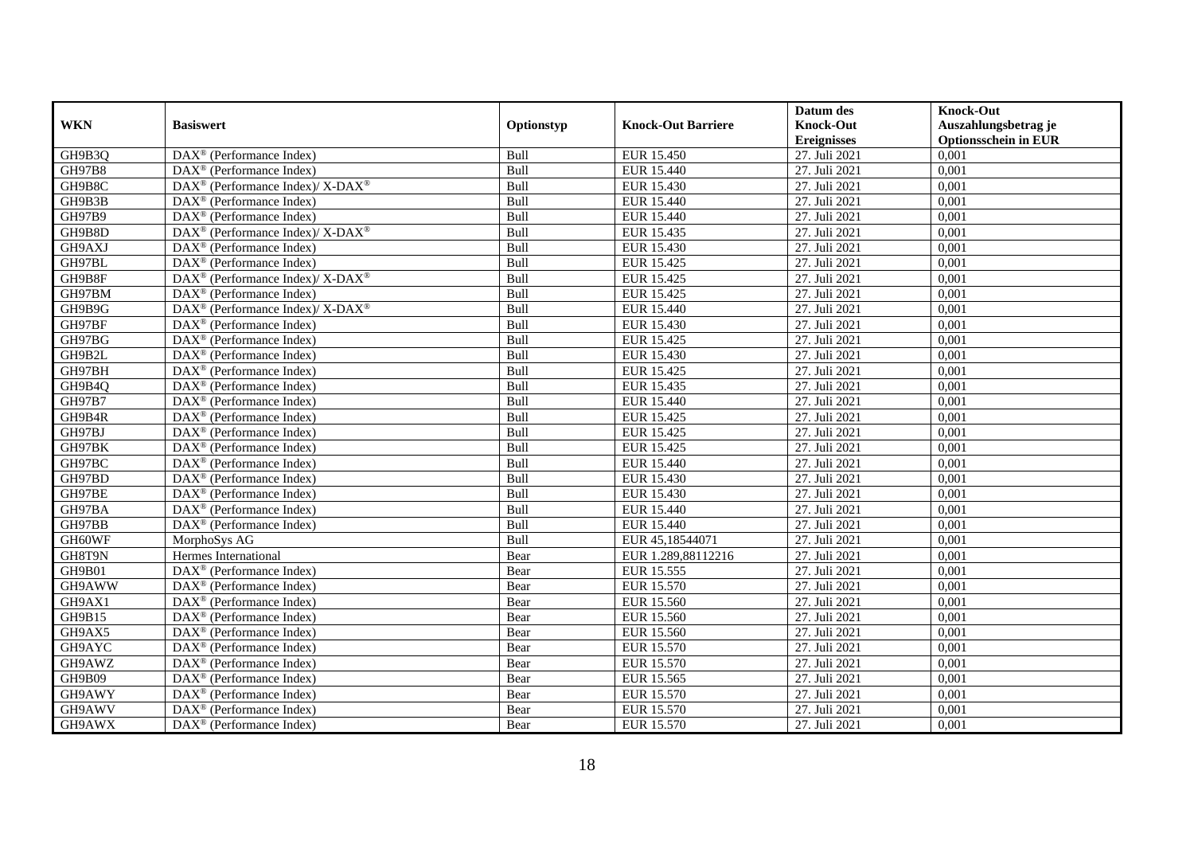|               |                                                                    |            |                           | Datum des          | <b>Knock-Out</b>            |
|---------------|--------------------------------------------------------------------|------------|---------------------------|--------------------|-----------------------------|
| <b>WKN</b>    | <b>Basiswert</b>                                                   | Optionstyp | <b>Knock-Out Barriere</b> | <b>Knock-Out</b>   | Auszahlungsbetrag je        |
|               |                                                                    |            |                           | <b>Ereignisses</b> | <b>Optionsschein in EUR</b> |
| GH9B3Q        | DAX <sup>®</sup> (Performance Index)                               | Bull       | EUR 15.450                | 27. Juli 2021      | 0,001                       |
| <b>GH97B8</b> | $\text{DAX}^{\circledast}$ (Performance Index)                     | Bull       | EUR 15.440                | 27. Juli 2021      | 0,001                       |
| GH9B8C        | $\text{DAX}^{\circledast}$ (Performance Index)/ X-DAX <sup>®</sup> | Bull       | EUR 15.430                | 27. Juli 2021      | 0,001                       |
| GH9B3B        | $\text{DAX}^{\otimes}$ (Performance Index)                         | Bull       | EUR 15.440                | 27. Juli 2021      | 0,001                       |
| GH97B9        | DAX <sup>®</sup> (Performance Index)                               | Bull       | <b>EUR 15.440</b>         | 27. Juli 2021      | 0,001                       |
| GH9B8D        | DAX <sup>®</sup> (Performance Index)/X-DAX <sup>®</sup>            | Bull       | EUR 15.435                | 27. Juli 2021      | 0,001                       |
| GH9AXJ        | $DAX^{\otimes}$ (Performance Index)                                | Bull       | EUR 15.430                | 27. Juli 2021      | 0,001                       |
| GH97BL        | $\text{DAX}^{\textcircled{n}}$ (Performance Index)                 | Bull       | EUR 15.425                | 27. Juli 2021      | 0,001                       |
| GH9B8F        | DAX <sup>®</sup> (Performance Index)/ X-DAX <sup>®</sup>           | Bull       | EUR 15.425                | 27. Juli 2021      | 0,001                       |
| GH97BM        | $\text{DAX}^{\circledast}$ (Performance Index)                     | Bull       | EUR 15.425                | 27. Juli 2021      | 0,001                       |
| GH9B9G        | DAX <sup>®</sup> (Performance Index)/ X-DAX <sup>®</sup>           | Bull       | EUR 15.440                | 27. Juli 2021      | 0,001                       |
| GH97BF        | $\overline{\text{DAX}}^{\textcirc}$ (Performance Index)            | Bull       | EUR 15.430                | 27. Juli 2021      | 0,001                       |
| GH97BG        | DAX <sup>®</sup> (Performance Index)                               | Bull       | EUR 15.425                | 27. Juli 2021      | 0,001                       |
| GH9B2L        | $DAX^{\circledR}$ (Performance Index)                              | Bull       | EUR 15.430                | 27. Juli 2021      | 0,001                       |
| GH97BH        | $\text{DAX}^{\otimes}$ (Performance Index)                         | Bull       | EUR 15.425                | 27. Juli 2021      | 0,001                       |
| GH9B4Q        | $\overline{\text{DAX}}^{\textcircled{}}$ (Performance Index)       | Bull       | EUR 15.435                | 27. Juli 2021      | 0,001                       |
| GH97B7        | DAX <sup>®</sup> (Performance Index)                               | Bull       | EUR 15.440                | 27. Juli 2021      | 0,001                       |
| GH9B4R        | $DAX^{\circledR}$ (Performance Index)                              | Bull       | EUR 15.425                | 27. Juli 2021      | 0,001                       |
| GH97BJ        | DAX <sup>®</sup> (Performance Index)                               | Bull       | EUR 15.425                | 27. Juli 2021      | 0,001                       |
| GH97BK        | DAX <sup>®</sup> (Performance Index)                               | Bull       | EUR 15.425                | 27. Juli 2021      | 0,001                       |
| GH97BC        | DAX <sup>®</sup> (Performance Index)                               | Bull       | EUR 15.440                | 27. Juli 2021      | 0,001                       |
| GH97BD        | $\overline{\text{DAX}^{\otimes}}$ (Performance Index)              | Bull       | EUR 15.430                | 27. Juli 2021      | 0,001                       |
| GH97BE        | DAX <sup>®</sup> (Performance Index)                               | Bull       | EUR 15.430                | 27. Juli 2021      | 0,001                       |
| GH97BA        | DAX <sup>®</sup> (Performance Index)                               | Bull       | EUR 15.440                | 27. Juli 2021      | 0,001                       |
| GH97BB        | $DAX^{\circledR}$ (Performance Index)                              | Bull       | EUR 15.440                | 27. Juli 2021      | 0.001                       |
| GH60WF        | MorphoSys AG                                                       | Bull       | EUR 45,18544071           | 27. Juli 2021      | 0,001                       |
| GH8T9N        | Hermes International                                               | Bear       | EUR 1.289,88112216        | 27. Juli 2021      | 0,001                       |
| GH9B01        | $\overline{\text{DAX}^{\otimes}}$ (Performance Index)              | Bear       | EUR 15.555                | 27. Juli 2021      | 0,001                       |
| GH9AWW        | $\overline{\text{DAX}^{\otimes}}$ (Performance Index)              | Bear       | EUR 15.570                | 27. Juli 2021      | 0,001                       |
| GH9AX1        | $\text{DAX}^{\circledast}$ (Performance Index)                     | Bear       | EUR 15.560                | 27. Juli 2021      | 0,001                       |
| GH9B15        | $\text{DAX}^{\textcircled{n}}$ (Performance Index)                 | Bear       | EUR 15.560                | 27. Juli 2021      | 0,001                       |
| GH9AX5        | $DAX^{\circledR}$ (Performance Index)                              | Bear       | EUR 15.560                | 27. Juli 2021      | 0,001                       |
| GH9AYC        | $\overline{\text{DAX}}^{\textcirc}$ (Performance Index)            | Bear       | EUR 15.570                | 27. Juli 2021      | 0,001                       |
| GH9AWZ        | $\overline{\text{DAX}}^{\textcirc}$ (Performance Index)            | Bear       | EUR 15.570                | 27. Juli 2021      | 0,001                       |
| GH9B09        | DAX <sup>®</sup> (Performance Index)                               | Bear       | EUR 15.565                | 27. Juli 2021      | 0,001                       |
| GH9AWY        | DAX <sup>®</sup> (Performance Index)                               | Bear       | EUR 15.570                | 27. Juli 2021      | 0,001                       |
| GH9AWV        | $\text{DAX}^{\otimes}$ (Performance Index)                         | Bear       | EUR 15.570                | 27. Juli 2021      | 0,001                       |
| GH9AWX        | DAX <sup>®</sup> (Performance Index)                               | Bear       | EUR 15.570                | 27. Juli 2021      | 0,001                       |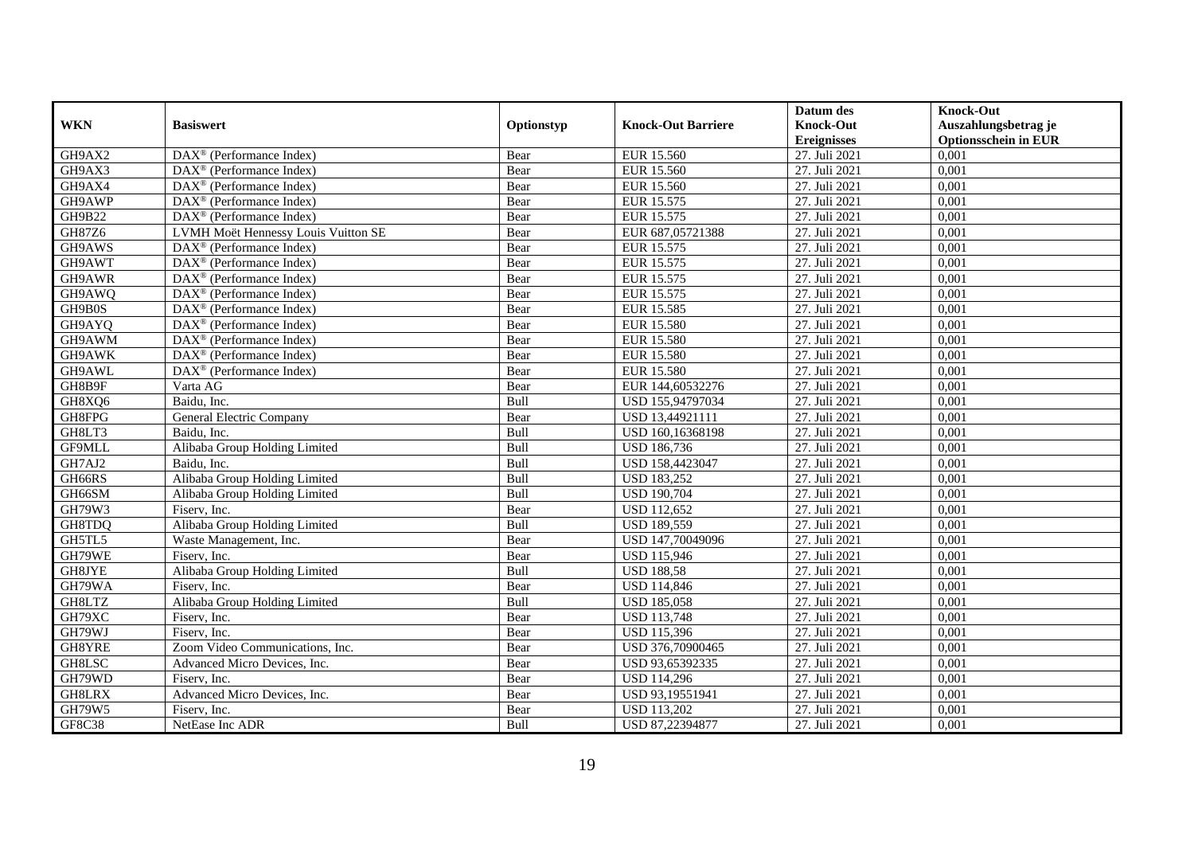|               |                                                         |            |                           | Datum des          | <b>Knock-Out</b>            |
|---------------|---------------------------------------------------------|------------|---------------------------|--------------------|-----------------------------|
| <b>WKN</b>    | <b>Basiswert</b>                                        | Optionstyp | <b>Knock-Out Barriere</b> | <b>Knock-Out</b>   | Auszahlungsbetrag je        |
|               |                                                         |            |                           | <b>Ereignisses</b> | <b>Optionsschein in EUR</b> |
| GH9AX2        | $\overline{\text{DAX}}^{\textcirc}$ (Performance Index) | Bear       | EUR 15.560                | 27. Juli 2021      | 0,001                       |
| GH9AX3        | $DAX^{\circledR}$ (Performance Index)                   | Bear       | EUR 15.560                | 27. Juli 2021      | 0,001                       |
| GH9AX4        | DAX <sup>®</sup> (Performance Index)                    | Bear       | EUR 15.560                | 27. Juli 2021      | 0,001                       |
| GH9AWP        | $DAX^{\circledast}$ (Performance Index)                 | Bear       | EUR 15.575                | 27. Juli 2021      | 0,001                       |
| GH9B22        | DAX <sup>®</sup> (Performance Index)                    | Bear       | EUR 15.575                | 27. Juli 2021      | 0,001                       |
| GH87Z6        | LVMH Moët Hennessy Louis Vuitton SE                     | Bear       | EUR 687,05721388          | 27. Juli 2021      | 0,001                       |
| GH9AWS        | $\text{DAX}^{\textcircled{}}$ (Performance Index)       | Bear       | EUR 15.575                | 27. Juli 2021      | 0,001                       |
| GH9AWT        | $DAX^{\circledR}$ (Performance Index)                   | Bear       | EUR 15.575                | 27. Juli 2021      | 0,001                       |
| GH9AWR        | $DAX^{\circledR}$ (Performance Index)                   | Bear       | EUR 15.575                | 27. Juli 2021      | 0,001                       |
| GH9AWQ        | $DAX^{\circledR}$ (Performance Index)                   | Bear       | EUR 15.575                | 27. Juli 2021      | 0,001                       |
| GH9B0S        | DAX <sup>®</sup> (Performance Index)                    | Bear       | EUR 15.585                | 27. Juli 2021      | 0,001                       |
| GH9AYQ        | $\overline{\text{DAX}^{\otimes}}$ (Performance Index)   | Bear       | <b>EUR 15.580</b>         | 27. Juli 2021      | 0,001                       |
| GH9AWM        | DAX <sup>®</sup> (Performance Index)                    | Bear       | <b>EUR 15.580</b>         | 27. Juli 2021      | 0,001                       |
| GH9AWK        | $DAX^{\circledast}$ (Performance Index)                 | Bear       | <b>EUR 15.580</b>         | 27. Juli 2021      | 0,001                       |
| GH9AWL        | DAX <sup>®</sup> (Performance Index)                    | Bear       | <b>EUR 15.580</b>         | 27. Juli 2021      | 0,001                       |
| GH8B9F        | Varta AG                                                | Bear       | EUR 144,60532276          | 27. Juli 2021      | 0,001                       |
| GH8XQ6        | Baidu, Inc.                                             | Bull       | USD 155,94797034          | 27. Juli 2021      | 0,001                       |
| GH8FPG        | General Electric Company                                | Bear       | USD 13,44921111           | 27. Juli 2021      | 0,001                       |
| GH8LT3        | Baidu. Inc.                                             | Bull       | USD 160,16368198          | 27. Juli 2021      | 0,001                       |
| GF9MLL        | Alibaba Group Holding Limited                           | Bull       | <b>USD 186,736</b>        | 27. Juli 2021      | 0,001                       |
| GH7AJ2        | Baidu. Inc.                                             | Bull       | USD 158,4423047           | 27. Juli 2021      | 0,001                       |
| GH66RS        | Alibaba Group Holding Limited                           | Bull       | <b>USD 183,252</b>        | 27. Juli 2021      | 0,001                       |
| GH66SM        | Alibaba Group Holding Limited                           | Bull       | <b>USD 190,704</b>        | 27. Juli 2021      | 0,001                       |
| GH79W3        | Fiserv, Inc.                                            | Bear       | <b>USD 112,652</b>        | 27. Juli 2021      | 0,001                       |
| GH8TDQ        | Alibaba Group Holding Limited                           | Bull       | <b>USD 189,559</b>        | 27. Juli 2021      | 0,001                       |
| GH5TL5        | Waste Management, Inc.                                  | Bear       | USD 147,70049096          | 27. Juli 2021      | 0,001                       |
| GH79WE        | Fiserv, Inc.                                            | Bear       | <b>USD 115,946</b>        | 27. Juli 2021      | 0,001                       |
| GH8JYE        | Alibaba Group Holding Limited                           | Bull       | <b>USD 188,58</b>         | 27. Juli 2021      | 0.001                       |
| GH79WA        | Fisery, Inc.                                            | Bear       | <b>USD 114,846</b>        | 27. Juli 2021      | 0,001                       |
| GH8LTZ        | Alibaba Group Holding Limited                           | Bull       | <b>USD 185,058</b>        | 27. Juli 2021      | 0,001                       |
| GH79XC        | Fiserv, Inc.                                            | Bear       | <b>USD 113,748</b>        | 27. Juli 2021      | 0,001                       |
| GH79WJ        | Fisery, Inc.                                            | Bear       | <b>USD 115,396</b>        | 27. Juli 2021      | 0,001                       |
| GH8YRE        | Zoom Video Communications, Inc.                         | Bear       | USD 376,70900465          | 27. Juli 2021      | 0,001                       |
| GH8LSC        | Advanced Micro Devices, Inc.                            | Bear       | USD 93,65392335           | 27. Juli 2021      | 0,001                       |
| GH79WD        | Fiserv, Inc.                                            | Bear       | <b>USD 114,296</b>        | 27. Juli 2021      | 0,001                       |
| GH8LRX        | Advanced Micro Devices, Inc.                            | Bear       | USD 93,19551941           | 27. Juli 2021      | 0,001                       |
| GH79W5        | Fiserv, Inc.                                            | Bear       | USD 113,202               | 27. Juli 2021      | 0,001                       |
| <b>GF8C38</b> | NetEase Inc ADR                                         | Bull       | USD 87,22394877           | 27. Juli 2021      | 0,001                       |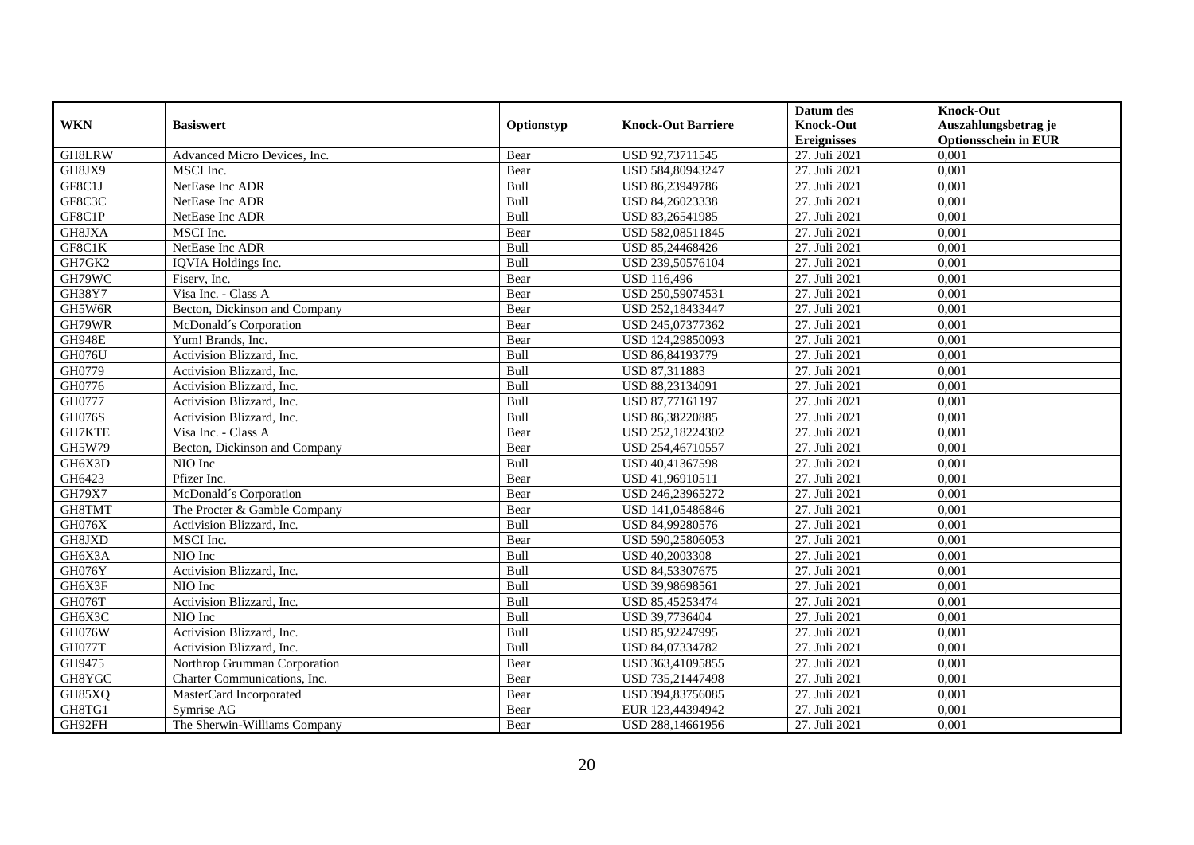|               |                               |             |                           | Datum des          | <b>Knock-Out</b>            |
|---------------|-------------------------------|-------------|---------------------------|--------------------|-----------------------------|
| <b>WKN</b>    | <b>Basiswert</b>              | Optionstyp  | <b>Knock-Out Barriere</b> | <b>Knock-Out</b>   | Auszahlungsbetrag je        |
|               |                               |             |                           | <b>Ereignisses</b> | <b>Optionsschein in EUR</b> |
| <b>GH8LRW</b> | Advanced Micro Devices, Inc.  | Bear        | USD 92,73711545           | 27. Juli 2021      | 0,001                       |
| GH8JX9        | MSCI Inc.                     | Bear        | USD 584,80943247          | 27. Juli 2021      | 0,001                       |
| GF8C1J        | NetEase Inc ADR               | Bull        | USD 86,23949786           | 27. Juli 2021      | 0,001                       |
| GF8C3C        | NetEase Inc ADR               | Bull        | USD 84,26023338           | 27. Juli 2021      | 0,001                       |
| GF8C1P        | NetEase Inc ADR               | Bull        | USD 83,26541985           | 27. Juli 2021      | 0,001                       |
| GH8JXA        | MSCI Inc.                     | Bear        | USD 582,08511845          | 27. Juli 2021      | 0,001                       |
| GF8C1K        | NetEase Inc ADR               | Bull        | USD 85,24468426           | 27. Juli 2021      | 0,001                       |
| GH7GK2        | IQVIA Holdings Inc.           | Bull        | USD 239,50576104          | 27. Juli 2021      | 0,001                       |
| GH79WC        | Fisery, Inc.                  | Bear        | <b>USD 116,496</b>        | 27. Juli 2021      | 0,001                       |
| GH38Y7        | Visa Inc. - Class A           | Bear        | USD 250,59074531          | 27. Juli 2021      | 0,001                       |
| GH5W6R        | Becton, Dickinson and Company | Bear        | USD 252,18433447          | 27. Juli 2021      | 0,001                       |
| GH79WR        | McDonald's Corporation        | Bear        | USD 245,07377362          | 27. Juli 2021      | 0,001                       |
| <b>GH948E</b> | Yum! Brands, Inc.             | Bear        | USD 124,29850093          | 27. Juli 2021      | 0,001                       |
| <b>GH076U</b> | Activision Blizzard, Inc.     | Bull        | USD 86,84193779           | 27. Juli 2021      | 0,001                       |
| GH0779        | Activision Blizzard, Inc.     | Bull        | USD 87,311883             | 27. Juli 2021      | 0,001                       |
| GH0776        | Activision Blizzard, Inc.     | Bull        | USD 88,23134091           | 27. Juli 2021      | 0,001                       |
| GH0777        | Activision Blizzard, Inc.     | Bull        | USD 87,77161197           | 27. Juli 2021      | 0,001                       |
| <b>GH076S</b> | Activision Blizzard, Inc.     | <b>Bull</b> | USD 86.38220885           | 27. Juli 2021      | 0,001                       |
| <b>GH7KTE</b> | Visa Inc. - Class A           | Bear        | USD 252,18224302          | 27. Juli 2021      | 0,001                       |
| GH5W79        | Becton, Dickinson and Company | Bear        | USD 254,46710557          | 27. Juli 2021      | 0,001                       |
| GH6X3D        | NIO Inc                       | Bull        | USD 40,41367598           | 27. Juli 2021      | 0,001                       |
| GH6423        | Pfizer Inc.                   | Bear        | USD 41,96910511           | 27. Juli 2021      | 0,001                       |
| <b>GH79X7</b> | McDonald's Corporation        | Bear        | USD 246,23965272          | 27. Juli 2021      | 0,001                       |
| GH8TMT        | The Procter & Gamble Company  | Bear        | USD 141,05486846          | 27. Juli 2021      | 0,001                       |
| GH076X        | Activision Blizzard, Inc.     | Bull        | USD 84,99280576           | 27. Juli 2021      | 0,001                       |
| GH8JXD        | MSCI Inc.                     | Bear        | USD 590,25806053          | 27. Juli 2021      | 0,001                       |
| GH6X3A        | NIO Inc                       | Bull        | USD 40,2003308            | 27. Juli 2021      | 0,001                       |
| GH076Y        | Activision Blizzard, Inc.     | Bull        | USD 84,53307675           | 27. Juli 2021      | 0,001                       |
| GH6X3F        | NIO Inc                       | Bull        | USD 39,98698561           | 27. Juli 2021      | 0,001                       |
| GH076T        | Activision Blizzard, Inc.     | Bull        | USD 85,45253474           | 27. Juli 2021      | 0,001                       |
| GH6X3C        | NIO Inc                       | Bull        | USD 39,7736404            | 27. Juli 2021      | 0,001                       |
| <b>GH076W</b> | Activision Blizzard, Inc.     | Bull        | USD 85,92247995           | 27. Juli 2021      | 0,001                       |
| GH077T        | Activision Blizzard, Inc.     | Bull        | USD 84,07334782           | 27. Juli 2021      | 0,001                       |
| GH9475        | Northrop Grumman Corporation  | Bear        | USD 363,41095855          | 27. Juli 2021      | 0,001                       |
| GH8YGC        | Charter Communications, Inc.  | Bear        | USD 735,21447498          | 27. Juli 2021      | 0,001                       |
| GH85XQ        | MasterCard Incorporated       | Bear        | USD 394,83756085          | 27. Juli 2021      | 0,001                       |
| GH8TG1        | Symrise AG                    | Bear        | EUR 123,44394942          | 27. Juli 2021      | 0,001                       |
| GH92FH        | The Sherwin-Williams Company  | Bear        | USD 288,14661956          | 27. Juli 2021      | 0,001                       |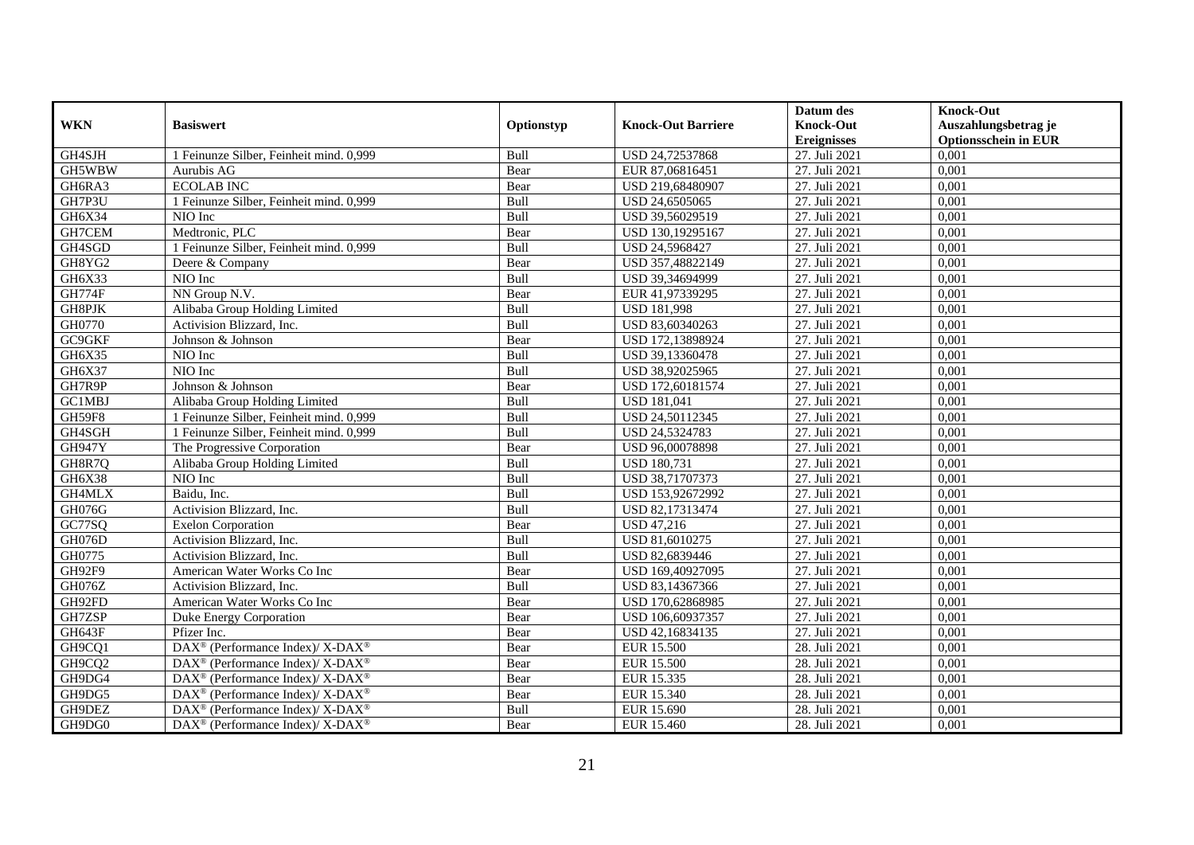|               |                                                                          |            |                           | Datum des          | <b>Knock-Out</b>            |
|---------------|--------------------------------------------------------------------------|------------|---------------------------|--------------------|-----------------------------|
| <b>WKN</b>    | <b>Basiswert</b>                                                         | Optionstyp | <b>Knock-Out Barriere</b> | <b>Knock-Out</b>   | Auszahlungsbetrag je        |
|               |                                                                          |            |                           | <b>Ereignisses</b> | <b>Optionsschein in EUR</b> |
| GH4SJH        | 1 Feinunze Silber, Feinheit mind. 0,999                                  | Bull       | USD 24,72537868           | 27. Juli 2021      | 0,001                       |
| GH5WBW        | Aurubis AG                                                               | Bear       | EUR 87,06816451           | 27. Juli 2021      | 0,001                       |
| GH6RA3        | <b>ECOLAB INC</b>                                                        | Bear       | USD 219,68480907          | 27. Juli 2021      | 0,001                       |
| GH7P3U        | 1 Feinunze Silber, Feinheit mind. 0.999                                  | Bull       | USD 24,6505065            | 27. Juli 2021      | 0,001                       |
| GH6X34        | NIO Inc                                                                  | Bull       | USD 39,56029519           | 27. Juli 2021      | 0,001                       |
| GH7CEM        | Medtronic, PLC                                                           | Bear       | USD 130,19295167          | 27. Juli 2021      | 0,001                       |
| GH4SGD        | 1 Feinunze Silber, Feinheit mind. 0,999                                  | Bull       | USD 24,5968427            | 27. Juli 2021      | 0,001                       |
| GH8YG2        | Deere & Company                                                          | Bear       | USD 357,48822149          | 27. Juli 2021      | 0,001                       |
| GH6X33        | NIO Inc                                                                  | Bull       | USD 39,34694999           | 27. Juli 2021      | 0,001                       |
| <b>GH774F</b> | NN Group N.V.                                                            | Bear       | EUR 41,97339295           | 27. Juli 2021      | 0,001                       |
| GH8PJK        | Alibaba Group Holding Limited                                            | Bull       | <b>USD 181,998</b>        | 27. Juli 2021      | 0,001                       |
| GH0770        | Activision Blizzard, Inc.                                                | Bull       | USD 83,60340263           | 27. Juli 2021      | 0,001                       |
| GC9GKF        | Johnson & Johnson                                                        | Bear       | USD 172,13898924          | 27. Juli 2021      | 0,001                       |
| GH6X35        | NIO Inc                                                                  | Bull       | USD 39,13360478           | 27. Juli 2021      | 0,001                       |
| GH6X37        | NIO Inc                                                                  | Bull       | USD 38,92025965           | 27. Juli 2021      | 0,001                       |
| GH7R9P        | Johnson & Johnson                                                        | Bear       | USD 172,60181574          | 27. Juli 2021      | 0,001                       |
| GC1MBJ        | Alibaba Group Holding Limited                                            | Bull       | <b>USD 181,041</b>        | 27. Juli 2021      | 0,001                       |
| <b>GH59F8</b> | 1 Feinunze Silber, Feinheit mind. 0.999                                  | Bull       | USD 24.50112345           | 27. Juli 2021      | 0,001                       |
| GH4SGH        | 1 Feinunze Silber, Feinheit mind. 0,999                                  | Bull       | USD 24,5324783            | 27. Juli 2021      | 0,001                       |
| <b>GH947Y</b> | The Progressive Corporation                                              | Bear       | USD 96,00078898           | 27. Juli 2021      | 0,001                       |
| GH8R7Q        | Alibaba Group Holding Limited                                            | Bull       | <b>USD 180,731</b>        | 27. Juli 2021      | 0,001                       |
| GH6X38        | NIO Inc                                                                  | Bull       | USD 38,71707373           | 27. Juli 2021      | 0,001                       |
| GH4MLX        | Baidu, Inc.                                                              | Bull       | USD 153,92672992          | 27. Juli 2021      | 0,001                       |
| GH076G        | Activision Blizzard, Inc.                                                | Bull       | USD 82,17313474           | 27. Juli 2021      | 0,001                       |
| GC77SQ        | <b>Exelon Corporation</b>                                                | Bear       | <b>USD 47.216</b>         | 27. Juli 2021      | 0.001                       |
| GH076D        | Activision Blizzard, Inc.                                                | Bull       | USD 81,6010275            | 27. Juli 2021      | 0,001                       |
| GH0775        | Activision Blizzard, Inc.                                                | Bull       | USD 82,6839446            | 27. Juli 2021      | 0,001                       |
| GH92F9        | American Water Works Co Inc                                              | Bear       | USD 169,40927095          | 27. Juli 2021      | 0,001                       |
| GH076Z        | Activision Blizzard, Inc.                                                | Bull       | USD 83,14367366           | 27. Juli 2021      | 0,001                       |
| GH92FD        | American Water Works Co Inc                                              | Bear       | USD 170,62868985          | 27. Juli 2021      | 0,001                       |
| GH7ZSP        | Duke Energy Corporation                                                  | Bear       | USD 106,60937357          | 27. Juli 2021      | 0,001                       |
| GH643F        | Pfizer Inc.                                                              | Bear       | USD 42,16834135           | 27. Juli 2021      | 0,001                       |
| GH9CQ1        | DAX <sup>®</sup> (Performance Index)/ X-DAX <sup>®</sup>                 | Bear       | <b>EUR 15.500</b>         | 28. Juli 2021      | 0,001                       |
| GH9CQ2        | $\overline{\text{DAX}^{\otimes}}$ (Performance Index)/X-DAX <sup>®</sup> | Bear       | <b>EUR 15.500</b>         | 28. Juli 2021      | 0,001                       |
| GH9DG4        | $DAX^{\circledcirc}$ (Performance Index)/ X-DAX <sup>®</sup>             | Bear       | EUR 15.335                | 28. Juli 2021      | 0,001                       |
| GH9DG5        | $\text{DAX}^{\circledast}$ (Performance Index)/ X-DAX <sup>®</sup>       | Bear       | EUR 15.340                | 28. Juli 2021      | 0,001                       |
| GH9DEZ        | $DAX^{\circledast}$ (Performance Index)/ X-DAX <sup>®</sup>              | Bull       | EUR 15.690                | 28. Juli 2021      | 0,001                       |
| GH9DG0        | DAX <sup>®</sup> (Performance Index)/ X-DAX <sup>®</sup>                 | Bear       | EUR 15.460                | 28. Juli 2021      | 0,001                       |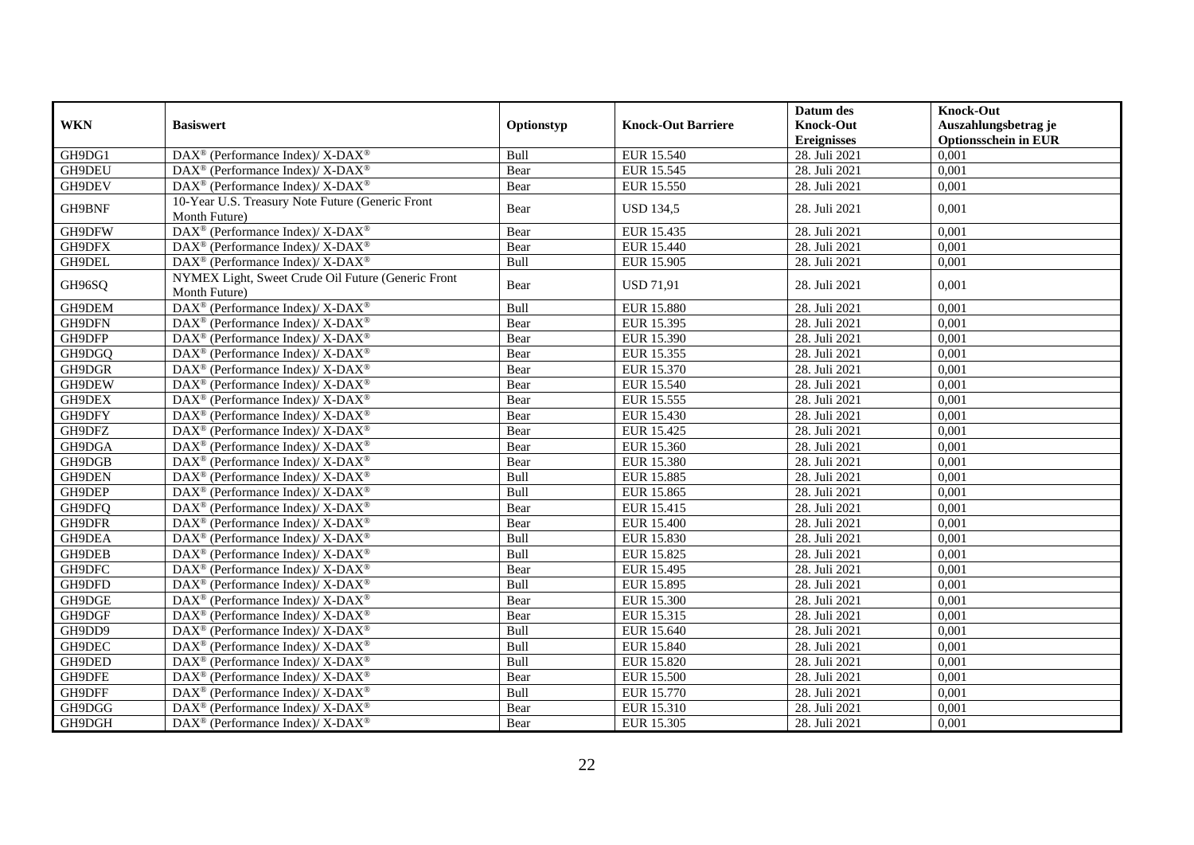|            |                                                                          |            |                           | Datum des          | <b>Knock-Out</b>            |
|------------|--------------------------------------------------------------------------|------------|---------------------------|--------------------|-----------------------------|
| <b>WKN</b> | <b>Basiswert</b>                                                         | Optionstyp | <b>Knock-Out Barriere</b> | <b>Knock-Out</b>   | Auszahlungsbetrag je        |
|            |                                                                          |            |                           | <b>Ereignisses</b> | <b>Optionsschein in EUR</b> |
| GH9DG1     | $\overline{\text{DAX}^{\otimes}}$ (Performance Index)/X-DAX <sup>®</sup> | Bull       | EUR 15.540                | 28. Juli 2021      | 0,001                       |
| GH9DEU     | $DAX^{\circledcirc}$ (Performance Index)/X-DAX <sup>®</sup>              | Bear       | EUR 15.545                | 28. Juli 2021      | 0,001                       |
| GH9DEV     | DAX <sup>®</sup> (Performance Index)/X-DAX <sup>®</sup>                  | Bear       | <b>EUR 15.550</b>         | 28. Juli 2021      | 0,001                       |
|            | 10-Year U.S. Treasury Note Future (Generic Front                         |            |                           |                    |                             |
| GH9BNF     | Month Future)                                                            | Bear       | <b>USD 134,5</b>          | 28. Juli 2021      | 0,001                       |
| GH9DFW     | DAX <sup>®</sup> (Performance Index)/X-DAX <sup>®</sup>                  | Bear       | EUR 15.435                | 28. Juli 2021      | 0,001                       |
| GH9DFX     | DAX <sup>®</sup> (Performance Index)/ X-DAX <sup>®</sup>                 | Bear       | EUR 15.440                | 28. Juli 2021      | 0,001                       |
| GH9DEL     | DAX <sup>®</sup> (Performance Index)/ X-DAX <sup>®</sup>                 | Bull       | EUR 15.905                | 28. Juli 2021      | 0,001                       |
| GH96SQ     | NYMEX Light, Sweet Crude Oil Future (Generic Front                       | Bear       | <b>USD 71,91</b>          | 28. Juli 2021      | 0,001                       |
|            | Month Future)                                                            |            |                           |                    |                             |
| GH9DEM     | DAX <sup>®</sup> (Performance Index)/ X-DAX <sup>®</sup>                 | Bull       | <b>EUR 15.880</b>         | 28. Juli 2021      | 0,001                       |
| GH9DFN     | DAX <sup>®</sup> (Performance Index)/ X-DAX <sup>®</sup>                 | Bear       | EUR 15.395                | 28. Juli 2021      | 0,001                       |
| GH9DFP     | $\text{DAX}^{\circledR}$ (Performance Index)/ X-DAX <sup>®</sup>         | Bear       | EUR 15.390                | 28. Juli 2021      | 0,001                       |
| GH9DGQ     | DAX <sup>®</sup> (Performance Index)/X-DAX <sup>®</sup>                  | Bear       | EUR 15.355                | 28. Juli 2021      | 0,001                       |
| GH9DGR     | DAX <sup>®</sup> (Performance Index)/ X-DAX <sup>®</sup>                 | Bear       | EUR 15.370                | 28. Juli 2021      | 0,001                       |
| GH9DEW     | $\text{DAX}^{\circledast}$ (Performance Index)/X-DAX <sup>®</sup>        | Bear       | EUR 15.540                | 28. Juli 2021      | 0,001                       |
| GH9DEX     | DAX <sup>®</sup> (Performance Index)/ X-DAX <sup>®</sup>                 | Bear       | EUR 15.555                | 28. Juli 2021      | 0,001                       |
| GH9DFY     | DAX <sup>®</sup> (Performance Index)/ X-DAX <sup>®</sup>                 | Bear       | <b>EUR 15.430</b>         | 28. Juli 2021      | 0,001                       |
| GH9DFZ     | $DAX^{\circledast}$ (Performance Index)/ X-DAX <sup>®</sup>              | Bear       | EUR 15.425                | 28. Juli 2021      | 0,001                       |
| GH9DGA     | $DAX^{\circledast}$ (Performance Index)/ X-DAX <sup>®</sup>              | Bear       | EUR 15.360                | 28. Juli 2021      | 0,001                       |
| GH9DGB     | DAX <sup>®</sup> (Performance Index)/ X-DAX <sup>®</sup>                 | Bear       | <b>EUR 15.380</b>         | 28. Juli 2021      | 0,001                       |
| GH9DEN     | DAX <sup>®</sup> (Performance Index)/ X-DAX <sup>®</sup>                 | Bull       | <b>EUR 15.885</b>         | 28. Juli 2021      | 0,001                       |
| GH9DEP     | DAX <sup>®</sup> (Performance Index)/X-DAX <sup>®</sup>                  | Bull       | EUR 15.865                | 28. Juli 2021      | 0,001                       |
| GH9DFQ     | DAX <sup>®</sup> (Performance Index)/X-DAX <sup>®</sup>                  | Bear       | EUR 15.415                | 28. Juli 2021      | 0,001                       |
| GH9DFR     | $\text{DAX}^{\circledR}$ (Performance Index)/ X-DAX <sup>®</sup>         | Bear       | <b>EUR 15.400</b>         | 28. Juli 2021      | 0,001                       |
| GH9DEA     | DAX <sup>®</sup> (Performance Index)/ X-DAX <sup>®</sup>                 | Bull       | EUR 15.830                | 28. Juli 2021      | 0,001                       |
| GH9DEB     | DAX <sup>®</sup> (Performance Index)/ X-DAX <sup>®</sup>                 | Bull       | EUR 15.825                | 28. Juli 2021      | 0,001                       |
| GH9DFC     | DAX <sup>®</sup> (Performance Index)/ X-DAX <sup>®</sup>                 | Bear       | EUR 15.495                | 28. Juli 2021      | 0,001                       |
| GH9DFD     | DAX <sup>®</sup> (Performance Index)/ X-DAX <sup>®</sup>                 | Bull       | EUR 15.895                | 28. Juli 2021      | 0,001                       |
| GH9DGE     | DAX <sup>®</sup> (Performance Index)/ X-DAX <sup>®</sup>                 | Bear       | <b>EUR 15.300</b>         | 28. Juli 2021      | 0,001                       |
| GH9DGF     | DAX <sup>®</sup> (Performance Index)/X-DAX <sup>®</sup>                  | Bear       | EUR 15.315                | 28. Juli 2021      | 0,001                       |
| GH9DD9     | DAX <sup>®</sup> (Performance Index)/ X-DAX <sup>®</sup>                 | Bull       | EUR 15.640                | 28. Juli 2021      | 0,001                       |
| GH9DEC     | DAX <sup>®</sup> (Performance Index)/X-DAX <sup>®</sup>                  | Bull       | EUR 15.840                | 28. Juli 2021      | 0,001                       |
| GH9DED     | $\text{DAX}^{\circledR}$ (Performance Index)/ X-DAX <sup>®</sup>         | Bull       | EUR 15.820                | 28. Juli 2021      | 0,001                       |
| GH9DFE     | DAX <sup>®</sup> (Performance Index)/ X-DAX <sup>®</sup>                 | Bear       | <b>EUR 15.500</b>         | 28. Juli 2021      | 0,001                       |
| GH9DFF     | DAX <sup>®</sup> (Performance Index)/ X-DAX <sup>®</sup>                 | Bull       | <b>EUR 15.770</b>         | 28. Juli 2021      | 0,001                       |
| GH9DGG     | DAX <sup>®</sup> (Performance Index)/ X-DAX <sup>®</sup>                 | Bear       | EUR 15.310                | 28. Juli 2021      | 0,001                       |
| GH9DGH     | $DAX^{\circledast}$ (Performance Index)/ X-DAX <sup>®</sup>              | Bear       | EUR 15.305                | 28. Juli 2021      | 0,001                       |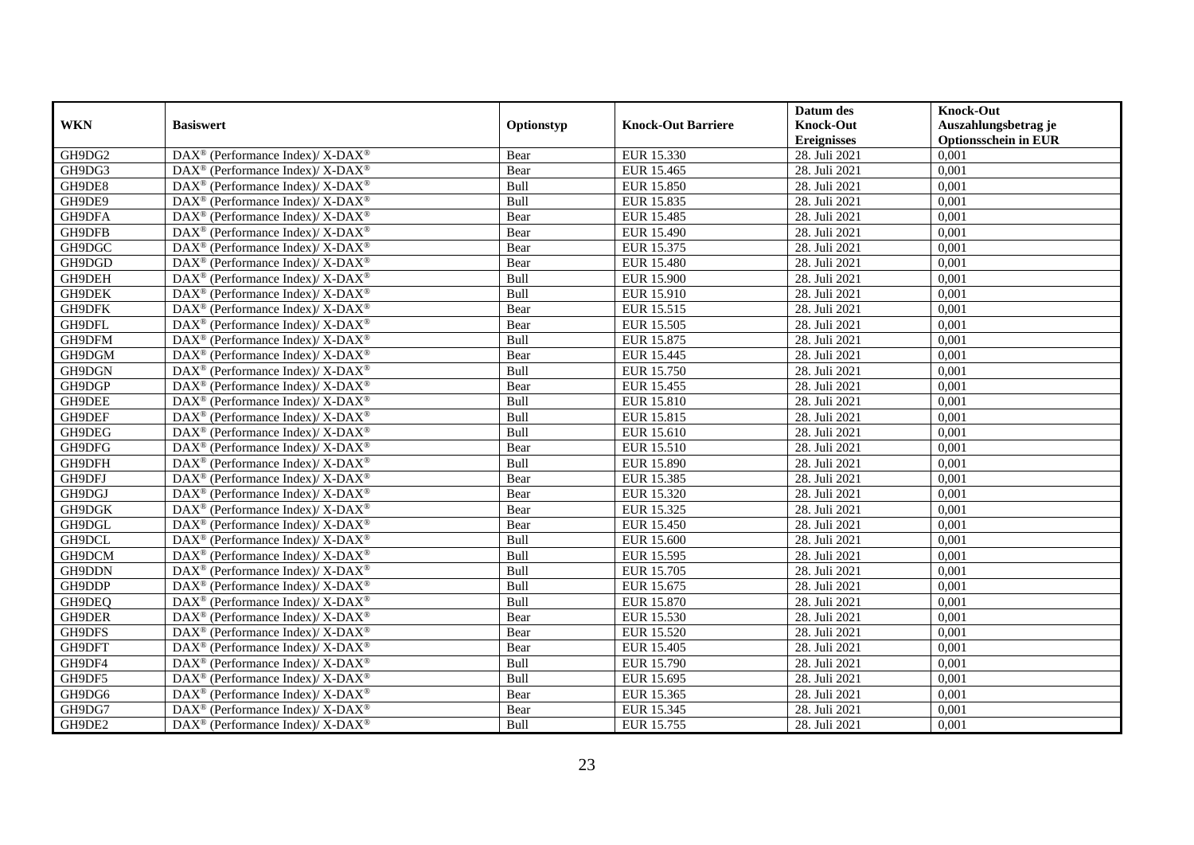|            |                                                                  |             |                           | Datum des          | <b>Knock-Out</b>            |
|------------|------------------------------------------------------------------|-------------|---------------------------|--------------------|-----------------------------|
| <b>WKN</b> | <b>Basiswert</b>                                                 | Optionstyp  | <b>Knock-Out Barriere</b> | <b>Knock-Out</b>   | Auszahlungsbetrag je        |
|            |                                                                  |             |                           | <b>Ereignisses</b> | <b>Optionsschein in EUR</b> |
| GH9DG2     | DAX <sup>®</sup> (Performance Index)/X-DAX <sup>®</sup>          | Bear        | EUR 15.330                | 28. Juli 2021      | 0,001                       |
| GH9DG3     | $DAX^{\circledast}$ (Performance Index)/ X-DAX <sup>®</sup>      | Bear        | EUR 15.465                | 28. Juli 2021      | 0,001                       |
| GH9DE8     | $DAX^{\circledast}$ (Performance Index)/ X-DAX <sup>®</sup>      | Bull        | EUR 15.850                | 28. Juli 2021      | 0,001                       |
| GH9DE9     | DAX <sup>®</sup> (Performance Index)/X-DAX <sup>®</sup>          | Bull        | EUR 15.835                | 28. Juli 2021      | 0,001                       |
| GH9DFA     | DAX <sup>®</sup> (Performance Index)/X-DAX <sup>®</sup>          | Bear        | <b>EUR 15.485</b>         | 28. Juli 2021      | 0,001                       |
| GH9DFB     | DAX <sup>®</sup> (Performance Index)/ X-DAX <sup>®</sup>         | Bear        | EUR 15.490                | 28. Juli 2021      | 0,001                       |
| GH9DGC     | $DAX^{\circledast}$ (Performance Index)/ X-DAX <sup>®</sup>      | Bear        | EUR 15.375                | 28. Juli 2021      | 0,001                       |
| GH9DGD     | DAX <sup>®</sup> (Performance Index)/X-DAX <sup>®</sup>          | Bear        | <b>EUR 15.480</b>         | 28. Juli 2021      | 0,001                       |
| GH9DEH     | DAX <sup>®</sup> (Performance Index)/ X-DAX <sup>®</sup>         | Bull        | <b>EUR 15.900</b>         | 28. Juli 2021      | 0,001                       |
| GH9DEK     | DAX <sup>®</sup> (Performance Index)/X-DAX <sup>®</sup>          | Bull        | EUR 15.910                | 28. Juli 2021      | 0,001                       |
| GH9DFK     | $DAX^{\circledast}$ (Performance Index)/ X-DAX <sup>®</sup>      | Bear        | EUR 15.515                | 28. Juli 2021      | 0,001                       |
| GH9DFL     | $\text{DAX}^{\circledR}$ (Performance Index)/ X-DAX <sup>®</sup> | Bear        | EUR 15.505                | 28. Juli 2021      | 0,001                       |
| GH9DFM     | DAX <sup>®</sup> (Performance Index)/ X-DAX <sup>®</sup>         | Bull        | EUR 15.875                | 28. Juli 2021      | 0,001                       |
| GH9DGM     | DAX <sup>®</sup> (Performance Index)/ X-DAX <sup>®</sup>         | Bear        | EUR 15.445                | 28. Juli 2021      | 0,001                       |
| GH9DGN     | $DAX^{\circledast}$ (Performance Index)/X-DAX <sup>®</sup>       | Bull        | EUR 15.750                | 28. Juli 2021      | 0,001                       |
| GH9DGP     | DAX <sup>®</sup> (Performance Index)/ X-DAX <sup>®</sup>         | Bear        | EUR 15.455                | 28. Juli 2021      | 0,001                       |
| GH9DEE     | DAX <sup>®</sup> (Performance Index)/ X-DAX <sup>®</sup>         | Bull        | EUR 15.810                | 28. Juli 2021      | 0,001                       |
| GH9DEF     | DAX <sup>®</sup> (Performance Index)/ X-DAX <sup>®</sup>         | Bull        | EUR 15.815                | 28. Juli 2021      | 0,001                       |
| GH9DEG     | DAX <sup>®</sup> (Performance Index)/ X-DAX <sup>®</sup>         | Bull        | EUR 15.610                | 28. Juli 2021      | 0,001                       |
| GH9DFG     | DAX <sup>®</sup> (Performance Index)/ X-DAX <sup>®</sup>         | Bear        | EUR 15.510                | 28. Juli 2021      | 0,001                       |
| GH9DFH     | $DAX^{\circledast}$ (Performance Index)/ X-DAX <sup>®</sup>      | <b>Bull</b> | EUR 15.890                | 28. Juli 2021      | 0,001                       |
| GH9DFJ     | $DAX^{\circledast}$ (Performance Index)/ X-DAX <sup>®</sup>      | Bear        | EUR 15.385                | 28. Juli 2021      | 0,001                       |
| GH9DGJ     | DAX <sup>®</sup> (Performance Index)/ X-DAX <sup>®</sup>         | Bear        | EUR 15.320                | 28. Juli 2021      | 0,001                       |
| GH9DGK     | DAX <sup>®</sup> (Performance Index)/X-DAX <sup>®</sup>          | Bear        | EUR 15.325                | 28. Juli 2021      | 0,001                       |
| GH9DGL     | $DAX^{\circledast}$ (Performance Index)/ X-DAX <sup>®</sup>      | Bear        | EUR 15.450                | 28. Juli 2021      | 0,001                       |
| GH9DCL     | $DAX^{\circledast}$ (Performance Index)/ X-DAX <sup>®</sup>      | Bull        | EUR 15.600                | 28. Juli 2021      | 0,001                       |
| GH9DCM     | $DAX^{\circledast}$ (Performance Index)/ X-DAX <sup>®</sup>      | Bull        | EUR 15.595                | 28. Juli 2021      | 0,001                       |
| GH9DDN     | DAX <sup>®</sup> (Performance Index)/ X-DAX <sup>®</sup>         | Bull        | <b>EUR 15.705</b>         | 28. Juli 2021      | 0,001                       |
| GH9DDP     | DAX <sup>®</sup> (Performance Index)/X-DAX <sup>®</sup>          | Bull        | EUR 15.675                | 28. Juli 2021      | 0,001                       |
| GH9DEQ     | $DAX^{\circledast}$ (Performance Index)/ X-DAX <sup>®</sup>      | Bull        | EUR 15.870                | 28. Juli 2021      | 0,001                       |
| GH9DER     | $DAX^{\circledast}$ (Performance Index)/ X-DAX <sup>®</sup>      | Bear        | EUR 15.530                | 28. Juli 2021      | 0,001                       |
| GH9DFS     | $DAX^{\circledast}$ (Performance Index)/ X-DAX <sup>®</sup>      | Bear        | EUR 15.520                | 28. Juli 2021      | 0,001                       |
| GH9DFT     | $DAX^{\circledast}$ (Performance Index)/ X-DAX <sup>®</sup>      | Bear        | EUR 15.405                | 28. Juli 2021      | 0,001                       |
| GH9DF4     | DAX <sup>®</sup> (Performance Index)/ X-DAX <sup>®</sup>         | Bull        | EUR 15.790                | 28. Juli 2021      | 0,001                       |
| GH9DF5     | DAX <sup>®</sup> (Performance Index)/X-DAX <sup>®</sup>          | Bull        | EUR 15.695                | 28. Juli 2021      | 0,001                       |
| GH9DG6     | DAX <sup>®</sup> (Performance Index)/X-DAX <sup>®</sup>          | Bear        | EUR 15.365                | 28. Juli 2021      | 0,001                       |
| GH9DG7     | DAX <sup>®</sup> (Performance Index)/ X-DAX <sup>®</sup>         | Bear        | EUR 15.345                | 28. Juli 2021      | 0,001                       |
| GH9DE2     | DAX <sup>®</sup> (Performance Index)/X-DAX <sup>®</sup>          | Bull        | EUR 15.755                | 28. Juli 2021      | 0,001                       |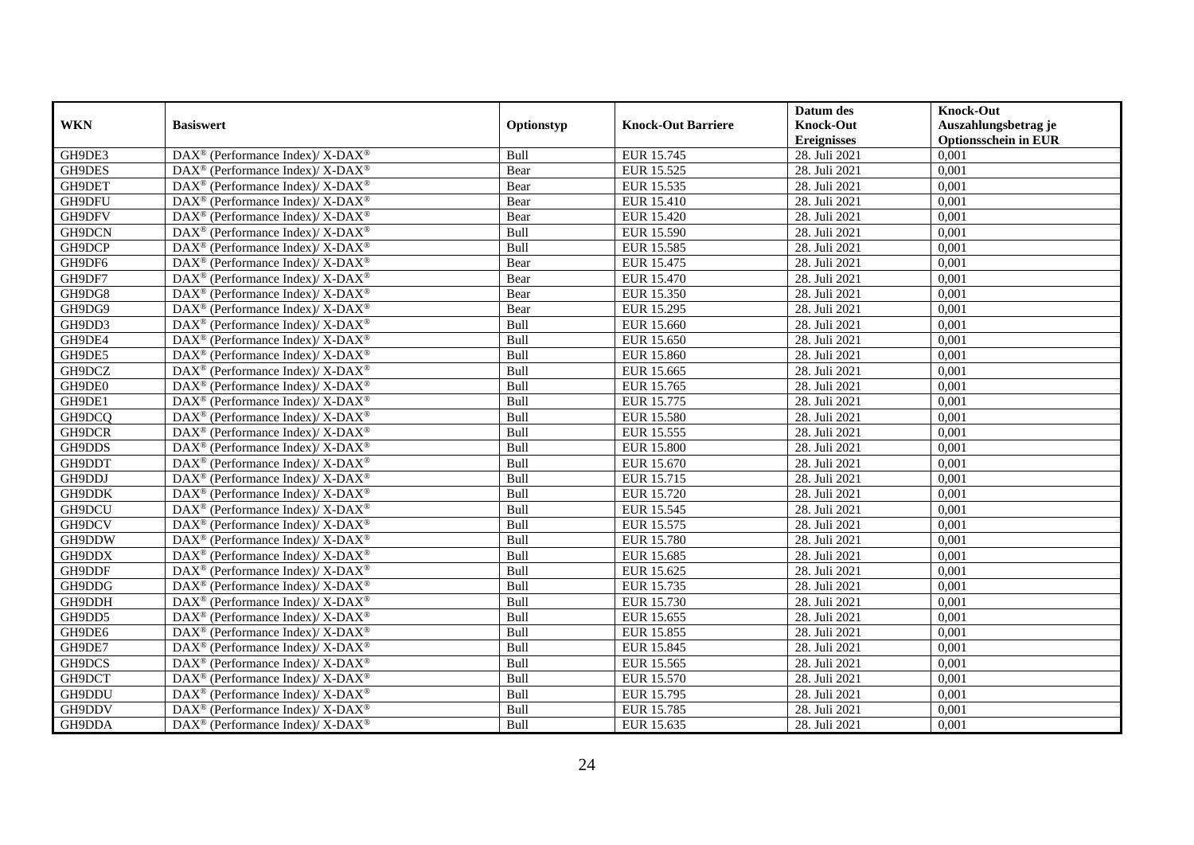|            |                                                             |             |                           | Datum des          | <b>Knock-Out</b>            |
|------------|-------------------------------------------------------------|-------------|---------------------------|--------------------|-----------------------------|
| <b>WKN</b> | <b>Basiswert</b>                                            | Optionstyp  | <b>Knock-Out Barriere</b> | <b>Knock-Out</b>   | Auszahlungsbetrag je        |
|            |                                                             |             |                           | <b>Ereignisses</b> | <b>Optionsschein in EUR</b> |
| GH9DE3     | DAX <sup>®</sup> (Performance Index)/X-DAX <sup>®</sup>     | Bull        | EUR 15.745                | 28. Juli 2021      | 0,001                       |
| GH9DES     | $DAX^{\circledast}$ (Performance Index)/ X-DAX <sup>®</sup> | Bear        | EUR 15.525                | 28. Juli 2021      | 0,001                       |
| GH9DET     | $DAX^{\circledast}$ (Performance Index)/ X-DAX <sup>®</sup> | Bear        | EUR 15.535                | 28. Juli 2021      | 0,001                       |
| GH9DFU     | DAX <sup>®</sup> (Performance Index)/X-DAX <sup>®</sup>     | Bear        | <b>EUR 15.410</b>         | 28. Juli 2021      | 0,001                       |
| GH9DFV     | DAX <sup>®</sup> (Performance Index)/X-DAX <sup>®</sup>     | Bear        | <b>EUR 15.420</b>         | 28. Juli 2021      | 0,001                       |
| GH9DCN     | DAX <sup>®</sup> (Performance Index)/ X-DAX <sup>®</sup>    | Bull        | EUR 15.590                | 28. Juli 2021      | 0,001                       |
| GH9DCP     | $DAX^{\circledast}$ (Performance Index)/ X-DAX <sup>®</sup> | Bull        | EUR 15.585                | 28. Juli 2021      | 0,001                       |
| GH9DF6     | DAX <sup>®</sup> (Performance Index)/X-DAX <sup>®</sup>     | Bear        | EUR 15.475                | 28. Juli 2021      | 0,001                       |
| GH9DF7     | DAX <sup>®</sup> (Performance Index)/ X-DAX <sup>®</sup>    | Bear        | EUR 15.470                | 28. Juli 2021      | 0,001                       |
| GH9DG8     | DAX <sup>®</sup> (Performance Index)/X-DAX <sup>®</sup>     | Bear        | EUR 15.350                | 28. Juli 2021      | 0,001                       |
| GH9DG9     | $DAX^{\circledast}$ (Performance Index)/ X-DAX <sup>®</sup> | Bear        | EUR 15.295                | 28. Juli 2021      | 0,001                       |
| GH9DD3     | DAX <sup>®</sup> (Performance Index)/X-DAX <sup>®</sup>     | Bull        | EUR 15.660                | 28. Juli 2021      | 0,001                       |
| GH9DE4     | DAX <sup>®</sup> (Performance Index)/ X-DAX <sup>®</sup>    | Bull        | EUR 15.650                | 28. Juli 2021      | 0,001                       |
| GH9DE5     | DAX <sup>®</sup> (Performance Index)/ X-DAX <sup>®</sup>    | Bull        | <b>EUR 15.860</b>         | 28. Juli 2021      | 0,001                       |
| GH9DCZ     | $DAX^{\circledast}$ (Performance Index)/X-DAX <sup>®</sup>  | Bull        | EUR 15.665                | 28. Juli 2021      | 0,001                       |
| GH9DE0     | DAX <sup>®</sup> (Performance Index)/ X-DAX <sup>®</sup>    | Bull        | EUR 15.765                | 28. Juli 2021      | 0,001                       |
| GH9DE1     | DAX <sup>®</sup> (Performance Index)/ X-DAX <sup>®</sup>    | Bull        | EUR 15.775                | 28. Juli 2021      | 0,001                       |
| GH9DCQ     | DAX <sup>®</sup> (Performance Index)/ X-DAX <sup>®</sup>    | Bull        | <b>EUR 15.580</b>         | 28. Juli 2021      | 0,001                       |
| GH9DCR     | DAX <sup>®</sup> (Performance Index)/ X-DAX <sup>®</sup>    | Bull        | EUR 15.555                | 28. Juli 2021      | 0,001                       |
| GH9DDS     | DAX <sup>®</sup> (Performance Index)/ X-DAX <sup>®</sup>    | Bull        | <b>EUR 15.800</b>         | 28. Juli 2021      | 0,001                       |
| GH9DDT     | $DAX^{\circledast}$ (Performance Index)/ X-DAX <sup>®</sup> | <b>Bull</b> | EUR 15.670                | 28. Juli 2021      | 0,001                       |
| GH9DDJ     | $DAX^{\circledast}$ (Performance Index)/ X-DAX <sup>®</sup> | Bull        | EUR 15.715                | 28. Juli 2021      | 0,001                       |
| GH9DDK     | DAX <sup>®</sup> (Performance Index)/ X-DAX <sup>®</sup>    | Bull        | EUR 15.720                | 28. Juli 2021      | 0,001                       |
| GH9DCU     | DAX <sup>®</sup> (Performance Index)/X-DAX <sup>®</sup>     | Bull        | EUR 15.545                | 28. Juli 2021      | 0,001                       |
| GH9DCV     | $DAX^{\circledast}$ (Performance Index)/ X-DAX <sup>®</sup> | Bull        | EUR 15.575                | 28. Juli 2021      | 0,001                       |
| GH9DDW     | $DAX^{\circledast}$ (Performance Index)/ X-DAX <sup>®</sup> | Bull        | EUR 15.780                | 28. Juli 2021      | 0,001                       |
| GH9DDX     | $DAX^{\circledast}$ (Performance Index)/ X-DAX <sup>®</sup> | Bull        | EUR 15.685                | 28. Juli 2021      | 0,001                       |
| GH9DDF     | DAX <sup>®</sup> (Performance Index)/ X-DAX <sup>®</sup>    | Bull        | EUR 15.625                | 28. Juli 2021      | 0,001                       |
| GH9DDG     | DAX <sup>®</sup> (Performance Index)/X-DAX <sup>®</sup>     | Bull        | EUR 15.735                | 28. Juli 2021      | 0,001                       |
| GH9DDH     | $DAX^{\circledast}$ (Performance Index)/ X-DAX <sup>®</sup> | Bull        | EUR 15.730                | 28. Juli 2021      | 0,001                       |
| GH9DD5     | $DAX^{\circledast}$ (Performance Index)/ X-DAX <sup>®</sup> | Bull        | EUR 15.655                | 28. Juli 2021      | 0,001                       |
| GH9DE6     | DAX <sup>®</sup> (Performance Index)/ X-DAX <sup>®</sup>    | Bull        | EUR 15.855                | 28. Juli 2021      | 0,001                       |
| GH9DE7     | $DAX^{\circledast}$ (Performance Index)/ X-DAX <sup>®</sup> | Bull        | EUR 15.845                | 28. Juli 2021      | 0,001                       |
| GH9DCS     | DAX <sup>®</sup> (Performance Index)/ X-DAX <sup>®</sup>    | Bull        | EUR 15.565                | 28. Juli 2021      | 0,001                       |
| GH9DCT     | DAX <sup>®</sup> (Performance Index)/X-DAX <sup>®</sup>     | Bull        | EUR 15.570                | 28. Juli 2021      | 0,001                       |
| GH9DDU     | DAX <sup>®</sup> (Performance Index)/X-DAX <sup>®</sup>     | Bull        | EUR 15.795                | 28. Juli 2021      | 0,001                       |
| GH9DDV     | DAX <sup>®</sup> (Performance Index)/ X-DAX <sup>®</sup>    | Bull        | EUR 15.785                | 28. Juli 2021      | 0,001                       |
| GH9DDA     | DAX <sup>®</sup> (Performance Index)/X-DAX <sup>®</sup>     | Bull        | EUR 15.635                | 28. Juli 2021      | 0,001                       |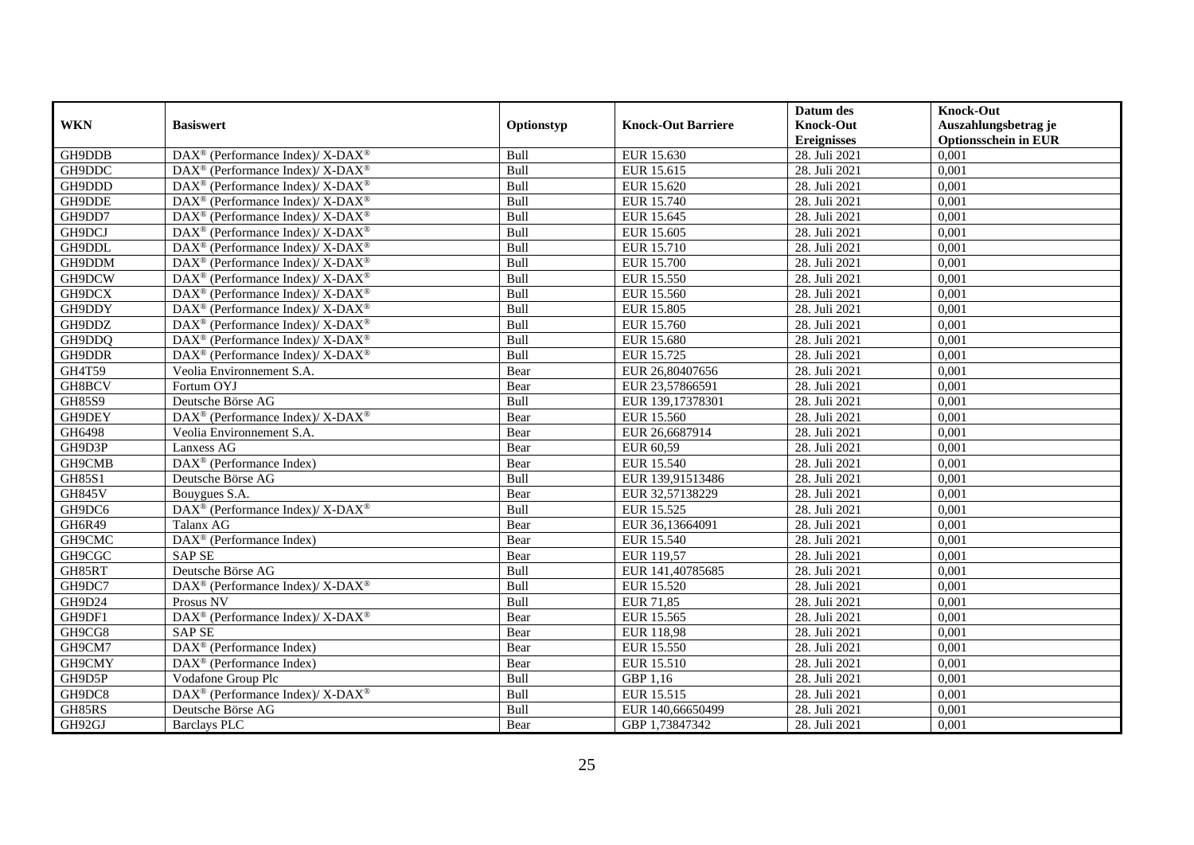|               |                                                                    |             |                           | Datum des          | <b>Knock-Out</b>            |
|---------------|--------------------------------------------------------------------|-------------|---------------------------|--------------------|-----------------------------|
| <b>WKN</b>    | <b>Basiswert</b>                                                   | Optionstyp  | <b>Knock-Out Barriere</b> | <b>Knock-Out</b>   | Auszahlungsbetrag je        |
|               |                                                                    |             |                           | <b>Ereignisses</b> | <b>Optionsschein in EUR</b> |
| GH9DDB        | DAX <sup>®</sup> (Performance Index)/ X-DAX <sup>®</sup>           | Bull        | EUR 15.630                | 28. Juli 2021      | 0,001                       |
| GH9DDC        | $\text{DAX}^{\circledast}$ (Performance Index)/ X-DAX <sup>®</sup> | Bull        | EUR 15.615                | 28. Juli 2021      | 0,001                       |
| GH9DDD        | DAX <sup>®</sup> (Performance Index)/X-DAX <sup>®</sup>            | Bull        | EUR 15.620                | 28. Juli 2021      | 0,001                       |
| GH9DDE        | DAX <sup>®</sup> (Performance Index)/X-DAX <sup>®</sup>            | Bull        | EUR 15.740                | 28. Juli 2021      | 0,001                       |
| GH9DD7        | $\text{DAX}^{\circledast}$ (Performance Index)/ X-DAX <sup>®</sup> | Bull        | EUR 15.645                | 28. Juli 2021      | 0,001                       |
| GH9DCJ        | $DAX^{\circledast}$ (Performance Index)/ X-DAX <sup>®</sup>        | Bull        | <b>EUR 15.605</b>         | 28. Juli 2021      | 0,001                       |
| GH9DDL        | DAX <sup>®</sup> (Performance Index)/X-DAX <sup>®</sup>            | Bull        | EUR 15.710                | 28. Juli 2021      | 0,001                       |
| GH9DDM        | $DAX^{\circledast}$ (Performance Index)/ X-DAX <sup>®</sup>        | Bull        | <b>EUR 15.700</b>         | 28. Juli 2021      | 0,001                       |
| GH9DCW        | DAX <sup>®</sup> (Performance Index)/X-DAX <sup>®</sup>            | Bull        | EUR 15.550                | 28. Juli 2021      | 0,001                       |
| GH9DCX        | DAX <sup>®</sup> (Performance Index)/X-DAX <sup>®</sup>            | Bull        | EUR 15.560                | 28. Juli 2021      | 0,001                       |
| GH9DDY        | DAX <sup>®</sup> (Performance Index)/ X-DAX <sup>®</sup>           | Bull        | <b>EUR 15.805</b>         | 28. Juli 2021      | 0,001                       |
| GH9DDZ        | $\text{DAX}^{\circledast}$ (Performance Index)/ X-DAX <sup>®</sup> | Bull        | EUR 15.760                | 28. Juli 2021      | 0,001                       |
| GH9DDQ        | $DAX^{\circledast}$ (Performance Index)/ X-DAX <sup>®</sup>        | Bull        | <b>EUR 15.680</b>         | 28. Juli 2021      | 0,001                       |
| GH9DDR        | $DAX^{\circledcirc}$ (Performance Index)/X-DAX <sup>®</sup>        | <b>Bull</b> | EUR 15.725                | 28. Juli 2021      | 0.001                       |
| GH4T59        | Veolia Environnement S.A.                                          | Bear        | EUR 26,80407656           | 28. Juli 2021      | 0,001                       |
| GH8BCV        | Fortum OYJ                                                         | Bear        | EUR 23,57866591           | 28. Juli 2021      | 0,001                       |
| GH85S9        | Deutsche Börse AG                                                  | Bull        | EUR 139,17378301          | 28. Juli 2021      | 0,001                       |
| GH9DEY        | DAX <sup>®</sup> (Performance Index)/X-DAX <sup>®</sup>            | Bear        | EUR 15.560                | 28. Juli 2021      | 0,001                       |
| GH6498        | Veolia Environnement S.A.                                          | Bear        | EUR 26,6687914            | 28. Juli 2021      | 0,001                       |
| GH9D3P        | Lanxess AG                                                         | Bear        | EUR 60,59                 | 28. Juli 2021      | 0,001                       |
| GH9CMB        | DAX <sup>®</sup> (Performance Index)                               | Bear        | EUR 15.540                | 28. Juli 2021      | 0,001                       |
| <b>GH85S1</b> | Deutsche Börse AG                                                  | Bull        | EUR 139,91513486          | 28. Juli 2021      | 0,001                       |
| <b>GH845V</b> | Bouygues S.A.                                                      | Bear        | EUR 32,57138229           | 28. Juli 2021      | 0,001                       |
| GH9DC6        | DAX <sup>®</sup> (Performance Index)/ X-DAX <sup>®</sup>           | Bull        | EUR 15.525                | 28. Juli 2021      | 0,001                       |
| GH6R49        | Talanx AG                                                          | Bear        | EUR 36,13664091           | 28. Juli 2021      | 0,001                       |
| GH9CMC        | DAX <sup>®</sup> (Performance Index)                               | Bear        | <b>EUR 15.540</b>         | 28. Juli 2021      | 0,001                       |
| GH9CGC        | <b>SAP SE</b>                                                      | Bear        | EUR 119,57                | 28. Juli 2021      | 0,001                       |
| GH85RT        | Deutsche Börse AG                                                  | Bull        | EUR 141,40785685          | 28. Juli 2021      | 0,001                       |
| GH9DC7        | DAX <sup>®</sup> (Performance Index)/ X-DAX <sup>®</sup>           | Bull        | EUR 15.520                | 28. Juli 2021      | 0,001                       |
| GH9D24        | Prosus NV                                                          | Bull        | <b>EUR 71,85</b>          | 28. Juli 2021      | 0,001                       |
| GH9DF1        | DAX <sup>®</sup> (Performance Index)/ X-DAX <sup>®</sup>           | Bear        | EUR 15.565                | 28. Juli 2021      | 0,001                       |
| GH9CG8        | SAP <sub>SE</sub>                                                  | Bear        | <b>EUR 118,98</b>         | 28. Juli 2021      | 0,001                       |
| GH9CM7        | DAX <sup>®</sup> (Performance Index)                               | Bear        | EUR 15.550                | 28. Juli 2021      | 0,001                       |
| GH9CMY        | DAX <sup>®</sup> (Performance Index)                               | Bear        | EUR 15.510                | 28. Juli 2021      | 0,001                       |
| GH9D5P        | Vodafone Group Plc                                                 | Bull        | GBP 1,16                  | 28. Juli 2021      | 0,001                       |
| GH9DC8        | DAX <sup>®</sup> (Performance Index)/X-DAX <sup>®</sup>            | Bull        | EUR 15.515                | 28. Juli 2021      | 0,001                       |
| GH85RS        | Deutsche Börse AG                                                  | Bull        | EUR 140,66650499          | 28. Juli 2021      | 0,001                       |
| GH92GJ        | <b>Barclays PLC</b>                                                | Bear        | GBP 1,73847342            | 28. Juli 2021      | 0,001                       |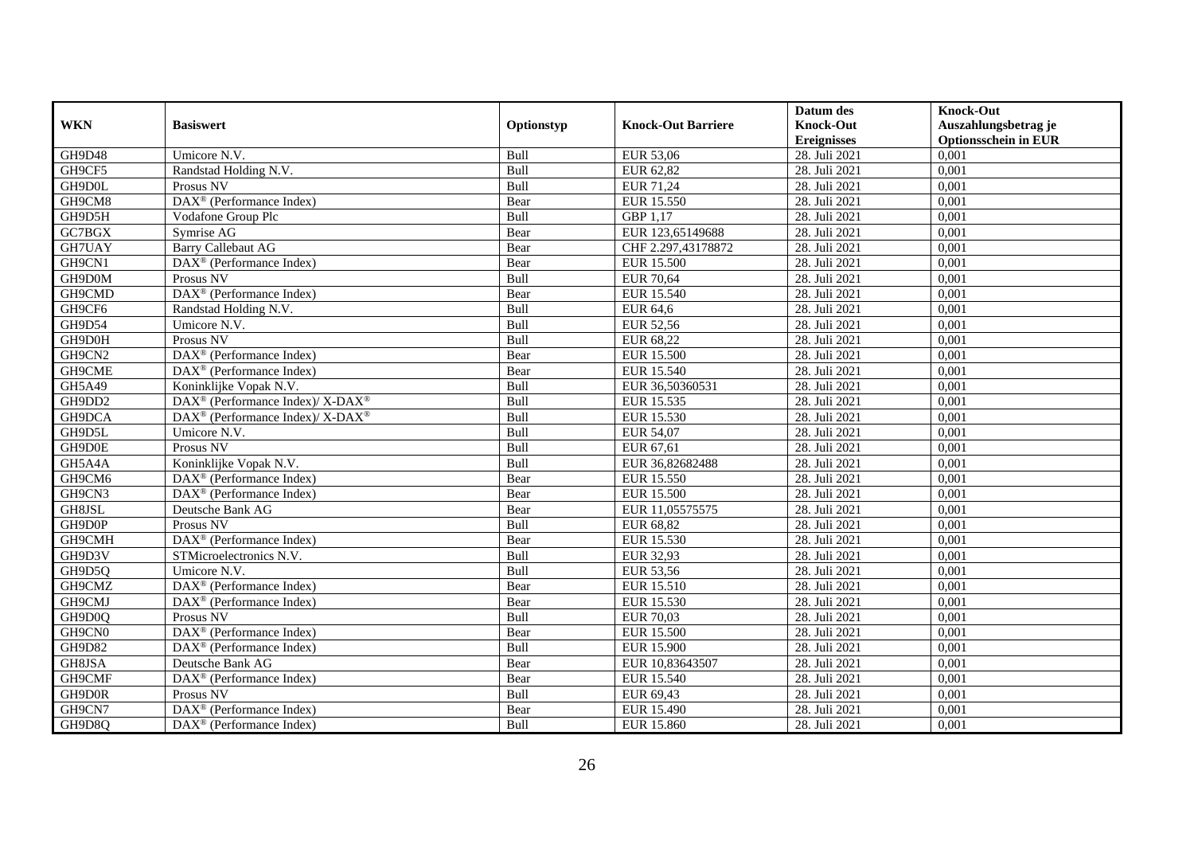|               |                                                          |            |                           | Datum des          | <b>Knock-Out</b>            |
|---------------|----------------------------------------------------------|------------|---------------------------|--------------------|-----------------------------|
| <b>WKN</b>    | <b>Basiswert</b>                                         | Optionstyp | <b>Knock-Out Barriere</b> | <b>Knock-Out</b>   | Auszahlungsbetrag je        |
|               |                                                          |            |                           | <b>Ereignisses</b> | <b>Optionsschein in EUR</b> |
| GH9D48        | Umicore N.V.                                             | Bull       | <b>EUR 53,06</b>          | 28. Juli 2021      | 0,001                       |
| GH9CF5        | Randstad Holding N.V.                                    | Bull       | EUR 62,82                 | 28. Juli 2021      | 0,001                       |
| GH9D0L        | Prosus NV                                                | Bull       | EUR 71,24                 | 28. Juli 2021      | 0,001                       |
| GH9CM8        | DAX <sup>®</sup> (Performance Index)                     | Bear       | EUR 15.550                | 28. Juli 2021      | 0,001                       |
| GH9D5H        | Vodafone Group Plc                                       | Bull       | GBP 1,17                  | 28. Juli 2021      | 0,001                       |
| GC7BGX        | Symrise AG                                               | Bear       | EUR 123,65149688          | 28. Juli 2021      | 0,001                       |
| GH7UAY        | <b>Barry Callebaut AG</b>                                | Bear       | CHF 2.297,43178872        | 28. Juli 2021      | 0,001                       |
| GH9CN1        | $\overline{\text{DAX}^{\otimes}}$ (Performance Index)    | Bear       | <b>EUR 15.500</b>         | 28. Juli 2021      | 0,001                       |
| GH9D0M        | Prosus NV                                                | Bull       | <b>EUR 70,64</b>          | 28. Juli 2021      | 0,001                       |
| GH9CMD        | DAX <sup>®</sup> (Performance Index)                     | Bear       | EUR 15.540                | 28. Juli 2021      | 0,001                       |
| GH9CF6        | Randstad Holding N.V.                                    | Bull       | <b>EUR 64,6</b>           | 28. Juli 2021      | 0,001                       |
| GH9D54        | Umicore N.V.                                             | Bull       | <b>EUR 52,56</b>          | 28. Juli 2021      | 0,001                       |
| GH9D0H        | Prosus NV                                                | Bull       | EUR 68,22                 | 28. Juli 2021      | 0,001                       |
| GH9CN2        | $DAX^{\circledR}$ (Performance Index)                    | Bear       | <b>EUR 15.500</b>         | 28. Juli 2021      | 0,001                       |
| GH9CME        | DAX <sup>®</sup> (Performance Index)                     | Bear       | <b>EUR 15.540</b>         | 28. Juli 2021      | 0,001                       |
| GH5A49        | Koninklijke Vopak N.V.                                   | Bull       | EUR 36,50360531           | 28. Juli 2021      | 0,001                       |
| GH9DD2        | DAX <sup>®</sup> (Performance Index)/ X-DAX <sup>®</sup> | Bull       | EUR 15.535                | 28. Juli 2021      | 0,001                       |
| GH9DCA        | DAX <sup>®</sup> (Performance Index)/ X-DAX <sup>®</sup> | Bull       | EUR 15.530                | 28. Juli 2021      | 0,001                       |
| GH9D5L        | Umicore N.V.                                             | Bull       | EUR 54,07                 | 28. Juli 2021      | 0,001                       |
| GH9D0E        | Prosus NV                                                | Bull       | EUR 67,61                 | 28. Juli 2021      | 0,001                       |
| GH5A4A        | Koninklijke Vopak N.V.                                   | Bull       | EUR 36,82682488           | 28. Juli 2021      | 0,001                       |
| GH9CM6        | $DAX^{\circledR}$ (Performance Index)                    | Bear       | EUR 15.550                | 28. Juli 2021      | 0,001                       |
| GH9CN3        | $\overline{\text{DAX}^{\otimes}}$ (Performance Index)    | Bear       | EUR 15.500                | 28. Juli 2021      | 0,001                       |
| GH8JSL        | Deutsche Bank AG                                         | Bear       | EUR 11,05575575           | 28. Juli 2021      | 0,001                       |
| GH9D0P        | Prosus NV                                                | Bull       | EUR 68,82                 | 28. Juli 2021      | 0,001                       |
| GH9CMH        | DAX <sup>®</sup> (Performance Index)                     | Bear       | EUR 15.530                | 28. Juli 2021      | 0,001                       |
| GH9D3V        | STMicroelectronics N.V.                                  | Bull       | EUR 32,93                 | 28. Juli 2021      | 0,001                       |
| GH9D5Q        | Umicore N.V.                                             | Bull       | <b>EUR 53,56</b>          | 28. Juli 2021      | 0,001                       |
| GH9CMZ        | DAX <sup>®</sup> (Performance Index)                     | Bear       | EUR 15.510                | 28. Juli 2021      | 0,001                       |
| GH9CMJ        | DAX <sup>®</sup> (Performance Index)                     | Bear       | EUR 15.530                | 28. Juli 2021      | 0,001                       |
| GH9D0Q        | Prosus NV                                                | Bull       | <b>EUR 70,03</b>          | 28. Juli 2021      | 0,001                       |
| GH9CN0        | $\overline{\text{DAX}^{\otimes}}$ (Performance Index)    | Bear       | <b>EUR 15.500</b>         | 28. Juli 2021      | 0,001                       |
| <b>GH9D82</b> | DAX <sup>®</sup> (Performance Index)                     | Bull       | <b>EUR 15.900</b>         | 28. Juli 2021      | 0,001                       |
| GH8JSA        | Deutsche Bank AG                                         | Bear       | EUR 10,83643507           | 28. Juli 2021      | 0,001                       |
| GH9CMF        | $DAX^{\circledast}$ (Performance Index)                  | Bear       | EUR 15.540                | 28. Juli 2021      | 0,001                       |
| GH9D0R        | Prosus NV                                                | Bull       | EUR 69,43                 | 28. Juli 2021      | 0,001                       |
| GH9CN7        | DAX <sup>®</sup> (Performance Index)                     | Bear       | EUR 15.490                | 28. Juli 2021      | 0,001                       |
| GH9D8Q        | DAX <sup>®</sup> (Performance Index)                     | Bull       | EUR 15.860                | 28. Juli 2021      | 0,001                       |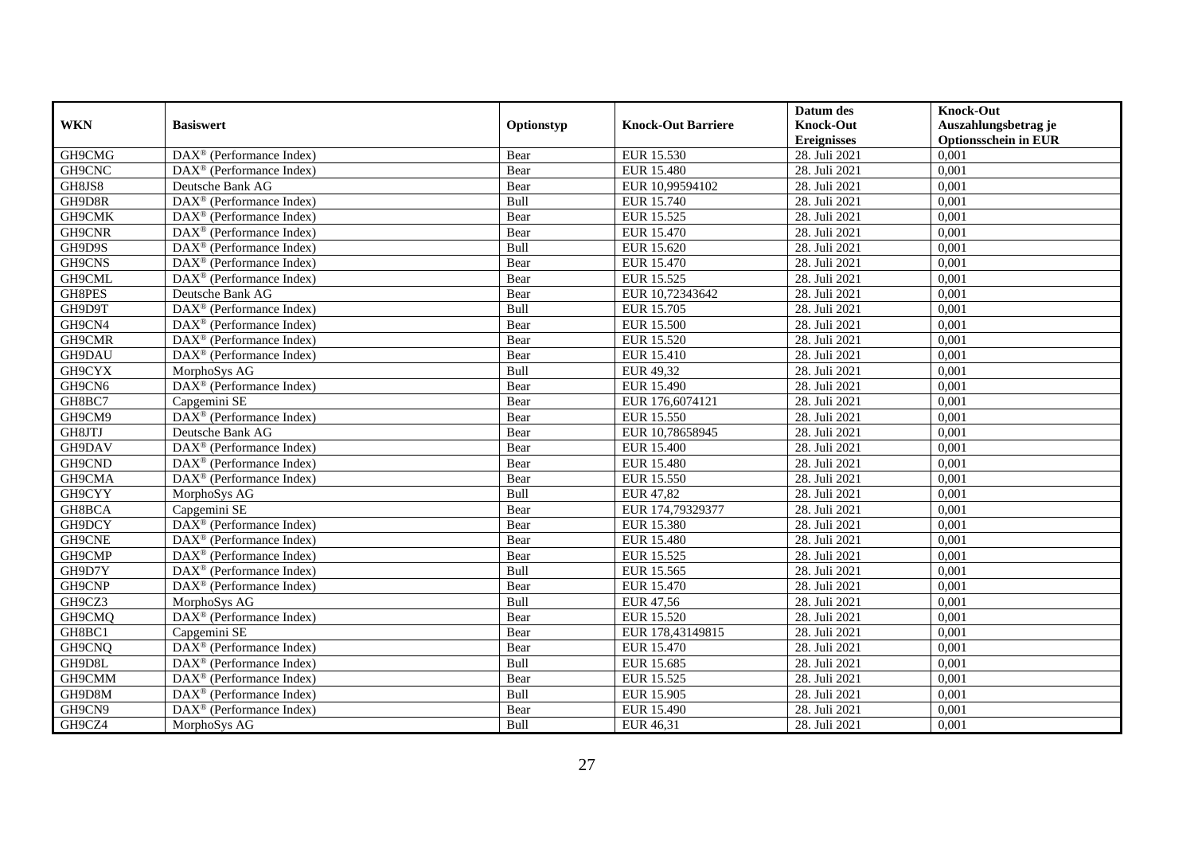|            |                                                         |            |                           | Datum des          | <b>Knock-Out</b>            |
|------------|---------------------------------------------------------|------------|---------------------------|--------------------|-----------------------------|
| <b>WKN</b> | <b>Basiswert</b>                                        | Optionstyp | <b>Knock-Out Barriere</b> | <b>Knock-Out</b>   | Auszahlungsbetrag je        |
|            |                                                         |            |                           | <b>Ereignisses</b> | <b>Optionsschein in EUR</b> |
| GH9CMG     | $\text{DAX}^{\textcircled{}}$ (Performance Index)       | Bear       | EUR 15.530                | 28. Juli 2021      | 0,001                       |
| GH9CNC     | $DAX^{\circledR}$ (Performance Index)                   | Bear       | EUR 15.480                | 28. Juli 2021      | 0,001                       |
| GH8JS8     | Deutsche Bank AG                                        | Bear       | EUR 10,99594102           | 28. Juli 2021      | 0,001                       |
| GH9D8R     | $DAX^{\circledast}$ (Performance Index)                 | Bull       | EUR 15.740                | 28. Juli 2021      | 0,001                       |
| GH9CMK     | DAX <sup>®</sup> (Performance Index)                    | Bear       | EUR 15.525                | 28. Juli 2021      | 0,001                       |
| GH9CNR     | $\overline{\text{DAX}^{\otimes}}$ (Performance Index)   | Bear       | EUR 15.470                | 28. Juli 2021      | 0,001                       |
| GH9D9S     | $\overline{\text{DAX}^{\otimes}}$ (Performance Index)   | Bull       | EUR 15.620                | 28. Juli 2021      | 0,001                       |
| GH9CNS     | $DAX^{\circledR}$ (Performance Index)                   | Bear       | EUR 15.470                | 28. Juli 2021      | 0,001                       |
| GH9CML     | $DAX^{\circledR}$ (Performance Index)                   | Bear       | EUR 15.525                | 28. Juli 2021      | 0,001                       |
| GH8PES     | Deutsche Bank AG                                        | Bear       | EUR 10,72343642           | 28. Juli 2021      | 0,001                       |
| GH9D9T     | DAX <sup>®</sup> (Performance Index)                    | Bull       | EUR 15.705                | 28. Juli 2021      | 0,001                       |
| GH9CN4     | DAX <sup>®</sup> (Performance Index)                    | Bear       | <b>EUR 15.500</b>         | 28. Juli 2021      | 0,001                       |
| GH9CMR     | $\overline{\text{DAX}^{\otimes}}$ (Performance Index)   | Bear       | <b>EUR 15.520</b>         | 28. Juli 2021      | 0,001                       |
| GH9DAU     | DAX <sup>®</sup> (Performance Index)                    | Bear       | <b>EUR 15.410</b>         | 28. Juli 2021      | 0,001                       |
| GH9CYX     | MorphoSys AG                                            | Bull       | EUR 49,32                 | 28. Juli 2021      | 0,001                       |
| GH9CN6     | $\overline{\text{DAX}^{\otimes}}$ (Performance Index)   | Bear       | EUR 15.490                | 28. Juli 2021      | 0,001                       |
| GH8BC7     | Capgemini SE                                            | Bear       | EUR 176,6074121           | 28. Juli 2021      | 0,001                       |
| GH9CM9     | $DAX^{\circledcirc}$ (Performance Index)                | Bear       | EUR 15.550                | 28. Juli 2021      | 0,001                       |
| GH8JTJ     | Deutsche Bank AG                                        | Bear       | EUR 10,78658945           | 28. Juli 2021      | 0,001                       |
| GH9DAV     | DAX <sup>®</sup> (Performance Index)                    | Bear       | <b>EUR 15.400</b>         | 28. Juli 2021      | 0,001                       |
| GH9CND     | DAX <sup>®</sup> (Performance Index)                    | Bear       | <b>EUR 15.480</b>         | 28. Juli 2021      | 0,001                       |
| GH9CMA     | $\overline{\text{DAX}^{\otimes}}$ (Performance Index)   | Bear       | <b>EUR 15.550</b>         | 28. Juli 2021      | 0,001                       |
| GH9CYY     | MorphoSys AG                                            | Bull       | EUR 47,82                 | 28. Juli 2021      | 0,001                       |
| GH8BCA     | Capgemini SE                                            | Bear       | EUR 174,79329377          | 28. Juli 2021      | 0,001                       |
| GH9DCY     | $DAX^{\circledast}$ (Performance Index)                 | Bear       | <b>EUR 15.380</b>         | 28. Juli 2021      | 0,001                       |
| GH9CNE     | DAX <sup>®</sup> (Performance Index)                    | Bear       | <b>EUR 15.480</b>         | 28. Juli 2021      | 0,001                       |
| GH9CMP     | $DAX^{\circledast}$ (Performance Index)                 | Bear       | EUR 15.525                | 28. Juli 2021      | 0,001                       |
| GH9D7Y     | $\text{DAX}^{\textcircled{}}$ (Performance Index)       | Bull       | EUR 15.565                | 28. Juli 2021      | 0,001                       |
| GH9CNP     | $\overline{\text{DAX}}^{\textcirc}$ (Performance Index) | Bear       | EUR 15.470                | 28. Juli 2021      | 0,001                       |
| GH9CZ3     | MorphoSys AG                                            | Bull       | <b>EUR 47,56</b>          | 28. Juli 2021      | 0,001                       |
| GH9CMQ     | DAX <sup>®</sup> (Performance Index)                    | Bear       | EUR 15.520                | 28. Juli 2021      | 0,001                       |
| GH8BC1     | Capgemini SE                                            | Bear       | EUR 178,43149815          | 28. Juli 2021      | 0,001                       |
| GH9CNQ     | DAX <sup>®</sup> (Performance Index)                    | Bear       | <b>EUR 15.470</b>         | 28. Juli 2021      | 0,001                       |
| GH9D8L     | $\overline{\text{DAX}^{\otimes}}$ (Performance Index)   | Bull       | EUR 15.685                | 28. Juli 2021      | 0,001                       |
| GH9CMM     | $DAX^{\circledast}$ (Performance Index)                 | Bear       | EUR 15.525                | 28. Juli 2021      | 0,001                       |
| GH9D8M     | DAX <sup>®</sup> (Performance Index)                    | Bull       | EUR 15.905                | 28. Juli 2021      | 0,001                       |
| GH9CN9     | DAX <sup>®</sup> (Performance Index)                    | Bear       | EUR 15.490                | 28. Juli 2021      | 0,001                       |
| GH9CZ4     | MorphoSys AG                                            | Bull       | EUR 46,31                 | 28. Juli 2021      | 0,001                       |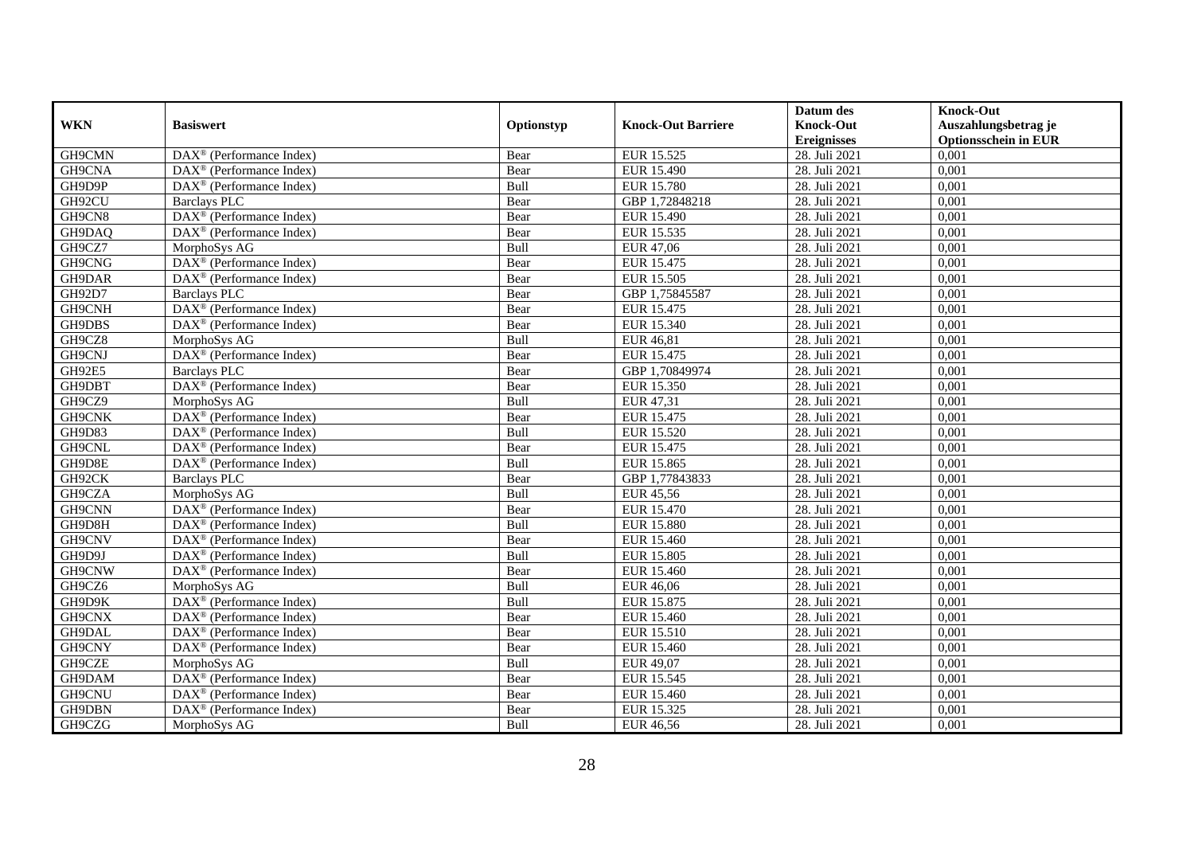|               |                                                              |            |                           | Datum des                   | <b>Knock-Out</b>            |
|---------------|--------------------------------------------------------------|------------|---------------------------|-----------------------------|-----------------------------|
| <b>WKN</b>    | <b>Basiswert</b>                                             | Optionstyp | <b>Knock-Out Barriere</b> | <b>Knock-Out</b>            | Auszahlungsbetrag je        |
|               |                                                              |            |                           | <b>Ereignisses</b>          | <b>Optionsschein in EUR</b> |
| GH9CMN        | $\overline{\text{DAX}^{\otimes}}$ (Performance Index)        | Bear       | EUR 15.525                | 28. Juli 2021               | 0,001                       |
| GH9CNA        | $\text{DAX}^{\textcircled{p}}$ (Performance Index)           | Bear       | EUR 15.490                | 28. Juli 2021               | 0,001                       |
| GH9D9P        | DAX <sup>®</sup> (Performance Index)                         | Bull       | <b>EUR 15.780</b>         | 28. Juli 2021               | 0,001                       |
| GH92CU        | <b>Barclays PLC</b>                                          | Bear       | GBP 1,72848218            | 28. Juli 2021               | 0,001                       |
| GH9CN8        | DAX <sup>®</sup> (Performance Index)                         | Bear       | EUR 15.490                | 28. Juli 2021               | 0,001                       |
| GH9DAQ        | DAX <sup>®</sup> (Performance Index)                         | Bear       | EUR 15.535                | 28. Juli 2021               | 0,001                       |
| GH9CZ7        | MorphoSys AG                                                 | Bull       | EUR 47,06                 | 28. Juli 2021               | 0,001                       |
| GH9CNG        | DAX <sup>®</sup> (Performance Index)                         | Bear       | EUR 15.475                | 28. Juli 2021               | 0,001                       |
| GH9DAR        | $\overline{\text{DAX}^{\otimes}}$ (Performance Index)        | Bear       | EUR 15.505                | 28. Juli 2021               | 0,001                       |
| GH92D7        | <b>Barclays PLC</b>                                          | Bear       | GBP 1,75845587            | 28. Juli 2021               | 0,001                       |
| <b>GH9CNH</b> | DAX <sup>®</sup> (Performance Index)                         | Bear       | EUR 15.475                | 28. Juli 2021               | 0,001                       |
| GH9DBS        | DAX <sup>®</sup> (Performance Index)                         | Bear       | EUR 15.340                | 28. Juli 2021               | 0,001                       |
| GH9CZ8        | MorphoSys AG                                                 | Bull       | <b>EUR 46,81</b>          | 28. Juli 2021               | 0,001                       |
| GH9CNJ        | DAX <sup>®</sup> (Performance Index)                         | Bear       | EUR 15.475                | 28. Juli 2021               | 0,001                       |
| GH92E5        | <b>Barclays PLC</b>                                          | Bear       | GBP 1,70849974            | 28. Juli 2021               | 0,001                       |
| GH9DBT        | DAX <sup>®</sup> (Performance Index)                         | Bear       | EUR 15.350                | 28. Juli 2021               | 0,001                       |
| GH9CZ9        | MorphoSys AG                                                 | Bull       | EUR 47,31                 | 28. Juli 2021               | 0,001                       |
| GH9CNK        | $\text{DAX}^{\textcircled{p}}$ (Performance Index)           | Bear       | EUR 15.475                | 28. Juli 2021               | 0,001                       |
| GH9D83        | $\overline{\text{DAX}}^{\textcircled{}}$ (Performance Index) | Bull       | EUR 15.520                | 28. Juli 2021               | 0,001                       |
| GH9CNL        | $\text{DAX}^{\textcircled{}}$ (Performance Index)            | Bear       | EUR 15.475                | 28. Juli 2021               | 0,001                       |
| GH9D8E        | DAX <sup>®</sup> (Performance Index)                         | Bull       | <b>EUR 15.865</b>         | 28. Juli 2021               | 0,001                       |
| GH92CK        | <b>Barclays PLC</b>                                          | Bear       | GBP 1,77843833            | 28. Juli 2021               | 0,001                       |
| GH9CZA        | MorphoSys AG                                                 | Bull       | EUR 45,56                 | 28. Juli 2021               | 0,001                       |
| GH9CNN        | DAX <sup>®</sup> (Performance Index)                         | Bear       | <b>EUR 15.470</b>         | 28. Juli 2021               | 0,001                       |
| GH9D8H        | $\overline{\text{DAX}^{\otimes}}$ (Performance Index)        | Bull       | <b>EUR 15.880</b>         | 28. Juli 2021               | 0,001                       |
| GH9CNV        | $\text{DAX}^{\otimes}$ (Performance Index)                   | Bear       | EUR 15.460                | 28. Juli 2021               | 0,001                       |
| GH9D9J        | DAX <sup>®</sup> (Performance Index)                         | Bull       | <b>EUR 15.805</b>         | 28. Juli 2021               | 0,001                       |
| GH9CNW        | $\overline{\text{DAX}^{\otimes}}$ (Performance Index)        | Bear       | EUR 15.460                | 28. Juli 2021               | 0,001                       |
| GH9CZ6        | MorphoSys AG                                                 | Bull       | <b>EUR 46,06</b>          | 28. Juli 2021               | 0,001                       |
| GH9D9K        | DAX <sup>®</sup> (Performance Index)                         | Bull       | EUR 15.875                | 28. Juli 2021               | 0,001                       |
| GH9CNX        | $\text{DAX}^{\textcircled{p}}$ (Performance Index)           | Bear       | EUR 15.460                | 28. Juli 2021               | 0,001                       |
| GH9DAL        | DAX <sup>®</sup> (Performance Index)                         | Bear       | EUR 15.510                | 28. Juli 2021               | 0,001                       |
| GH9CNY        | DAX <sup>®</sup> (Performance Index)                         | Bear       | EUR 15.460                | 28. Juli 2021               | 0,001                       |
| GH9CZE        | MorphoSys AG                                                 | Bull       | EUR 49,07                 | $\overline{28}$ . Juli 2021 | 0,001                       |
| GH9DAM        | $\text{DAX}^{\textcircled{n}}$ (Performance Index)           | Bear       | EUR 15.545                | 28. Juli 2021               | 0,001                       |
| GH9CNU        | DAX <sup>®</sup> (Performance Index)                         | Bear       | EUR 15.460                | 28. Juli 2021               | 0,001                       |
| GH9DBN        | $\text{DAX}^{\circledast}$ (Performance Index)               | Bear       | EUR 15.325                | 28. Juli 2021               | 0,001                       |
| GH9CZG        | MorphoSys AG                                                 | Bull       | <b>EUR 46,56</b>          | 28. Juli 2021               | 0,001                       |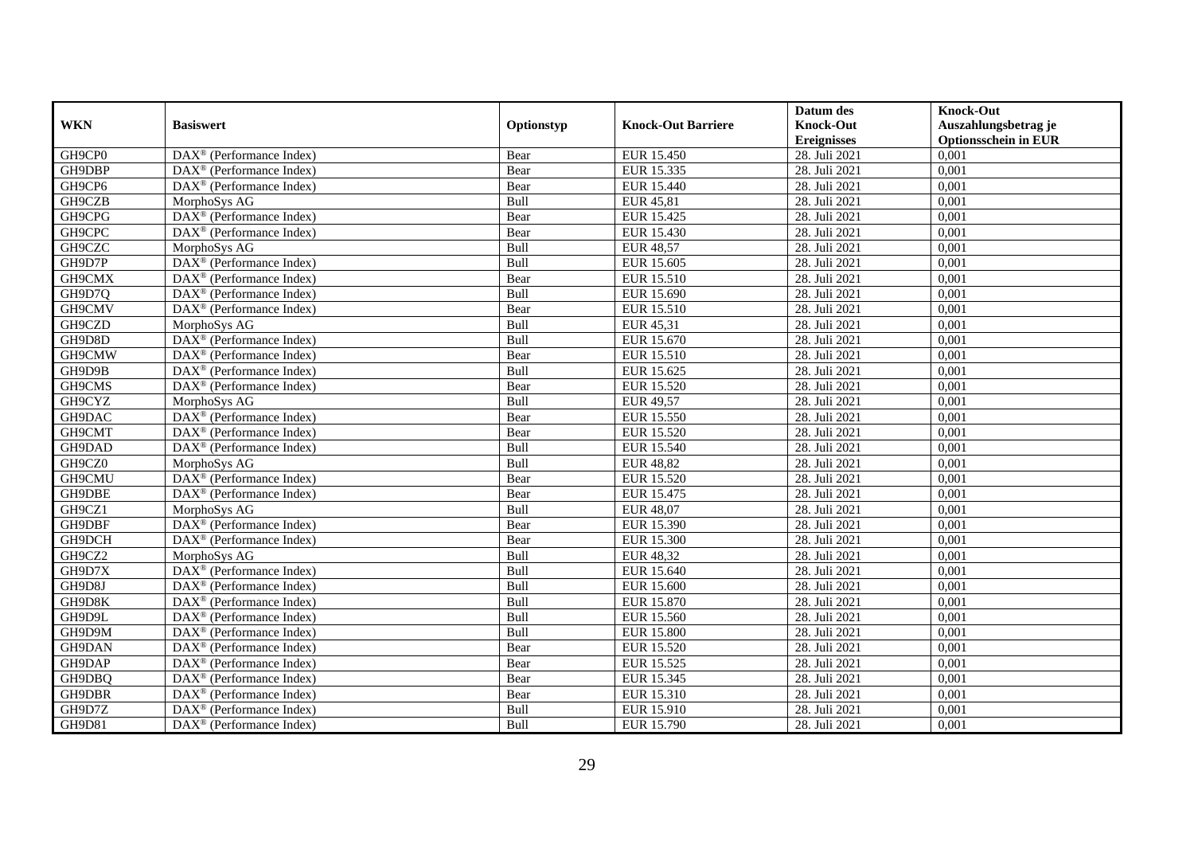|               |                                                               |            |                           | Datum des          | <b>Knock-Out</b>            |
|---------------|---------------------------------------------------------------|------------|---------------------------|--------------------|-----------------------------|
| <b>WKN</b>    | <b>Basiswert</b>                                              | Optionstyp | <b>Knock-Out Barriere</b> | <b>Knock-Out</b>   | Auszahlungsbetrag je        |
|               |                                                               |            |                           | <b>Ereignisses</b> | <b>Optionsschein in EUR</b> |
| GH9CP0        | $\overline{\text{DAX}}^{\textcirc}$ (Performance Index)       | Bear       | <b>EUR 15.450</b>         | 28. Juli 2021      | 0,001                       |
| GH9DBP        | $DAX^{\circledR}$ (Performance Index)                         | Bear       | EUR 15.335                | 28. Juli 2021      | 0,001                       |
| GH9CP6        | DAX <sup>®</sup> (Performance Index)                          | Bear       | EUR 15.440                | 28. Juli 2021      | 0,001                       |
| GH9CZB        | MorphoSys AG                                                  | Bull       | <b>EUR 45,81</b>          | 28. Juli 2021      | 0,001                       |
| GH9CPG        | DAX <sup>®</sup> (Performance Index)                          | Bear       | <b>EUR 15.425</b>         | 28. Juli 2021      | 0,001                       |
| GH9CPC        | DAX <sup>®</sup> (Performance Index)                          | Bear       | EUR 15.430                | 28. Juli 2021      | 0,001                       |
| GH9CZC        | MorphoSys AG                                                  | Bull       | <b>EUR 48,57</b>          | 28. Juli 2021      | 0,001                       |
| GH9D7P        | $DAX^{\circledR}$ (Performance Index)                         | Bull       | EUR 15.605                | 28. Juli 2021      | 0,001                       |
| GH9CMX        | $DAX^{\circledR}$ (Performance Index)                         | Bear       | EUR 15.510                | 28. Juli 2021      | 0,001                       |
| GH9D7Q        | DAX <sup>®</sup> (Performance Index)                          | Bull       | EUR 15.690                | 28. Juli 2021      | 0,001                       |
| GH9CMV        | DAX <sup>®</sup> (Performance Index)                          | Bear       | EUR 15.510                | 28. Juli 2021      | 0,001                       |
| GH9CZD        | MorphoSys AG                                                  | Bull       | EUR 45,31                 | 28. Juli 2021      | 0,001                       |
| GH9D8D        | DAX <sup>®</sup> (Performance Index)                          | Bull       | EUR 15.670                | 28. Juli 2021      | 0,001                       |
| GH9CMW        | $DAX^{\circledast}$ (Performance Index)                       | Bear       | EUR 15.510                | 28. Juli 2021      | 0,001                       |
| GH9D9B        | $DAX^{\circledast}$ (Performance Index)                       | Bull       | EUR 15.625                | 28. Juli 2021      | 0,001                       |
| GH9CMS        | $\overline{\text{DAX}}^{\textcirc}$ (Performance Index)       | Bear       | EUR 15.520                | 28. Juli 2021      | 0,001                       |
| GH9CYZ        | MorphoSys AG                                                  | Bull       | <b>EUR 49,57</b>          | 28. Juli 2021      | 0,001                       |
| GH9DAC        | $DAX^{\circledcirc}$ (Performance Index)                      | Bear       | EUR 15.550                | 28. Juli 2021      | 0,001                       |
| GH9CMT        | $DAX^{\circledR}$ (Performance Index)                         | Bear       | EUR 15.520                | 28. Juli 2021      | 0,001                       |
| GH9DAD        | DAX <sup>®</sup> (Performance Index)                          | Bull       | <b>EUR 15.540</b>         | 28. Juli 2021      | 0,001                       |
| GH9CZ0        | MorphoSys AG                                                  | Bull       | <b>EUR 48,82</b>          | 28. Juli 2021      | 0,001                       |
| GH9CMU        | DAX <sup>®</sup> (Performance Index)                          | Bear       | <b>EUR 15.520</b>         | 28. Juli 2021      | 0,001                       |
| GH9DBE        | $\overline{\text{DA}}X^{\textcircled{e}}$ (Performance Index) | Bear       | EUR 15.475                | 28. Juli 2021      | 0,001                       |
| GH9CZ1        | MorphoSys AG                                                  | Bull       | <b>EUR 48,07</b>          | 28. Juli 2021      | 0,001                       |
| GH9DBF        | $DAX^{\circledast}$ (Performance Index)                       | Bear       | EUR 15.390                | 28. Juli 2021      | 0,001                       |
| GH9DCH        | DAX <sup>®</sup> (Performance Index)                          | Bear       | EUR 15.300                | 28. Juli 2021      | 0,001                       |
| GH9CZ2        | MorphoSys AG                                                  | Bull       | <b>EUR 48,32</b>          | 28. Juli 2021      | 0,001                       |
| GH9D7X        | $\overline{\text{DAX}^{\otimes}}$ (Performance Index)         | Bull       | EUR 15.640                | 28. Juli 2021      | 0,001                       |
| GH9D8J        | DAX <sup>®</sup> (Performance Index)                          | Bull       | EUR 15.600                | 28. Juli 2021      | 0,001                       |
| GH9D8K        | $DAX^{\circledR}$ (Performance Index)                         | Bull       | <b>EUR 15.870</b>         | 28. Juli 2021      | 0,001                       |
| GH9D9L        | DAX <sup>®</sup> (Performance Index)                          | Bull       | EUR 15.560                | 28. Juli 2021      | 0,001                       |
| GH9D9M        | DAX <sup>®</sup> (Performance Index)                          | Bull       | <b>EUR 15.800</b>         | 28. Juli 2021      | 0,001                       |
| GH9DAN        | $\overline{\text{DAX}^{\otimes}}$ (Performance Index)         | Bear       | <b>EUR 15.520</b>         | 28. Juli 2021      | 0,001                       |
| GH9DAP        | DAX <sup>®</sup> (Performance Index)                          | Bear       | EUR 15.525                | 28. Juli 2021      | 0,001                       |
| GH9DBQ        | $DAX^{\circledast}$ (Performance Index)                       | Bear       | EUR 15.345                | 28. Juli 2021      | 0,001                       |
| GH9DBR        | $DAX^{\circledast}$ (Performance Index)                       | Bear       | EUR 15.310                | 28. Juli 2021      | 0,001                       |
| GH9D7Z        | DAX <sup>®</sup> (Performance Index)                          | Bull       | EUR 15.910                | 28. Juli 2021      | 0,001                       |
| <b>GH9D81</b> | $\text{DAX}^{\textcircled{}}$ (Performance Index)             | Bull       | EUR 15.790                | 28. Juli 2021      | 0,001                       |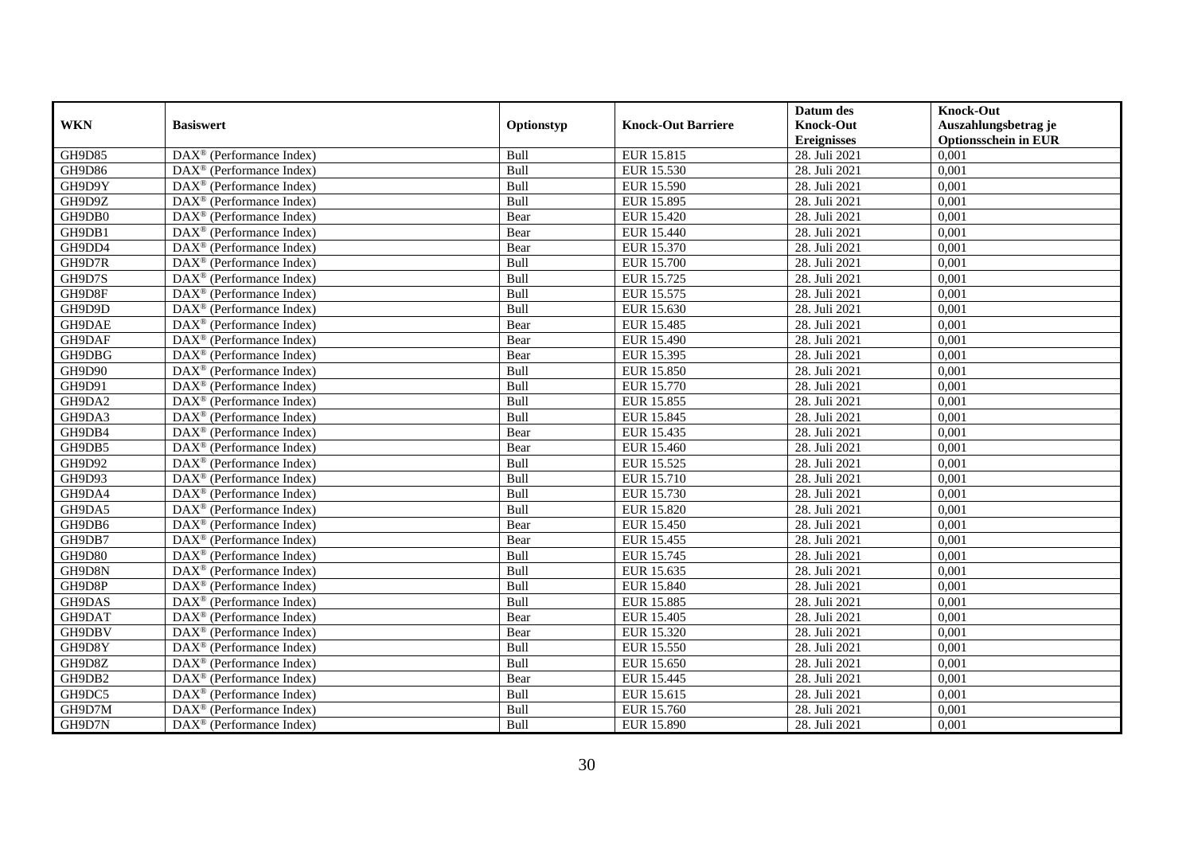|            |                                                              |            |                           | Datum des          | <b>Knock-Out</b>            |
|------------|--------------------------------------------------------------|------------|---------------------------|--------------------|-----------------------------|
| <b>WKN</b> | <b>Basiswert</b>                                             | Optionstyp | <b>Knock-Out Barriere</b> | <b>Knock-Out</b>   | Auszahlungsbetrag je        |
|            |                                                              |            |                           | <b>Ereignisses</b> | <b>Optionsschein in EUR</b> |
| GH9D85     | $\overline{\text{DAX}}^{\textcircled{}}$ (Performance Index) | Bull       | EUR 15.815                | 28. Juli 2021      | 0,001                       |
| GH9D86     | $DAX^{\circledR}$ (Performance Index)                        | Bull       | EUR 15.530                | 28. Juli 2021      | 0,001                       |
| GH9D9Y     | DAX <sup>®</sup> (Performance Index)                         | Bull       | EUR 15.590                | 28. Juli 2021      | 0,001                       |
| GH9D9Z     | $\text{DAX}^{\circledast}$ (Performance Index)               | Bull       | EUR 15.895                | 28. Juli 2021      | 0,001                       |
| GH9DB0     | DAX <sup>®</sup> (Performance Index)                         | Bear       | EUR 15.420                | 28. Juli 2021      | 0,001                       |
| GH9DB1     | $\text{DAX}^{\circledast}$ (Performance Index)               | Bear       | EUR 15.440                | 28. Juli 2021      | 0,001                       |
| GH9DD4     | $\text{DAX}^{\textcircled{n}}$ (Performance Index)           | Bear       | EUR 15.370                | 28. Juli 2021      | 0,001                       |
| GH9D7R     | $\text{DAX}^{\textcircled{}}$ (Performance Index)            | Bull       | <b>EUR 15.700</b>         | 28. Juli 2021      | 0,001                       |
| GH9D7S     | $\text{DAX}^{\textcircled{p}}$ (Performance Index)           | Bull       | EUR 15.725                | 28. Juli 2021      | 0,001                       |
| GH9D8F     | $DAX^{\otimes}$ (Performance Index)                          | Bull       | EUR 15.575                | 28. Juli 2021      | 0,001                       |
| GH9D9D     | DAX <sup>®</sup> (Performance Index)                         | Bull       | EUR 15.630                | 28. Juli 2021      | 0,001                       |
| GH9DAE     | $\overline{\text{DAX}^{\otimes}}$ (Performance Index)        | Bear       | <b>EUR 15.485</b>         | 28. Juli 2021      | 0,001                       |
| GH9DAF     | $\text{DAX}^{\circledast}$ (Performance Index)               | Bear       | EUR 15.490                | 28. Juli 2021      | 0,001                       |
| GH9DBG     | DAX <sup>®</sup> (Performance Index)                         | Bear       | EUR 15.395                | 28. Juli 2021      | 0,001                       |
| GH9D90     | DAX <sup>®</sup> (Performance Index)                         | Bull       | EUR 15.850                | 28. Juli 2021      | 0,001                       |
| GH9D91     | DAX <sup>®</sup> (Performance Index)                         | Bull       | EUR 15.770                | 28. Juli 2021      | 0,001                       |
| GH9DA2     | DAX <sup>®</sup> (Performance Index)                         | Bull       | EUR 15.855                | 28. Juli 2021      | 0,001                       |
| GH9DA3     | $\overline{\text{DAX}}^{\textcirc}$ (Performance Index)      | Bull       | EUR 15.845                | 28. Juli 2021      | 0,001                       |
| GH9DB4     | DAX <sup>®</sup> (Performance Index)                         | Bear       | EUR 15.435                | 28. Juli 2021      | 0,001                       |
| GH9DB5     | DAX <sup>®</sup> (Performance Index)                         | Bear       | EUR 15.460                | 28. Juli 2021      | 0,001                       |
| GH9D92     | DAX <sup>®</sup> (Performance Index)                         | Bull       | EUR 15.525                | 28. Juli 2021      | 0,001                       |
| GH9D93     | $\overline{\text{DAX}^{\otimes}}$ (Performance Index)        | Bull       | EUR 15.710                | 28. Juli 2021      | 0,001                       |
| GH9DA4     | $\text{DAX}^{\circledast}$ (Performance Index)               | Bull       | EUR 15.730                | 28. Juli 2021      | 0,001                       |
| GH9DA5     | DAX <sup>®</sup> (Performance Index)                         | Bull       | <b>EUR 15.820</b>         | 28. Juli 2021      | 0,001                       |
| GH9DB6     | DAX <sup>®</sup> (Performance Index)                         | Bear       | EUR 15.450                | 28. Juli 2021      | 0,001                       |
| GH9DB7     | $\text{DAX}^{\otimes}$ (Performance Index)                   | Bear       | EUR 15.455                | 28. Juli 2021      | 0,001                       |
| GH9D80     | $\text{DAX}^{\circledast}$ (Performance Index)               | Bull       | EUR 15.745                | 28. Juli 2021      | 0,001                       |
| GH9D8N     | $DAX^{\circledR}$ (Performance Index)                        | Bull       | EUR 15.635                | 28. Juli 2021      | 0,001                       |
| GH9D8P     | $\text{DAX}^{\textcircled{p}}$ (Performance Index)           | Bull       | EUR 15.840                | 28. Juli 2021      | 0,001                       |
| GH9DAS     | $DAX^{\circledcirc}$ (Performance Index)                     | Bull       | <b>EUR 15.885</b>         | 28. Juli 2021      | 0,001                       |
| GH9DAT     | DAX <sup>®</sup> (Performance Index)                         | Bear       | EUR 15.405                | 28. Juli 2021      | 0,001                       |
| GH9DBV     | $\text{DAX}^{\otimes}$ (Performance Index)                   | Bear       | EUR 15.320                | 28. Juli 2021      | 0,001                       |
| GH9D8Y     | $\overline{\text{DAX}^{\otimes}}$ (Performance Index)        | Bull       | EUR 15.550                | 28. Juli 2021      | 0,001                       |
| GH9D8Z     | $\text{DAX}^{\circledast}$ (Performance Index)               | Bull       | EUR 15.650                | 28. Juli 2021      | 0,001                       |
| GH9DB2     | $\text{DAX}^{\textcircled{n}}$ (Performance Index)           | Bear       | EUR 15.445                | 28. Juli 2021      | 0,001                       |
| GH9DC5     | $\text{DAX}^{\circledast}$ (Performance Index)               | Bull       | EUR 15.615                | 28. Juli 2021      | 0,001                       |
| GH9D7M     | $\text{DAX}^{\otimes}$ (Performance Index)                   | Bull       | EUR 15.760                | 28. Juli 2021      | 0,001                       |
| GH9D7N     | $\overline{\text{DAX}}^{\textcirc}$ (Performance Index)      | Bull       | EUR 15.890                | 28. Juli 2021      | 0,001                       |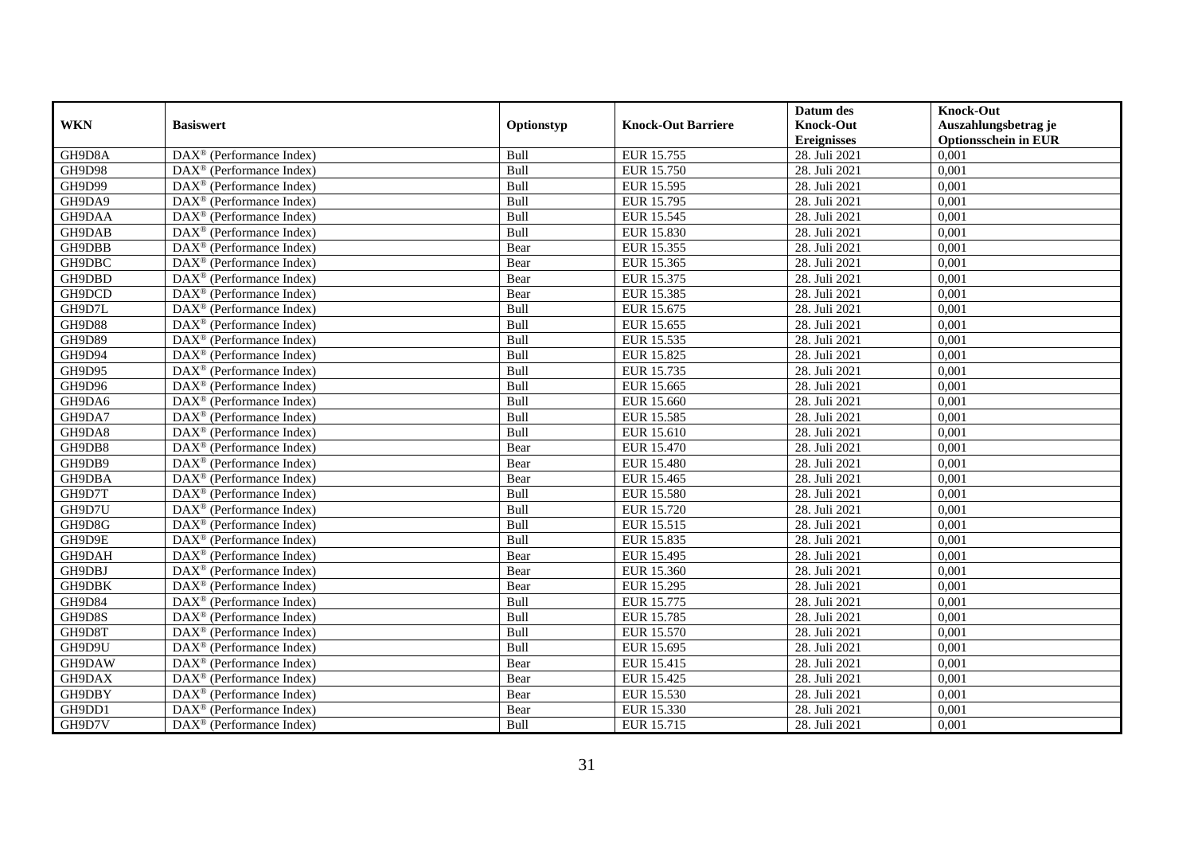|               |                                                         |            |                           | Datum des          | <b>Knock-Out</b>            |
|---------------|---------------------------------------------------------|------------|---------------------------|--------------------|-----------------------------|
| <b>WKN</b>    | <b>Basiswert</b>                                        | Optionstyp | <b>Knock-Out Barriere</b> | <b>Knock-Out</b>   | Auszahlungsbetrag je        |
|               |                                                         |            |                           | <b>Ereignisses</b> | <b>Optionsschein in EUR</b> |
| GH9D8A        | $\overline{\text{DAX}}^{\textcirc}$ (Performance Index) | Bull       | EUR 15.755                | 28. Juli 2021      | 0,001                       |
| GH9D98        | $DAX^{\circledR}$ (Performance Index)                   | Bull       | EUR 15.750                | 28. Juli 2021      | 0,001                       |
| GH9D99        | DAX <sup>®</sup> (Performance Index)                    | Bull       | EUR 15.595                | 28. Juli 2021      | 0,001                       |
| GH9DA9        | $DAX^{\circledast}$ (Performance Index)                 | Bull       | EUR 15.795                | 28. Juli 2021      | 0,001                       |
| GH9DAA        | DAX <sup>®</sup> (Performance Index)                    | Bull       | <b>EUR 15.545</b>         | 28. Juli 2021      | 0,001                       |
| GH9DAB        | $DAX^{\circledast}$ (Performance Index)                 | Bull       | EUR 15.830                | 28. Juli 2021      | 0,001                       |
| GH9DBB        | $DAX^{\circledast}$ (Performance Index)                 | Bear       | EUR 15.355                | 28. Juli 2021      | 0,001                       |
| GH9DBC        | $DAX^{\circledR}$ (Performance Index)                   | Bear       | EUR 15.365                | 28. Juli 2021      | 0,001                       |
| GH9DBD        | $DAX^{\circledR}$ (Performance Index)                   | Bear       | EUR 15.375                | 28. Juli 2021      | 0,001                       |
| GH9DCD        | DAX <sup>®</sup> (Performance Index)                    | Bear       | EUR 15.385                | 28. Juli 2021      | 0,001                       |
| GH9D7L        | $DAX^{\circledast}$ (Performance Index)                 | Bull       | EUR 15.675                | 28. Juli 2021      | 0,001                       |
| GH9D88        | $\overline{\text{DAX}^{\otimes}}$ (Performance Index)   | Bull       | EUR 15.655                | 28. Juli 2021      | 0,001                       |
| <b>GH9D89</b> | $DAX^{\circledast}$ (Performance Index)                 | Bull       | EUR 15.535                | 28. Juli 2021      | 0,001                       |
| GH9D94        | DAX <sup>®</sup> (Performance Index)                    | Bull       | EUR 15.825                | 28. Juli 2021      | 0,001                       |
| GH9D95        | $DAX^{\circledast}$ (Performance Index)                 | Bull       | EUR 15.735                | 28. Juli 2021      | 0,001                       |
| GH9D96        | DAX <sup>®</sup> (Performance Index)                    | Bull       | EUR 15.665                | 28. Juli 2021      | 0,001                       |
| GH9DA6        | DAX <sup>®</sup> (Performance Index)                    | Bull       | EUR 15.660                | 28. Juli 2021      | 0,001                       |
| GH9DA7        | $\overline{\text{DAX}}^{\textcirc}$ (Performance Index) | Bull       | EUR 15.585                | 28. Juli 2021      | 0,001                       |
| GH9DA8        | $DAX^{\circledcirc}$ (Performance Index)                | Bull       | EUR 15.610                | 28. Juli 2021      | 0,001                       |
| GH9DB8        | DAX <sup>®</sup> (Performance Index)                    | Bear       | EUR 15.470                | 28. Juli 2021      | 0,001                       |
| GH9DB9        | DAX <sup>®</sup> (Performance Index)                    | Bear       | <b>EUR 15.480</b>         | 28. Juli 2021      | 0,001                       |
| GH9DBA        | DAX <sup>®</sup> (Performance Index)                    | Bear       | EUR 15.465                | 28. Juli 2021      | 0,001                       |
| GH9D7T        | DAX <sup>®</sup> (Performance Index)                    | Bull       | <b>EUR 15.580</b>         | 28. Juli 2021      | 0,001                       |
| GH9D7U        | $DAX^{\circledast}$ (Performance Index)                 | Bull       | EUR 15.720                | 28. Juli 2021      | 0,001                       |
| GH9D8G        | DAX <sup>®</sup> (Performance Index)                    | Bull       | EUR 15.515                | 28. Juli 2021      | 0,001                       |
| GH9D9E        | DAX <sup>®</sup> (Performance Index)                    | Bull       | EUR 15.835                | 28. Juli 2021      | 0,001                       |
| GH9DAH        | $DAX^{\circledast}$ (Performance Index)                 | Bear       | EUR 15.495                | 28. Juli 2021      | 0,001                       |
| GH9DBJ        | $DAX^{\circledR}$ (Performance Index)                   | Bear       | EUR 15.360                | 28. Juli 2021      | 0,001                       |
| GH9DBK        | $\overline{\text{DAX}}^{\textcirc}$ (Performance Index) | Bear       | EUR 15.295                | 28. Juli 2021      | 0,001                       |
| GH9D84        | $DAX^{\circledcirc}$ (Performance Index)                | Bull       | EUR 15.775                | 28. Juli 2021      | 0,001                       |
| GH9D8S        | DAX <sup>®</sup> (Performance Index)                    | Bull       | EUR 15.785                | 28. Juli 2021      | 0,001                       |
| GH9D8T        | DAX <sup>®</sup> (Performance Index)                    | Bull       | EUR 15.570                | 28. Juli 2021      | 0,001                       |
| GH9D9U        | $\overline{\text{DAX}^{\otimes}}$ (Performance Index)   | Bull       | EUR 15.695                | 28. Juli 2021      | 0,001                       |
| GH9DAW        | DAX <sup>®</sup> (Performance Index)                    | Bear       | EUR 15.415                | 28. Juli 2021      | 0,001                       |
| GH9DAX        | $DAX^{\circledast}$ (Performance Index)                 | Bear       | EUR 15.425                | 28. Juli 2021      | 0,001                       |
| GH9DBY        | $DAX^{\circledast}$ (Performance Index)                 | Bear       | EUR 15.530                | 28. Juli 2021      | 0,001                       |
| GH9DD1        | DAX <sup>®</sup> (Performance Index)                    | Bear       | EUR 15.330                | 28. Juli 2021      | 0,001                       |
| GH9D7V        | $DAX^{\circledast}$ (Performance Index)                 | Bull       | EUR 15.715                | 28. Juli 2021      | 0,001                       |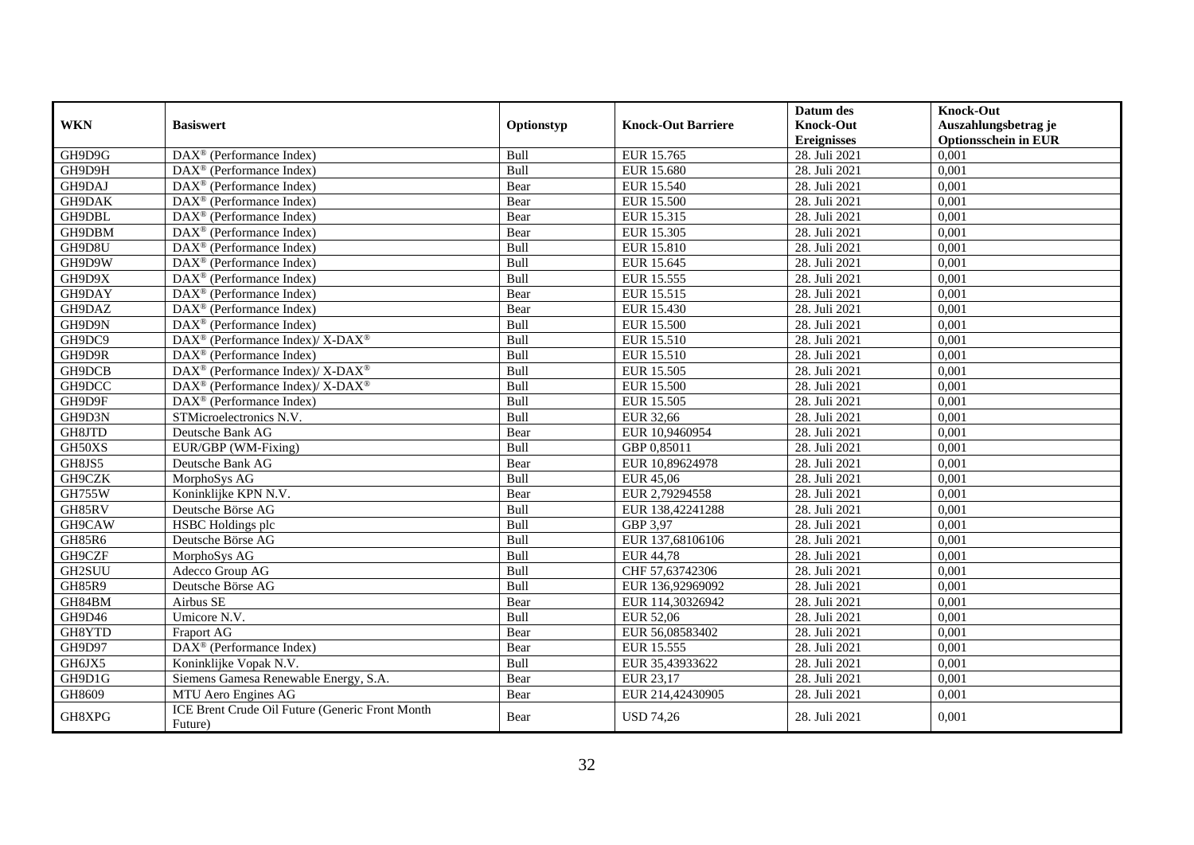|               |                                                                           |            |                           | Datum des          | <b>Knock-Out</b>            |
|---------------|---------------------------------------------------------------------------|------------|---------------------------|--------------------|-----------------------------|
| <b>WKN</b>    | <b>Basiswert</b>                                                          | Optionstyp | <b>Knock-Out Barriere</b> | <b>Knock-Out</b>   | Auszahlungsbetrag je        |
|               |                                                                           |            |                           | <b>Ereignisses</b> | <b>Optionsschein in EUR</b> |
| GH9D9G        | DAX <sup>®</sup> (Performance Index)                                      | Bull       | EUR 15.765                | 28. Juli 2021      | 0,001                       |
| GH9D9H        | $DAX^{\circledR}$ (Performance Index)                                     | Bull       | EUR 15.680                | 28. Juli 2021      | 0,001                       |
| GH9DAJ        | $DAX^{\circledR}$ (Performance Index)                                     | Bear       | <b>EUR 15.540</b>         | 28. Juli 2021      | 0,001                       |
| GH9DAK        | $DAX^{\circledast}$ (Performance Index)                                   | Bear       | <b>EUR 15.500</b>         | 28. Juli 2021      | 0,001                       |
| GH9DBL        | DAX <sup>®</sup> (Performance Index)                                      | Bear       | EUR 15.315                | 28. Juli 2021      | 0,001                       |
| GH9DBM        | $DAX^{\circledast}$ (Performance Index)                                   | Bear       | EUR 15.305                | 28. Juli 2021      | 0,001                       |
| GH9D8U        | $\text{DAX}^{\textcircled{}}$ (Performance Index)                         | Bull       | <b>EUR 15.810</b>         | 28. Juli 2021      | 0,001                       |
| GH9D9W        | DAX <sup>®</sup> (Performance Index)                                      | Bull       | EUR 15.645                | 28. Juli 2021      | 0,001                       |
| GH9D9X        | $DAX^{\circledast}$ (Performance Index)                                   | Bull       | EUR 15.555                | 28. Juli 2021      | 0,001                       |
| GH9DAY        | $DAX^{\circledast}$ (Performance Index)                                   | Bear       | EUR 15.515                | 28. Juli 2021      | 0,001                       |
| GH9DAZ        | $DAX^{\circledR}$ (Performance Index)                                     | Bear       | <b>EUR 15.430</b>         | 28. Juli 2021      | 0,001                       |
| GH9D9N        | DAX <sup>®</sup> (Performance Index)                                      | Bull       | <b>EUR 15.500</b>         | 28. Juli 2021      | 0,001                       |
| GH9DC9        | DAX <sup>®</sup> (Performance Index)/ X-DAX <sup>®</sup>                  | Bull       | EUR 15.510                | 28. Juli 2021      | 0,001                       |
| GH9D9R        | $\text{DAX}^{\textcircled{n}}$ (Performance Index)                        | Bull       | EUR 15.510                | 28. Juli 2021      | 0,001                       |
| GH9DCB        | $\text{DAX}^{\circledast}$ (Performance Index)/ X-DAX <sup>®</sup>        | Bull       | EUR 15.505                | 28. Juli 2021      | 0,001                       |
| GH9DCC        | $DAX^{\circledast}$ (Performance Index)/ $\overline{X-DAX^{\circledast}}$ | Bull       | <b>EUR 15.500</b>         | 28. Juli 2021      | 0,001                       |
| GH9D9F        | DAX <sup>®</sup> (Performance Index)                                      | Bull       | <b>EUR 15.505</b>         | 28. Juli 2021      | 0,001                       |
| GH9D3N        | STMicroelectronics N.V.                                                   | Bull       | EUR 32,66                 | 28. Juli 2021      | 0,001                       |
| GH8JTD        | Deutsche Bank AG                                                          | Bear       | EUR 10,9460954            | 28. Juli 2021      | 0,001                       |
| GH50XS        | EUR/GBP (WM-Fixing)                                                       | Bull       | GBP 0.85011               | 28. Juli 2021      | 0,001                       |
| GH8JS5        | Deutsche Bank AG                                                          | Bear       | EUR 10,89624978           | 28. Juli 2021      | 0,001                       |
| GH9CZK        | MorphoSys AG                                                              | Bull       | <b>EUR 45,06</b>          | 28. Juli 2021      | 0,001                       |
| <b>GH755W</b> | Koninklijke KPN N.V.                                                      | Bear       | EUR 2,79294558            | 28. Juli 2021      | 0,001                       |
| GH85RV        | Deutsche Börse AG                                                         | Bull       | EUR 138,42241288          | 28. Juli 2021      | 0,001                       |
| GH9CAW        | <b>HSBC</b> Holdings plc                                                  | Bull       | GBP 3,97                  | 28. Juli 2021      | 0,001                       |
| GH85R6        | Deutsche Börse AG                                                         | Bull       | EUR 137,68106106          | 28. Juli 2021      | 0,001                       |
| GH9CZF        | MorphoSys AG                                                              | Bull       | <b>EUR 44,78</b>          | 28. Juli 2021      | 0,001                       |
| GH2SUU        | Adecco Group AG                                                           | Bull       | CHF 57,63742306           | 28. Juli 2021      | 0,001                       |
| <b>GH85R9</b> | Deutsche Börse AG                                                         | Bull       | EUR 136,92969092          | 28. Juli 2021      | 0,001                       |
| GH84BM        | Airbus SE                                                                 | Bear       | EUR 114,30326942          | 28. Juli 2021      | 0,001                       |
| GH9D46        | Umicore N.V.                                                              | Bull       | EUR 52,06                 | 28. Juli 2021      | 0,001                       |
| GH8YTD        | Fraport AG                                                                | Bear       | EUR 56,08583402           | 28. Juli 2021      | 0,001                       |
| GH9D97        | DAX <sup>®</sup> (Performance Index)                                      | Bear       | EUR 15.555                | 28. Juli 2021      | 0,001                       |
| GH6JX5        | Koninklijke Vopak N.V.                                                    | Bull       | EUR 35,43933622           | 28. Juli 2021      | 0,001                       |
| GH9D1G        | Siemens Gamesa Renewable Energy, S.A.                                     | Bear       | EUR 23,17                 | 28. Juli 2021      | 0,001                       |
| GH8609        | MTU Aero Engines AG                                                       | Bear       | EUR 214,42430905          | 28. Juli 2021      | 0,001                       |
| GH8XPG        | ICE Brent Crude Oil Future (Generic Front Month<br>Future)                | Bear       | <b>USD 74,26</b>          | 28. Juli 2021      | 0,001                       |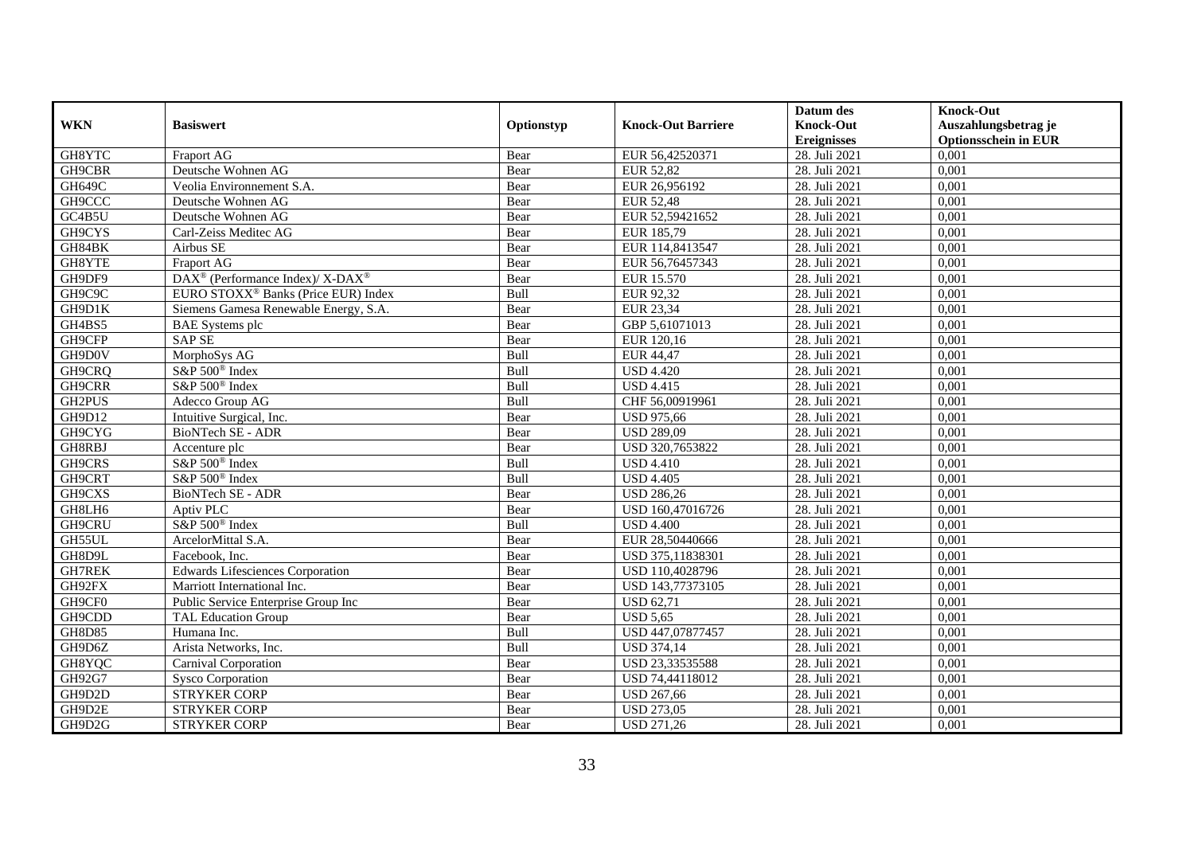|               |                                                             |            |                           | Datum des                   | <b>Knock-Out</b>            |
|---------------|-------------------------------------------------------------|------------|---------------------------|-----------------------------|-----------------------------|
| <b>WKN</b>    | <b>Basiswert</b>                                            | Optionstyp | <b>Knock-Out Barriere</b> | <b>Knock-Out</b>            | Auszahlungsbetrag je        |
|               |                                                             |            |                           | <b>Ereignisses</b>          | <b>Optionsschein in EUR</b> |
| GH8YTC        | Fraport AG                                                  | Bear       | EUR 56,42520371           | 28. Juli 2021               | 0,001                       |
| GH9CBR        | Deutsche Wohnen AG                                          | Bear       | <b>EUR 52,82</b>          | 28. Juli 2021               | 0,001                       |
| GH649C        | Veolia Environnement S.A.                                   | Bear       | EUR 26,956192             | 28. Juli 2021               | 0,001                       |
| GH9CCC        | Deutsche Wohnen AG                                          | Bear       | <b>EUR 52,48</b>          | 28. Juli 2021               | 0,001                       |
| GC4B5U        | Deutsche Wohnen AG                                          | Bear       | EUR 52,59421652           | 28. Juli 2021               | 0,001                       |
| GH9CYS        | Carl-Zeiss Meditec AG                                       | Bear       | EUR 185,79                | 28. Juli 2021               | 0,001                       |
| GH84BK        | Airbus SE                                                   | Bear       | EUR 114,8413547           | 28. Juli 2021               | 0,001                       |
| GH8YTE        | Fraport AG                                                  | Bear       | EUR 56,76457343           | 28. Juli 2021               | 0,001                       |
| GH9DF9        | $DAX^{\circledast}$ (Performance Index)/ X-DAX <sup>®</sup> | Bear       | EUR 15.570                | 28. Juli 2021               | 0,001                       |
| GH9C9C        | EURO STOXX <sup>®</sup> Banks (Price EUR) Index             | Bull       | EUR 92,32                 | 28. Juli 2021               | 0,001                       |
| GH9D1K        | Siemens Gamesa Renewable Energy, S.A.                       | Bear       | EUR 23,34                 | 28. Juli 2021               | 0,001                       |
| GH4BS5        | <b>BAE</b> Systems plc                                      | Bear       | GBP 5,61071013            | 28. Juli 2021               | 0,001                       |
| GH9CFP        | <b>SAP SE</b>                                               | Bear       | EUR 120,16                | 28. Juli 2021               | 0,001                       |
| GH9D0V        | MorphoSys AG                                                | Bull       | EUR 44,47                 | 28. Juli 2021               | 0,001                       |
| GH9CRQ        | S&P 500 <sup>®</sup> Index                                  | Bull       | <b>USD 4.420</b>          | 28. Juli 2021               | 0,001                       |
| GH9CRR        | S&P 500 <sup>®</sup> Index                                  | Bull       | <b>USD 4.415</b>          | 28. Juli 2021               | 0,001                       |
| GH2PUS        | Adecco Group AG                                             | Bull       | CHF 56,00919961           | 28. Juli 2021               | 0,001                       |
| GH9D12        | Intuitive Surgical, Inc.                                    | Bear       | <b>USD 975,66</b>         | 28. Juli 2021               | 0,001                       |
| GH9CYG        | <b>BioNTech SE - ADR</b>                                    | Bear       | <b>USD 289,09</b>         | 28. Juli 2021               | 0,001                       |
| GH8RBJ        | Accenture plc                                               | Bear       | USD 320,7653822           | 28. Juli 2021               | 0,001                       |
| GH9CRS        | S&P 500 <sup>®</sup> Index                                  | Bull       | <b>USD 4.410</b>          | 28. Juli 2021               | 0,001                       |
| GH9CRT        | S&P 500 <sup>®</sup> Index                                  | Bull       | <b>USD 4.405</b>          | 28. Juli 2021               | 0,001                       |
| GH9CXS        | BioNTech SE - ADR                                           | Bear       | <b>USD 286,26</b>         | 28. Juli 2021               | 0,001                       |
| GH8LH6        | Aptiv PLC                                                   | Bear       | USD 160,47016726          | 28. Juli 2021               | 0,001                       |
| GH9CRU        | S&P 500 <sup>®</sup> Index                                  | Bull       | <b>USD 4.400</b>          | 28. Juli 2021               | 0,001                       |
| GH55UL        | ArcelorMittal S.A.                                          | Bear       | EUR 28,50440666           | 28. Juli 2021               | 0,001                       |
| GH8D9L        | Facebook, Inc.                                              | Bear       | USD 375,11838301          | 28. Juli 2021               | 0,001                       |
| GH7REK        | <b>Edwards Lifesciences Corporation</b>                     | Bear       | USD 110.4028796           | 28. Juli 2021               | 0,001                       |
| GH92FX        | Marriott International Inc.                                 | Bear       | USD 143,77373105          | 28. Juli 2021               | 0,001                       |
| GH9CF0        | Public Service Enterprise Group Inc                         | Bear       | <b>USD 62,71</b>          | 28. Juli 2021               | 0,001                       |
| GH9CDD        | <b>TAL Education Group</b>                                  | Bear       | <b>USD 5,65</b>           | 28. Juli 2021               | 0,001                       |
| <b>GH8D85</b> | Humana Inc.                                                 | Bull       | USD 447,07877457          | 28. Juli 2021               | 0,001                       |
| GH9D6Z        | Arista Networks, Inc.                                       | Bull       | <b>USD 374,14</b>         | 28. Juli 2021               | 0,001                       |
| GH8YQC        | Carnival Corporation                                        | Bear       | USD 23,33535588           | $\overline{28}$ . Juli 2021 | 0,001                       |
| GH92G7        | <b>Sysco Corporation</b>                                    | Bear       | USD 74,44118012           | 28. Juli 2021               | 0,001                       |
| GH9D2D        | <b>STRYKER CORP</b>                                         | Bear       | <b>USD 267,66</b>         | 28. Juli 2021               | 0,001                       |
| GH9D2E        | <b>STRYKER CORP</b>                                         | Bear       | <b>USD 273,05</b>         | 28. Juli 2021               | 0,001                       |
| GH9D2G        | <b>STRYKER CORP</b>                                         | Bear       | <b>USD 271,26</b>         | 28. Juli 2021               | 0,001                       |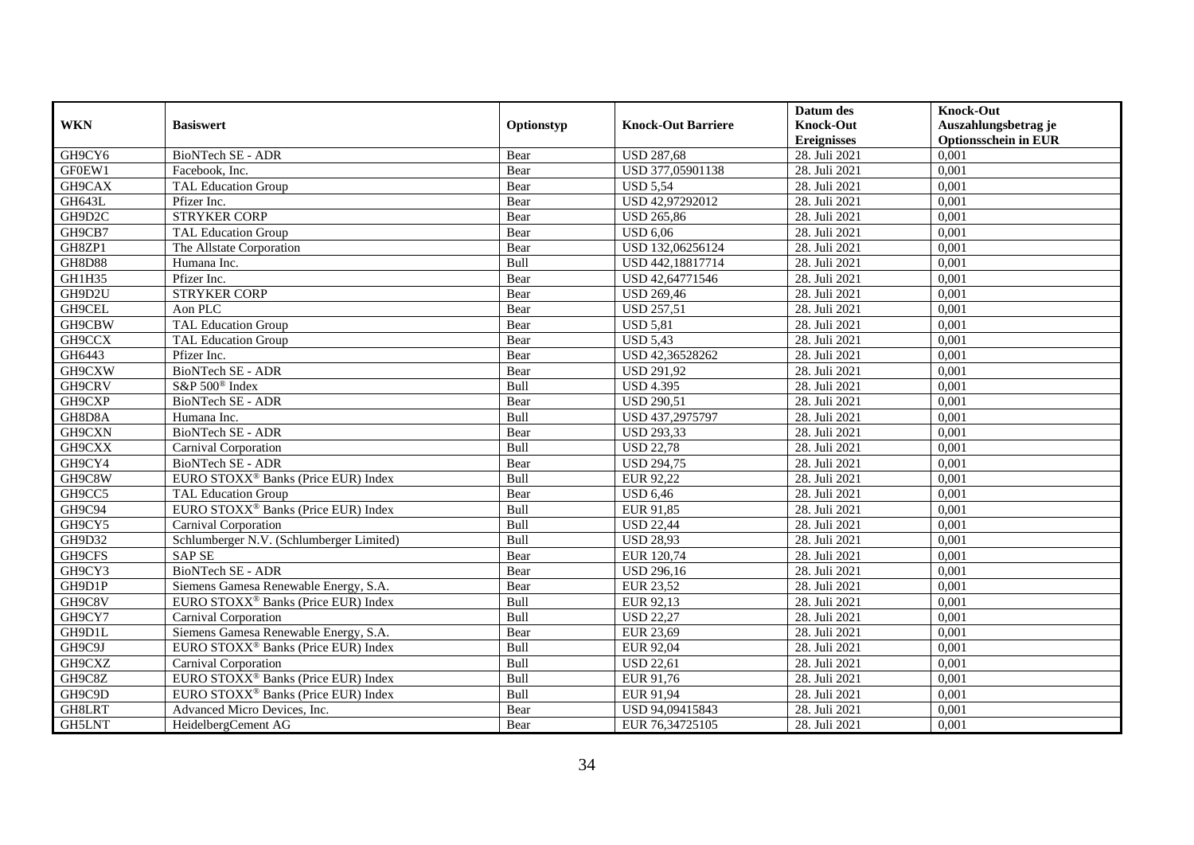|               |                                                 |             |                           | Datum des          | <b>Knock-Out</b>            |
|---------------|-------------------------------------------------|-------------|---------------------------|--------------------|-----------------------------|
| <b>WKN</b>    | <b>Basiswert</b>                                | Optionstyp  | <b>Knock-Out Barriere</b> | <b>Knock-Out</b>   | Auszahlungsbetrag je        |
|               |                                                 |             |                           | <b>Ereignisses</b> | <b>Optionsschein in EUR</b> |
| GH9CY6        | <b>BioNTech SE - ADR</b>                        | Bear        | <b>USD 287,68</b>         | 28. Juli 2021      | 0,001                       |
| GF0EW1        | Facebook. Inc.                                  | Bear        | USD 377,05901138          | 28. Juli 2021      | 0,001                       |
| GH9CAX        | <b>TAL Education Group</b>                      | Bear        | <b>USD 5,54</b>           | 28. Juli 2021      | 0,001                       |
| GH643L        | Pfizer Inc.                                     | Bear        | USD 42,97292012           | 28. Juli 2021      | 0,001                       |
| GH9D2C        | <b>STRYKER CORP</b>                             | Bear        | <b>USD 265,86</b>         | 28. Juli 2021      | 0,001                       |
| GH9CB7        | <b>TAL Education Group</b>                      | Bear        | <b>USD 6,06</b>           | 28. Juli 2021      | 0,001                       |
| GH8ZP1        | The Allstate Corporation                        | Bear        | USD 132,06256124          | 28. Juli 2021      | 0,001                       |
| <b>GH8D88</b> | Humana Inc.                                     | Bull        | USD 442,18817714          | 28. Juli 2021      | 0,001                       |
| GH1H35        | Pfizer Inc.                                     | Bear        | USD 42,64771546           | 28. Juli 2021      | 0,001                       |
| GH9D2U        | <b>STRYKER CORP</b>                             | Bear        | <b>USD 269,46</b>         | 28. Juli 2021      | 0,001                       |
| GH9CEL        | Aon PLC                                         | Bear        | <b>USD 257,51</b>         | 28. Juli 2021      | 0,001                       |
| GH9CBW        | TAL Education Group                             | Bear        | <b>USD 5,81</b>           | 28. Juli 2021      | 0,001                       |
| GH9CCX        | TAL Education Group                             | Bear        | <b>USD 5.43</b>           | 28. Juli 2021      | 0,001                       |
| GH6443        | Pfizer Inc.                                     | Bear        | USD 42,36528262           | 28. Juli 2021      | 0,001                       |
| GH9CXW        | <b>BioNTech SE - ADR</b>                        | Bear        | <b>USD 291,92</b>         | 28. Juli 2021      | 0,001                       |
| GH9CRV        | S&P 500 <sup>®</sup> Index                      | Bull        | <b>USD 4.395</b>          | 28. Juli 2021      | 0,001                       |
| GH9CXP        | <b>BioNTech SE - ADR</b>                        | Bear        | <b>USD 290,51</b>         | 28. Juli 2021      | 0,001                       |
| GH8D8A        | Humana Inc.                                     | <b>Bull</b> | USD 437,2975797           | 28. Juli 2021      | 0,001                       |
| GH9CXN        | <b>BioNTech SE - ADR</b>                        | Bear        | <b>USD 293,33</b>         | 28. Juli 2021      | 0,001                       |
| GH9CXX        | Carnival Corporation                            | Bull        | <b>USD 22,78</b>          | 28. Juli 2021      | 0,001                       |
| GH9CY4        | <b>BioNTech SE - ADR</b>                        | Bear        | <b>USD 294,75</b>         | 28. Juli 2021      | 0,001                       |
| GH9C8W        | EURO STOXX <sup>®</sup> Banks (Price EUR) Index | Bull        | EUR 92,22                 | 28. Juli 2021      | 0,001                       |
| GH9CC5        | <b>TAL Education Group</b>                      | Bear        | <b>USD 6,46</b>           | 28. Juli 2021      | 0,001                       |
| GH9C94        | EURO STOXX <sup>®</sup> Banks (Price EUR) Index | Bull        | EUR 91,85                 | 28. Juli 2021      | 0,001                       |
| GH9CY5        | Carnival Corporation                            | Bull        | <b>USD 22,44</b>          | 28. Juli 2021      | 0,001                       |
| GH9D32        | Schlumberger N.V. (Schlumberger Limited)        | Bull        | <b>USD 28,93</b>          | 28. Juli 2021      | 0,001                       |
| GH9CFS        | <b>SAP SE</b>                                   | Bear        | EUR 120,74                | 28. Juli 2021      | 0,001                       |
| GH9CY3        | <b>BioNTech SE - ADR</b>                        | Bear        | <b>USD 296,16</b>         | 28. Juli 2021      | 0,001                       |
| GH9D1P        | Siemens Gamesa Renewable Energy, S.A.           | Bear        | EUR 23,52                 | 28. Juli 2021      | 0,001                       |
| GH9C8V        | EURO STOXX <sup>®</sup> Banks (Price EUR) Index | Bull        | EUR 92,13                 | 28. Juli 2021      | 0,001                       |
| GH9CY7        | Carnival Corporation                            | Bull        | <b>USD 22,27</b>          | 28. Juli 2021      | 0,001                       |
| GH9D1L        | Siemens Gamesa Renewable Energy, S.A.           | Bear        | EUR 23,69                 | 28. Juli 2021      | 0,001                       |
| GH9C9J        | EURO STOXX <sup>®</sup> Banks (Price EUR) Index | Bull        | EUR 92,04                 | 28. Juli 2021      | 0,001                       |
| GH9CXZ        | Carnival Corporation                            | Bull        | <b>USD 22,61</b>          | 28. Juli 2021      | 0,001                       |
| GH9C8Z        | EURO STOXX <sup>®</sup> Banks (Price EUR) Index | Bull        | EUR 91,76                 | 28. Juli 2021      | 0,001                       |
| GH9C9D        | EURO STOXX <sup>®</sup> Banks (Price EUR) Index | Bull        | EUR 91,94                 | 28. Juli 2021      | 0,001                       |
| GH8LRT        | Advanced Micro Devices, Inc.                    | Bear        | USD 94,09415843           | 28. Juli 2021      | 0,001                       |
| GH5LNT        | HeidelbergCement AG                             | Bear        | EUR 76,34725105           | 28. Juli 2021      | 0,001                       |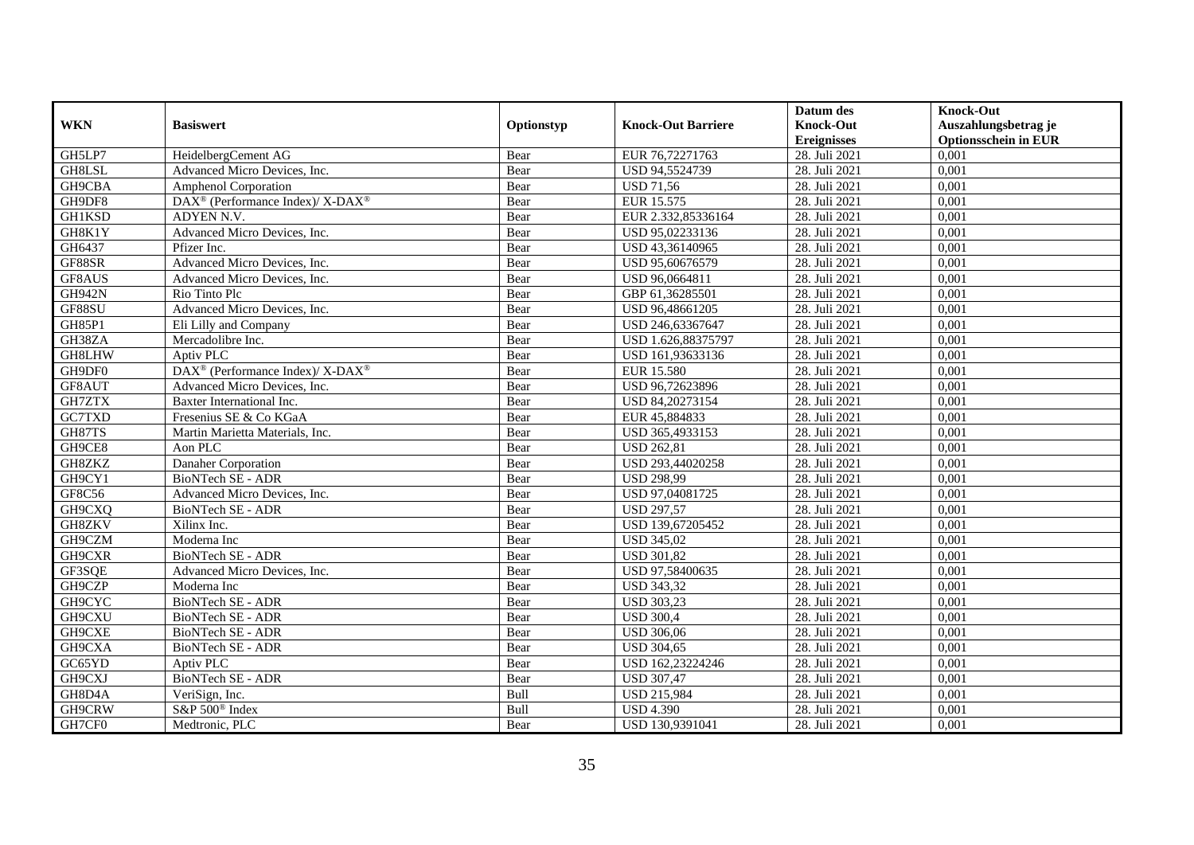|               |                                                          |            |                           | Datum des          | <b>Knock-Out</b>            |
|---------------|----------------------------------------------------------|------------|---------------------------|--------------------|-----------------------------|
| <b>WKN</b>    | <b>Basiswert</b>                                         | Optionstyp | <b>Knock-Out Barriere</b> | <b>Knock-Out</b>   | Auszahlungsbetrag je        |
|               |                                                          |            |                           | <b>Ereignisses</b> | <b>Optionsschein in EUR</b> |
| GH5LP7        | HeidelbergCement AG                                      | Bear       | EUR 76,72271763           | 28. Juli 2021      | 0,001                       |
| GH8LSL        | Advanced Micro Devices, Inc.                             | Bear       | USD 94,5524739            | 28. Juli 2021      | 0,001                       |
| GH9CBA        | <b>Amphenol Corporation</b>                              | Bear       | <b>USD 71,56</b>          | 28. Juli 2021      | 0,001                       |
| GH9DF8        | DAX <sup>®</sup> (Performance Index)/ X-DAX <sup>®</sup> | Bear       | EUR 15.575                | 28. Juli 2021      | 0,001                       |
| <b>GH1KSD</b> | ADYEN N.V.                                               | Bear       | EUR 2.332,85336164        | 28. Juli 2021      | 0,001                       |
| GH8K1Y        | Advanced Micro Devices, Inc.                             | Bear       | USD 95,02233136           | 28. Juli 2021      | 0,001                       |
| GH6437        | Pfizer Inc.                                              | Bear       | USD 43,36140965           | 28. Juli 2021      | 0,001                       |
| GF88SR        | Advanced Micro Devices, Inc.                             | Bear       | USD 95,60676579           | 28. Juli 2021      | 0,001                       |
| GF8AUS        | Advanced Micro Devices, Inc.                             | Bear       | USD 96,0664811            | 28. Juli 2021      | 0,001                       |
| <b>GH942N</b> | Rio Tinto Plc                                            | Bear       | GBP 61,36285501           | 28. Juli 2021      | 0,001                       |
| GF88SU        | Advanced Micro Devices, Inc.                             | Bear       | USD 96,48661205           | 28. Juli 2021      | 0,001                       |
| <b>GH85P1</b> | Eli Lilly and Company                                    | Bear       | USD 246,63367647          | 28. Juli 2021      | 0,001                       |
| GH38ZA        | Mercadolibre Inc.                                        | Bear       | USD 1.626,88375797        | 28. Juli 2021      | 0,001                       |
| GH8LHW        | Aptiv PLC                                                | Bear       | USD 161,93633136          | 28. Juli 2021      | 0,001                       |
| GH9DF0        | DAX <sup>®</sup> (Performance Index)/ X-DAX <sup>®</sup> | Bear       | <b>EUR 15.580</b>         | 28. Juli 2021      | 0,001                       |
| GF8AUT        | Advanced Micro Devices, Inc.                             | Bear       | USD 96,72623896           | 28. Juli 2021      | 0,001                       |
| GH7ZTX        | Baxter International Inc.                                | Bear       | USD 84,20273154           | 28. Juli 2021      | 0,001                       |
| GC7TXD        | Fresenius SE & Co KGaA                                   | Bear       | EUR 45,884833             | 28. Juli 2021      | 0,001                       |
| GH87TS        | Martin Marietta Materials, Inc.                          | Bear       | USD 365,4933153           | 28. Juli 2021      | 0,001                       |
| GH9CE8        | Aon PLC                                                  | Bear       | <b>USD 262,81</b>         | 28. Juli 2021      | 0,001                       |
| GH8ZKZ        | Danaher Corporation                                      | Bear       | USD 293,44020258          | 28. Juli 2021      | 0,001                       |
| GH9CY1        | <b>BioNTech SE - ADR</b>                                 | Bear       | <b>USD 298,99</b>         | 28. Juli 2021      | 0,001                       |
| GF8C56        | Advanced Micro Devices, Inc.                             | Bear       | USD 97,04081725           | 28. Juli 2021      | 0,001                       |
| GH9CXQ        | BioNTech SE - ADR                                        | Bear       | <b>USD 297,57</b>         | 28. Juli 2021      | 0,001                       |
| GH8ZKV        | Xilinx Inc.                                              | Bear       | USD 139,67205452          | 28. Juli 2021      | 0,001                       |
| GH9CZM        | Moderna Inc                                              | Bear       | <b>USD 345,02</b>         | 28. Juli 2021      | 0,001                       |
| GH9CXR        | <b>BioNTech SE - ADR</b>                                 | Bear       | <b>USD 301,82</b>         | 28. Juli 2021      | 0,001                       |
| GF3SQE        | Advanced Micro Devices, Inc.                             | Bear       | USD 97,58400635           | 28. Juli 2021      | 0,001                       |
| GH9CZP        | Moderna Inc                                              | Bear       | <b>USD 343,32</b>         | 28. Juli 2021      | 0,001                       |
| GH9CYC        | <b>BioNTech SE - ADR</b>                                 | Bear       | <b>USD 303,23</b>         | 28. Juli 2021      | 0,001                       |
| GH9CXU        | BioNTech SE - ADR                                        | Bear       | <b>USD 300,4</b>          | 28. Juli 2021      | 0,001                       |
| GH9CXE        | BioNTech SE - ADR                                        | Bear       | <b>USD 306,06</b>         | 28. Juli 2021      | 0,001                       |
| GH9CXA        | BioNTech SE - ADR                                        | Bear       | <b>USD 304,65</b>         | 28. Juli 2021      | 0,001                       |
| GC65YD        | Aptiv PLC                                                | Bear       | USD 162,23224246          | 28. Juli 2021      | 0,001                       |
| GH9CXJ        | BioNTech SE - ADR                                        | Bear       | <b>USD 307,47</b>         | 28. Juli 2021      | 0,001                       |
| GH8D4A        | VeriSign, Inc.                                           | Bull       | <b>USD 215,984</b>        | 28. Juli 2021      | 0,001                       |
| GH9CRW        | S&P 500 <sup>®</sup> Index                               | Bull       | <b>USD 4.390</b>          | 28. Juli 2021      | 0,001                       |
| GH7CF0        | Medtronic, PLC                                           | Bear       | USD 130,9391041           | 28. Juli 2021      | 0,001                       |